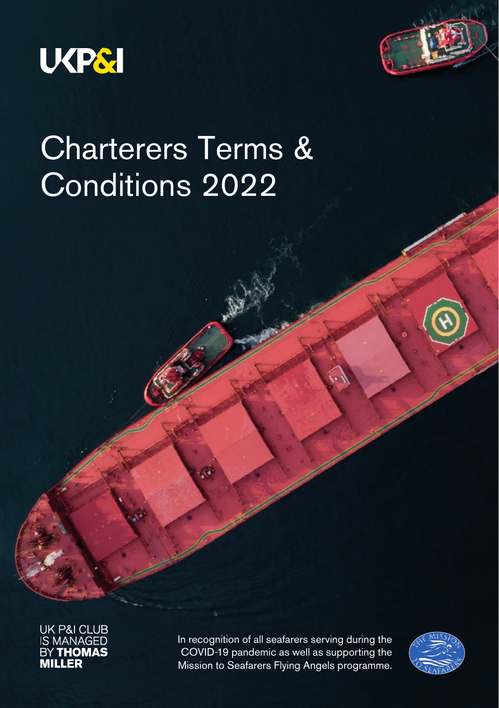



# Charterers Terms & Conditions 2022

UK P&I CLUB<br>IS MANAGED<br>BY **THOMAS**<br>**MILLER** 

In recognition of all seafarers serving during the COVID-19 pandemic as well as supporting the Mission to Seafarers Flying Angels programme.

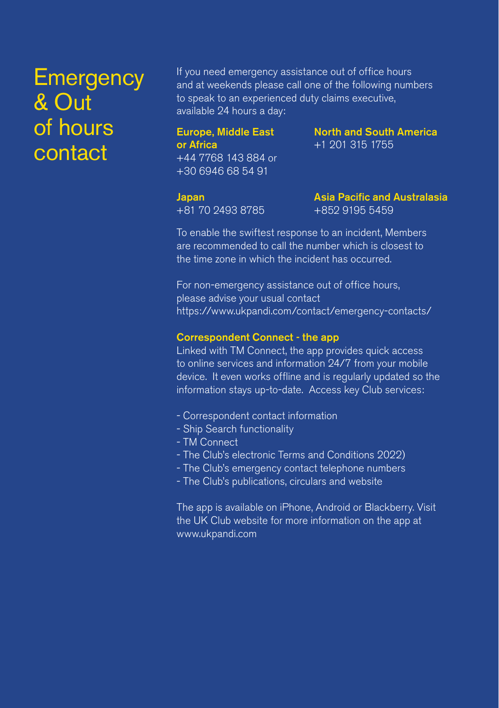# **Emergency** & Out of hours contact

If you need emergency assistance out of office hours and at weekends please call one of the following numbers to speak to an experienced duty claims executive, available 24 hours a day:

#### Europe, Middle East or Africa +44 7768 143 884 or +30 6946 68 54 91

North and South America +1 201 315 1755

Japan +81 70 2493 8785 Asia Pacific and Australasia +852 9195 5459

To enable the swiftest response to an incident, Members are recommended to call the number which is closest to the time zone in which the incident has occurred.

For non-emergency assistance out of office hours, please advise your usual contact https://www.ukpandi.com/contact/emergency-contacts/

#### Correspondent Connect - the app

Linked with TM Connect, the app provides quick access to online services and information 24/7 from your mobile device. It even works offline and is regularly updated so the information stays up-to-date. Access key Club services:

- Correspondent contact information
- Ship Search functionality
- TM Connect
- The Club's electronic Terms and Conditions 2022)
- The Club's emergency contact telephone numbers
- The Club's publications, circulars and website

The app is available on iPhone, Android or Blackberry. Visit the UK Club website for more information on the app at www.ukpandi.com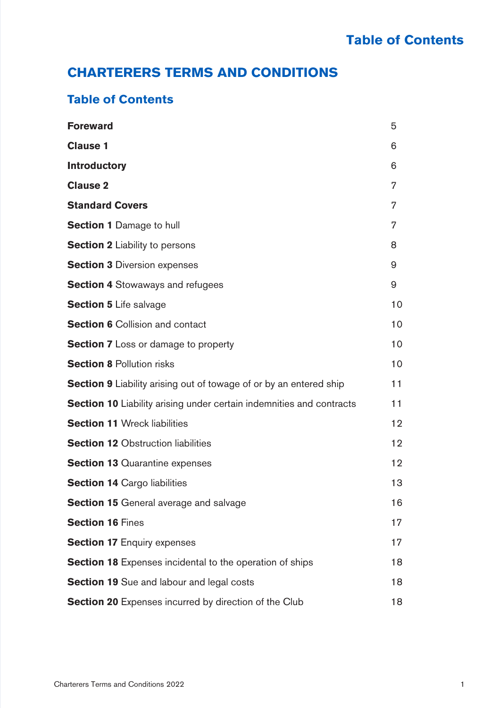# **CHARTERERS TERMS AND CONDITIONS**

| <b>Foreward</b>                                                             | 5  |
|-----------------------------------------------------------------------------|----|
| <b>Clause 1</b>                                                             | 6  |
| <b>Introductory</b>                                                         | 6  |
| Clause 2                                                                    | 7  |
| <b>Standard Covers</b>                                                      | 7  |
| <b>Section 1 Damage to hull</b>                                             | 7  |
| <b>Section 2</b> Liability to persons                                       | 8  |
| <b>Section 3 Diversion expenses</b>                                         | 9  |
| <b>Section 4</b> Stowaways and refugees                                     | 9  |
| <b>Section 5 Life salvage</b>                                               | 10 |
| <b>Section 6</b> Collision and contact                                      | 10 |
| <b>Section 7</b> Loss or damage to property                                 | 10 |
| <b>Section 8 Pollution risks</b>                                            | 10 |
| <b>Section 9</b> Liability arising out of towage of or by an entered ship   | 11 |
| <b>Section 10</b> Liability arising under certain indemnities and contracts | 11 |
| <b>Section 11 Wreck liabilities</b>                                         | 12 |
| <b>Section 12 Obstruction liabilities</b>                                   | 12 |
| <b>Section 13 Quarantine expenses</b>                                       | 12 |
| <b>Section 14 Cargo liabilities</b>                                         | 13 |
| <b>Section 15</b> General average and salvage                               | 16 |
| <b>Section 16 Fines</b>                                                     | 17 |
| <b>Section 17 Enquiry expenses</b>                                          | 17 |
| <b>Section 18</b> Expenses incidental to the operation of ships             | 18 |
| <b>Section 19</b> Sue and labour and legal costs                            | 18 |
| <b>Section 20</b> Expenses incurred by direction of the Club                | 18 |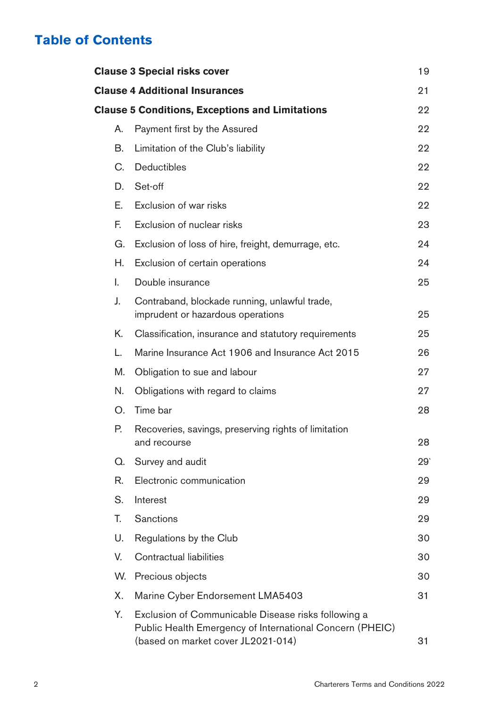|    | <b>Clause 3 Special risks cover</b>                                                                                                                   | 19  |
|----|-------------------------------------------------------------------------------------------------------------------------------------------------------|-----|
|    | <b>Clause 4 Additional Insurances</b>                                                                                                                 | 21  |
|    | <b>Clause 5 Conditions, Exceptions and Limitations</b>                                                                                                | 22  |
| А. | Payment first by the Assured                                                                                                                          | 22  |
| В. | Limitation of the Club's liability                                                                                                                    | 22  |
| C. | <b>Deductibles</b>                                                                                                                                    | 22  |
| D. | Set-off                                                                                                                                               | 22  |
| Е. | Exclusion of war risks                                                                                                                                | 22  |
| E. | Exclusion of nuclear risks                                                                                                                            | 23  |
| G. | Exclusion of loss of hire, freight, demurrage, etc.                                                                                                   | 24  |
| Н. | Exclusion of certain operations                                                                                                                       | 24  |
| L  | Double insurance                                                                                                                                      | 25  |
| J. | Contraband, blockade running, unlawful trade,<br>imprudent or hazardous operations                                                                    | 25  |
| Κ. | Classification, insurance and statutory requirements                                                                                                  | 25  |
| L. | Marine Insurance Act 1906 and Insurance Act 2015                                                                                                      | 26  |
| M. | Obligation to sue and labour                                                                                                                          | 27  |
| N. | Obligations with regard to claims                                                                                                                     | 27  |
| Ο. | Time bar                                                                                                                                              | 28  |
| Р. | Recoveries, savings, preserving rights of limitation<br>and recourse                                                                                  | 28  |
| Q. | Survey and audit                                                                                                                                      | 29' |
| R. | Electronic communication                                                                                                                              | 29  |
| S. | Interest                                                                                                                                              | 29  |
| T. | Sanctions                                                                                                                                             | 29  |
| U. | Regulations by the Club                                                                                                                               | 30  |
| V. | Contractual liabilities                                                                                                                               | 30  |
| W. | Precious objects                                                                                                                                      | 30  |
| Х. | Marine Cyber Endorsement LMA5403                                                                                                                      | 31  |
| Υ. | Exclusion of Communicable Disease risks following a<br>Public Health Emergency of International Concern (PHEIC)<br>(based on market cover JL2021-014) | 31  |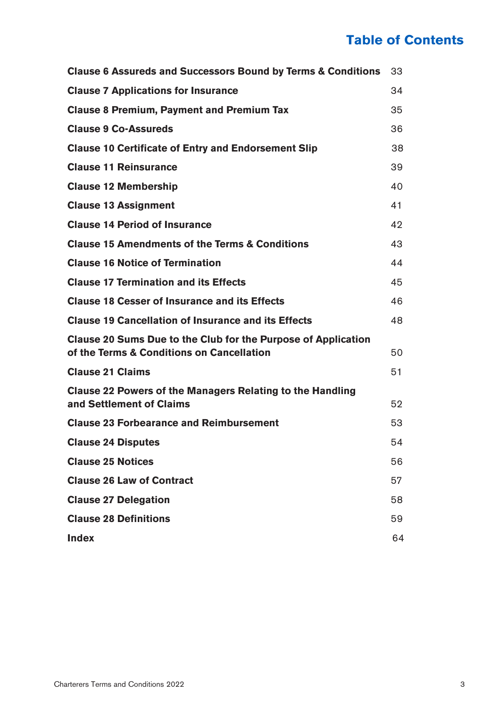| Clause 6 Assureds and Successors Bound by Terms & Conditions                                               | 33 |
|------------------------------------------------------------------------------------------------------------|----|
| <b>Clause 7 Applications for Insurance</b>                                                                 | 34 |
| <b>Clause 8 Premium, Payment and Premium Tax</b>                                                           | 35 |
| <b>Clause 9 Co-Assureds</b>                                                                                | 36 |
| <b>Clause 10 Certificate of Entry and Endorsement Slip</b>                                                 | 38 |
| <b>Clause 11 Reinsurance</b>                                                                               | 39 |
| <b>Clause 12 Membership</b>                                                                                | 40 |
| <b>Clause 13 Assignment</b>                                                                                | 41 |
| <b>Clause 14 Period of Insurance</b>                                                                       | 42 |
| <b>Clause 15 Amendments of the Terms &amp; Conditions</b>                                                  | 43 |
| <b>Clause 16 Notice of Termination</b>                                                                     | 44 |
| <b>Clause 17 Termination and its Effects</b>                                                               | 45 |
| <b>Clause 18 Cesser of Insurance and its Effects</b>                                                       | 46 |
| <b>Clause 19 Cancellation of Insurance and its Effects</b>                                                 | 48 |
| Clause 20 Sums Due to the Club for the Purpose of Application<br>of the Terms & Conditions on Cancellation | 50 |
| <b>Clause 21 Claims</b>                                                                                    | 51 |
| Clause 22 Powers of the Managers Relating to the Handling<br>and Settlement of Claims                      | 52 |
| <b>Clause 23 Forbearance and Reimbursement</b>                                                             | 53 |
| <b>Clause 24 Disputes</b>                                                                                  | 54 |
| <b>Clause 25 Notices</b>                                                                                   | 56 |
| <b>Clause 26 Law of Contract</b>                                                                           | 57 |
| <b>Clause 27 Delegation</b>                                                                                | 58 |
| <b>Clause 28 Definitions</b>                                                                               | 59 |
| Index                                                                                                      | 64 |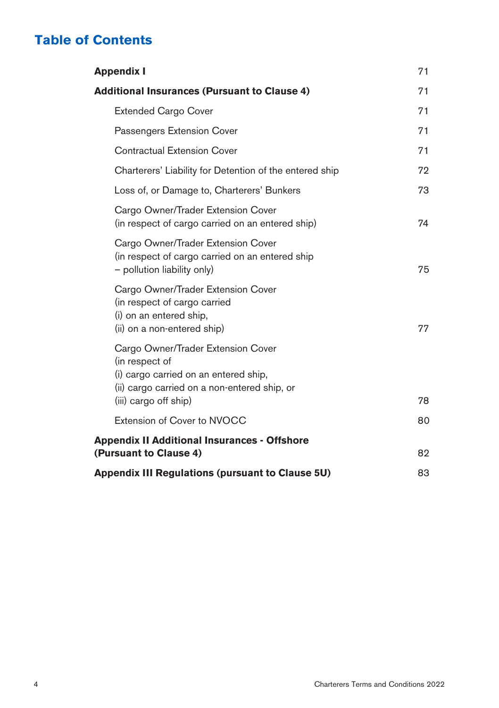| <b>Appendix I</b>                                                                                                                                                      | 71 |
|------------------------------------------------------------------------------------------------------------------------------------------------------------------------|----|
| <b>Additional Insurances (Pursuant to Clause 4)</b>                                                                                                                    |    |
| <b>Extended Cargo Cover</b>                                                                                                                                            | 71 |
| Passengers Extension Cover                                                                                                                                             | 71 |
| <b>Contractual Extension Cover</b>                                                                                                                                     | 71 |
| Charterers' Liability for Detention of the entered ship                                                                                                                | 72 |
| Loss of, or Damage to, Charterers' Bunkers                                                                                                                             | 73 |
| Cargo Owner/Trader Extension Cover<br>(in respect of cargo carried on an entered ship)                                                                                 | 74 |
| Cargo Owner/Trader Extension Cover<br>(in respect of cargo carried on an entered ship<br>- pollution liability only)                                                   | 75 |
| Cargo Owner/Trader Extension Cover<br>(in respect of cargo carried<br>(i) on an entered ship,<br>(ii) on a non-entered ship)                                           | 77 |
| Cargo Owner/Trader Extension Cover<br>(in respect of<br>(i) cargo carried on an entered ship,<br>(ii) cargo carried on a non-entered ship, or<br>(iii) cargo off ship) | 78 |
| Extension of Cover to NVOCC                                                                                                                                            | 80 |
| <b>Appendix II Additional Insurances - Offshore</b><br>(Pursuant to Clause 4)                                                                                          |    |
| Appendix III Regulations (pursuant to Clause 5U)                                                                                                                       | 83 |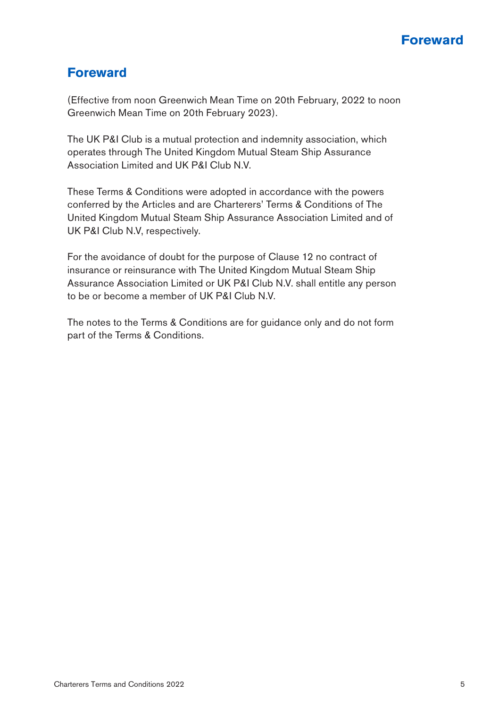

# **Foreward**

(Effective from noon Greenwich Mean Time on 20th February, 2022 to noon Greenwich Mean Time on 20th February 2023).

The UK P&I Club is a mutual protection and indemnity association, which operates through The United Kingdom Mutual Steam Ship Assurance Association Limited and UK P&I Club N.V.

These Terms & Conditions were adopted in accordance with the powers conferred by the Articles and are Charterers' Terms & Conditions of The United Kingdom Mutual Steam Ship Assurance Association Limited and of UK P&I Club N.V, respectively.

For the avoidance of doubt for the purpose of Clause 12 no contract of insurance or reinsurance with The United Kingdom Mutual Steam Ship Assurance Association Limited or UK P&I Club N.V. shall entitle any person to be or become a member of UK P&I Club N.V.

The notes to the Terms & Conditions are for guidance only and do not form part of the Terms & Conditions.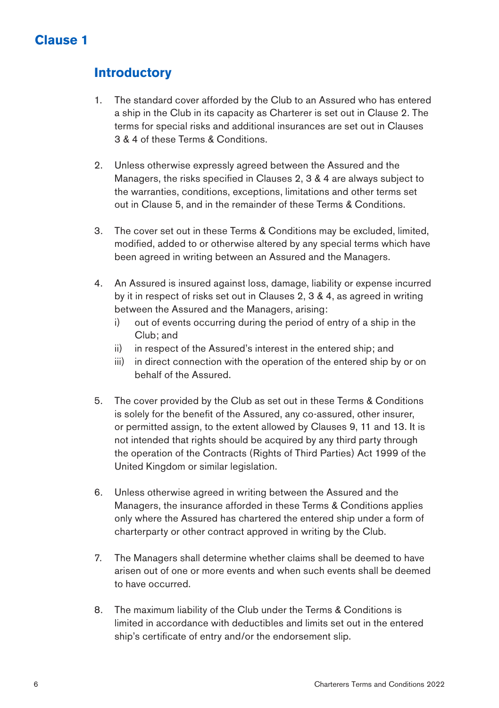# **Clause 1**

# **Introductory**

- 1. The standard cover afforded by the Club to an Assured who has entered a ship in the Club in its capacity as Charterer is set out in Clause 2. The terms for special risks and additional insurances are set out in Clauses 3 & 4 of these Terms & Conditions.
- 2. Unless otherwise expressly agreed between the Assured and the Managers, the risks specified in Clauses 2, 3 & 4 are always subject to the warranties, conditions, exceptions, limitations and other terms set out in Clause 5, and in the remainder of these Terms & Conditions.
- 3. The cover set out in these Terms & Conditions may be excluded, limited, modified, added to or otherwise altered by any special terms which have been agreed in writing between an Assured and the Managers.
- 4. An Assured is insured against loss, damage, liability or expense incurred by it in respect of risks set out in Clauses 2, 3 & 4, as agreed in writing between the Assured and the Managers, arising:
	- i) out of events occurring during the period of entry of a ship in the Club; and
	- ii) in respect of the Assured's interest in the entered ship; and
	- iii) in direct connection with the operation of the entered ship by or on behalf of the Assured.
- 5. The cover provided by the Club as set out in these Terms & Conditions is solely for the benefit of the Assured, any co-assured, other insurer, or permitted assign, to the extent allowed by Clauses 9, 11 and 13. It is not intended that rights should be acquired by any third party through the operation of the Contracts (Rights of Third Parties) Act 1999 of the United Kingdom or similar legislation.
- 6. Unless otherwise agreed in writing between the Assured and the Managers, the insurance afforded in these Terms & Conditions applies only where the Assured has chartered the entered ship under a form of charterparty or other contract approved in writing by the Club.
- 7. The Managers shall determine whether claims shall be deemed to have arisen out of one or more events and when such events shall be deemed to have occurred.
- 8. The maximum liability of the Club under the Terms & Conditions is limited in accordance with deductibles and limits set out in the entered ship's certificate of entry and/or the endorsement slip.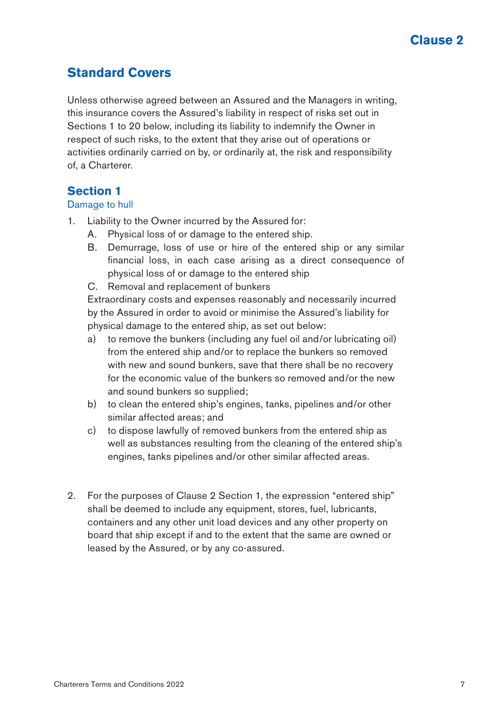# **Standard Covers**

Unless otherwise agreed between an Assured and the Managers in writing, this insurance covers the Assured's liability in respect of risks set out in Sections 1 to 20 below, including its liability to indemnify the Owner in respect of such risks, to the extent that they arise out of operations or activities ordinarily carried on by, or ordinarily at, the risk and responsibility of, a Charterer.

# **Section 1**

#### Damage to hull

- 1. Liability to the Owner incurred by the Assured for:
	- A. Physical loss of or damage to the entered ship.
	- B. Demurrage, loss of use or hire of the entered ship or any similar financial loss, in each case arising as a direct consequence of physical loss of or damage to the entered ship
	- C. Removal and replacement of bunkers

Extraordinary costs and expenses reasonably and necessarily incurred by the Assured in order to avoid or minimise the Assured's liability for physical damage to the entered ship, as set out below:

- a) to remove the bunkers (including any fuel oil and/or lubricating oil) from the entered ship and/or to replace the bunkers so removed with new and sound bunkers, save that there shall be no recovery for the economic value of the bunkers so removed and/or the new and sound bunkers so supplied;
- b) to clean the entered ship's engines, tanks, pipelines and/or other similar affected areas; and
- c) to dispose lawfully of removed bunkers from the entered ship as well as substances resulting from the cleaning of the entered ship's engines, tanks pipelines and/or other similar affected areas.
- 2. For the purposes of Clause 2 Section 1, the expression "entered ship" shall be deemed to include any equipment, stores, fuel, lubricants, containers and any other unit load devices and any other property on board that ship except if and to the extent that the same are owned or leased by the Assured, or by any co-assured.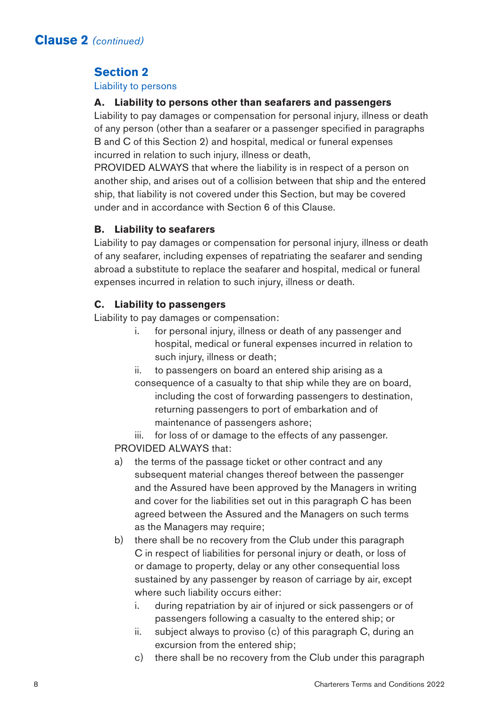# **Section 2**

#### Liability to persons

#### **A. Liability to persons other than seafarers and passengers**

Liability to pay damages or compensation for personal injury, illness or death of any person (other than a seafarer or a passenger specified in paragraphs B and C of this Section 2) and hospital, medical or funeral expenses incurred in relation to such injury, illness or death,

PROVIDED ALWAYS that where the liability is in respect of a person on another ship, and arises out of a collision between that ship and the entered ship, that liability is not covered under this Section, but may be covered under and in accordance with Section 6 of this Clause.

# **B. Liability to seafarers**

Liability to pay damages or compensation for personal injury, illness or death of any seafarer, including expenses of repatriating the seafarer and sending abroad a substitute to replace the seafarer and hospital, medical or funeral expenses incurred in relation to such injury, illness or death.

### **C. Liability to passengers**

Liability to pay damages or compensation:

- i. for personal injury, illness or death of any passenger and hospital, medical or funeral expenses incurred in relation to such injury, illness or death;
- ii. to passengers on board an entered ship arising as a
- consequence of a casualty to that ship while they are on board, including the cost of forwarding passengers to destination, returning passengers to port of embarkation and of maintenance of passengers ashore;

iii. for loss of or damage to the effects of any passenger. PROVIDED ALWAYS that:

- a) the terms of the passage ticket or other contract and any subsequent material changes thereof between the passenger and the Assured have been approved by the Managers in writing and cover for the liabilities set out in this paragraph C has been agreed between the Assured and the Managers on such terms as the Managers may require;
- b) there shall be no recovery from the Club under this paragraph C in respect of liabilities for personal injury or death, or loss of or damage to property, delay or any other consequential loss sustained by any passenger by reason of carriage by air, except where such liability occurs either:
	- i. during repatriation by air of injured or sick passengers or of passengers following a casualty to the entered ship; or
	- ii. subject always to proviso (c) of this paragraph C, during an excursion from the entered ship;
	- c) there shall be no recovery from the Club under this paragraph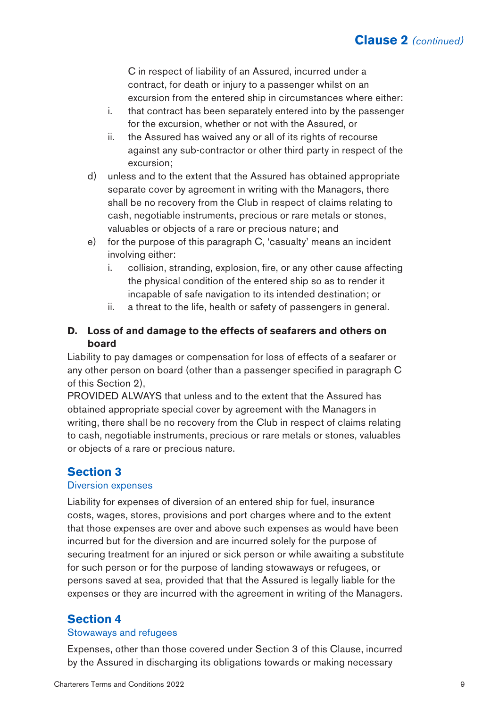C in respect of liability of an Assured, incurred under a contract, for death or injury to a passenger whilst on an excursion from the entered ship in circumstances where either:

- i. that contract has been separately entered into by the passenger for the excursion, whether or not with the Assured, or
- ii. the Assured has waived any or all of its rights of recourse against any sub-contractor or other third party in respect of the excursion;
- d) unless and to the extent that the Assured has obtained appropriate separate cover by agreement in writing with the Managers, there shall be no recovery from the Club in respect of claims relating to cash, negotiable instruments, precious or rare metals or stones, valuables or objects of a rare or precious nature; and
- e) for the purpose of this paragraph C, 'casualty' means an incident involving either:
	- i. collision, stranding, explosion, fire, or any other cause affecting the physical condition of the entered ship so as to render it incapable of safe navigation to its intended destination; or
	- ii. a threat to the life, health or safety of passengers in general.

# **D. Loss of and damage to the effects of seafarers and others on board**

Liability to pay damages or compensation for loss of effects of a seafarer or any other person on board (other than a passenger specified in paragraph C of this Section 2),

PROVIDED ALWAYS that unless and to the extent that the Assured has obtained appropriate special cover by agreement with the Managers in writing, there shall be no recovery from the Club in respect of claims relating to cash, negotiable instruments, precious or rare metals or stones, valuables or objects of a rare or precious nature.

# **Section 3**

#### Diversion expenses

Liability for expenses of diversion of an entered ship for fuel, insurance costs, wages, stores, provisions and port charges where and to the extent that those expenses are over and above such expenses as would have been incurred but for the diversion and are incurred solely for the purpose of securing treatment for an injured or sick person or while awaiting a substitute for such person or for the purpose of landing stowaways or refugees, or persons saved at sea, provided that that the Assured is legally liable for the expenses or they are incurred with the agreement in writing of the Managers.

# **Section 4**

#### Stowaways and refugees

Expenses, other than those covered under Section 3 of this Clause, incurred by the Assured in discharging its obligations towards or making necessary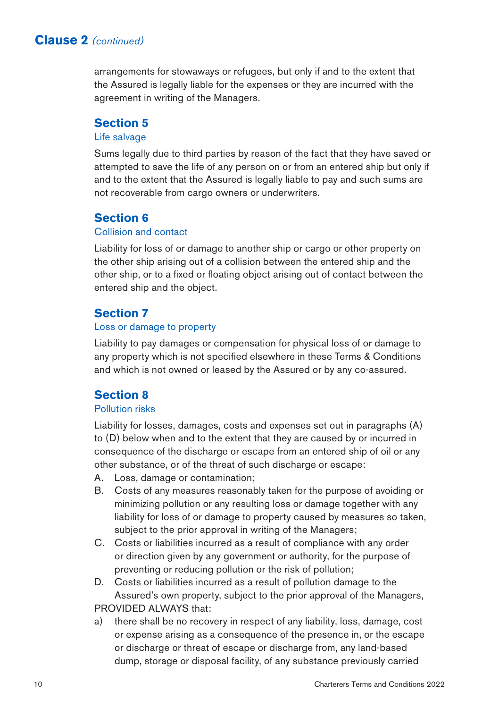arrangements for stowaways or refugees, but only if and to the extent that the Assured is legally liable for the expenses or they are incurred with the agreement in writing of the Managers.

# **Section 5**

#### Life salvage

Sums legally due to third parties by reason of the fact that they have saved or attempted to save the life of any person on or from an entered ship but only if and to the extent that the Assured is legally liable to pay and such sums are not recoverable from cargo owners or underwriters.

# **Section 6**

#### Collision and contact

Liability for loss of or damage to another ship or cargo or other property on the other ship arising out of a collision between the entered ship and the other ship, or to a fixed or floating object arising out of contact between the entered ship and the object.

# **Section 7**

#### Loss or damage to property

Liability to pay damages or compensation for physical loss of or damage to any property which is not specified elsewhere in these Terms & Conditions and which is not owned or leased by the Assured or by any co-assured.

# **Section 8**

#### Pollution risks

Liability for losses, damages, costs and expenses set out in paragraphs (A) to (D) below when and to the extent that they are caused by or incurred in consequence of the discharge or escape from an entered ship of oil or any other substance, or of the threat of such discharge or escape:

- A. Loss, damage or contamination;
- B. Costs of any measures reasonably taken for the purpose of avoiding or minimizing pollution or any resulting loss or damage together with any liability for loss of or damage to property caused by measures so taken, subject to the prior approval in writing of the Managers;
- C. Costs or liabilities incurred as a result of compliance with any order or direction given by any government or authority, for the purpose of preventing or reducing pollution or the risk of pollution;
- D. Costs or liabilities incurred as a result of pollution damage to the Assured's own property, subject to the prior approval of the Managers, PROVIDED ALWAYS that:
- a) there shall be no recovery in respect of any liability, loss, damage, cost or expense arising as a consequence of the presence in, or the escape or discharge or threat of escape or discharge from, any land-based dump, storage or disposal facility, of any substance previously carried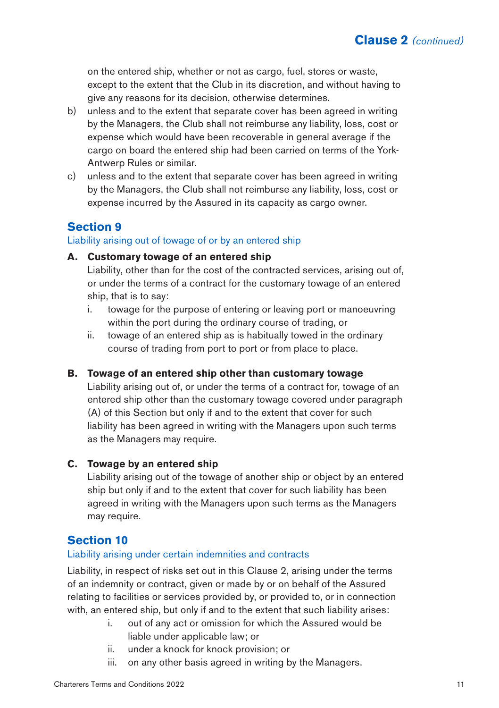on the entered ship, whether or not as cargo, fuel, stores or waste, except to the extent that the Club in its discretion, and without having to give any reasons for its decision, otherwise determines.

- b) unless and to the extent that separate cover has been agreed in writing by the Managers, the Club shall not reimburse any liability, loss, cost or expense which would have been recoverable in general average if the cargo on board the entered ship had been carried on terms of the York-Antwerp Rules or similar.
- c) unless and to the extent that separate cover has been agreed in writing by the Managers, the Club shall not reimburse any liability, loss, cost or expense incurred by the Assured in its capacity as cargo owner.

# **Section 9**

#### Liability arising out of towage of or by an entered ship

#### **A. Customary towage of an entered ship**

Liability, other than for the cost of the contracted services, arising out of, or under the terms of a contract for the customary towage of an entered ship, that is to say:

- i. towage for the purpose of entering or leaving port or manoeuvring within the port during the ordinary course of trading, or
- ii. towage of an entered ship as is habitually towed in the ordinary course of trading from port to port or from place to place.

### **B. Towage of an entered ship other than customary towage**

Liability arising out of, or under the terms of a contract for, towage of an entered ship other than the customary towage covered under paragraph (A) of this Section but only if and to the extent that cover for such liability has been agreed in writing with the Managers upon such terms as the Managers may require.

### **C. Towage by an entered ship**

Liability arising out of the towage of another ship or object by an entered ship but only if and to the extent that cover for such liability has been agreed in writing with the Managers upon such terms as the Managers may require.

# **Section 10**

#### Liability arising under certain indemnities and contracts

Liability, in respect of risks set out in this Clause 2, arising under the terms of an indemnity or contract, given or made by or on behalf of the Assured relating to facilities or services provided by, or provided to, or in connection with, an entered ship, but only if and to the extent that such liability arises:

- i. out of any act or omission for which the Assured would be liable under applicable law; or
- ii. under a knock for knock provision; or
- iii. on any other basis agreed in writing by the Managers.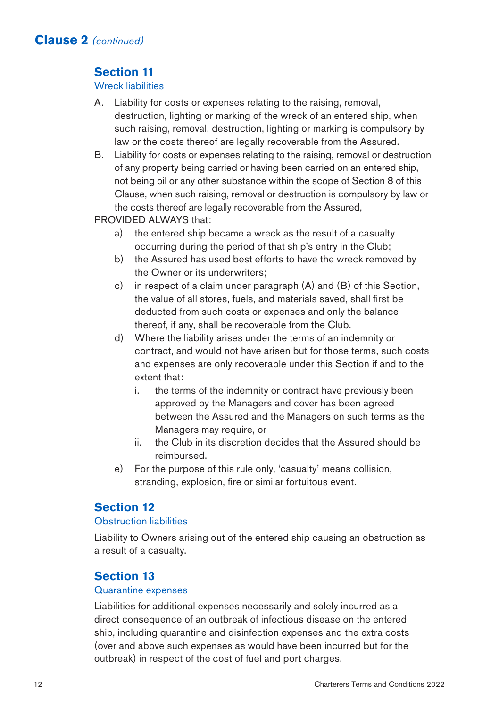# **Section 11**

#### Wreck liabilities

- A. Liability for costs or expenses relating to the raising, removal, destruction, lighting or marking of the wreck of an entered ship, when such raising, removal, destruction, lighting or marking is compulsory by law or the costs thereof are legally recoverable from the Assured.
- B. Liability for costs or expenses relating to the raising, removal or destruction of any property being carried or having been carried on an entered ship, not being oil or any other substance within the scope of Section 8 of this Clause, when such raising, removal or destruction is compulsory by law or the costs thereof are legally recoverable from the Assured,

PROVIDED ALWAYS that:

- a) the entered ship became a wreck as the result of a casualty occurring during the period of that ship's entry in the Club;
- b) the Assured has used best efforts to have the wreck removed by the Owner or its underwriters;
- c) in respect of a claim under paragraph (A) and (B) of this Section, the value of all stores, fuels, and materials saved, shall first be deducted from such costs or expenses and only the balance thereof, if any, shall be recoverable from the Club.
- d) Where the liability arises under the terms of an indemnity or contract, and would not have arisen but for those terms, such costs and expenses are only recoverable under this Section if and to the extent that:
	- i. the terms of the indemnity or contract have previously been approved by the Managers and cover has been agreed between the Assured and the Managers on such terms as the Managers may require, or
	- ii. the Club in its discretion decides that the Assured should be reimbursed.
- e) For the purpose of this rule only, 'casualty' means collision, stranding, explosion, fire or similar fortuitous event.

# **Section 12**

#### Obstruction liabilities

Liability to Owners arising out of the entered ship causing an obstruction as a result of a casualty.

# **Section 13**

#### Quarantine expenses

Liabilities for additional expenses necessarily and solely incurred as a direct consequence of an outbreak of infectious disease on the entered ship, including quarantine and disinfection expenses and the extra costs (over and above such expenses as would have been incurred but for the outbreak) in respect of the cost of fuel and port charges.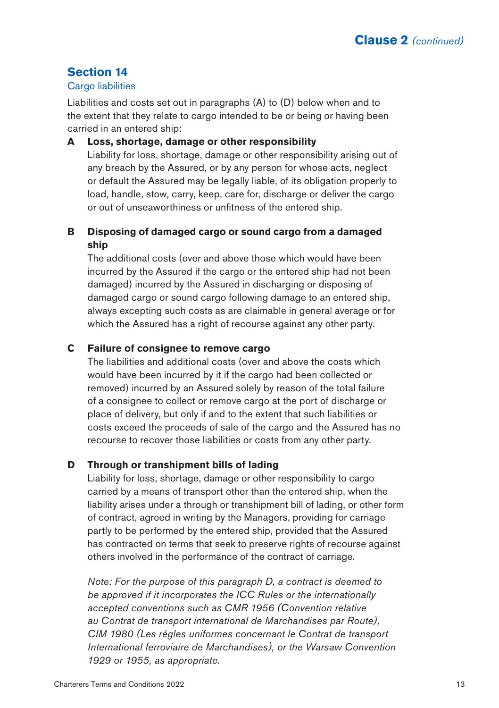# **Section 14**

#### **Cargo liabilities**

Liabilities and costs set out in paragraphs (A) to (D) below when and to the extent that they relate to cargo intended to be or being or having been carried in an entered ship:

#### **A Loss, shortage, damage or other responsibility**

Liability for loss, shortage, damage or other responsibility arising out of any breach by the Assured, or by any person for whose acts, neglect or default the Assured may be legally liable, of its obligation properly to load, handle, stow, carry, keep, care for, discharge or deliver the cargo or out of unseaworthiness or unfitness of the entered ship.

# **B Disposing of damaged cargo or sound cargo from a damaged ship**

The additional costs (over and above those which would have been incurred by the Assured if the cargo or the entered ship had not been damaged) incurred by the Assured in discharging or disposing of damaged cargo or sound cargo following damage to an entered ship, always excepting such costs as are claimable in general average or for which the Assured has a right of recourse against any other party.

#### **C Failure of consignee to remove cargo**

The liabilities and additional costs (over and above the costs which would have been incurred by it if the cargo had been collected or removed) incurred by an Assured solely by reason of the total failure of a consignee to collect or remove cargo at the port of discharge or place of delivery, but only if and to the extent that such liabilities or costs exceed the proceeds of sale of the cargo and the Assured has no recourse to recover those liabilities or costs from any other party.

#### **D Through or transhipment bills of lading**

Liability for loss, shortage, damage or other responsibility to cargo carried by a means of transport other than the entered ship, when the liability arises under a through or transhipment bill of lading, or other form of contract, agreed in writing by the Managers, providing for carriage partly to be performed by the entered ship, provided that the Assured has contracted on terms that seek to preserve rights of recourse against others involved in the performance of the contract of carriage.

*Note: For the purpose of this paragraph D, a contract is deemed to be approved if it incorporates the ICC Rules or the internationally accepted conventions such as CMR 1956 (Convention relative au Contrat de transport international de Marchandises par Route), CIM 1980 (Les régles uniformes concernant le Contrat de transport International ferroviaire de Marchandises), or the Warsaw Convention 1929 or 1955, as appropriate.*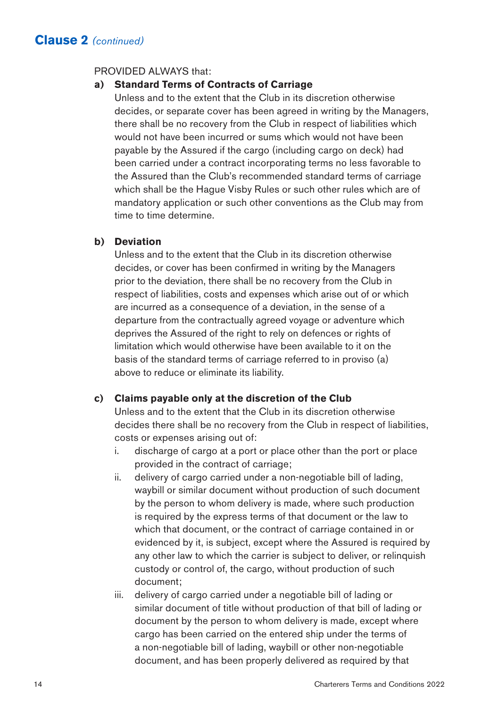#### PROVIDED ALWAYS that:

### **a) Standard Terms of Contracts of Carriage**

Unless and to the extent that the Club in its discretion otherwise decides, or separate cover has been agreed in writing by the Managers, there shall be no recovery from the Club in respect of liabilities which would not have been incurred or sums which would not have been payable by the Assured if the cargo (including cargo on deck) had been carried under a contract incorporating terms no less favorable to the Assured than the Club's recommended standard terms of carriage which shall be the Hague Visby Rules or such other rules which are of mandatory application or such other conventions as the Club may from time to time determine.

#### **b) Deviation**

Unless and to the extent that the Club in its discretion otherwise decides, or cover has been confirmed in writing by the Managers prior to the deviation, there shall be no recovery from the Club in respect of liabilities, costs and expenses which arise out of or which are incurred as a consequence of a deviation, in the sense of a departure from the contractually agreed voyage or adventure which deprives the Assured of the right to rely on defences or rights of limitation which would otherwise have been available to it on the basis of the standard terms of carriage referred to in proviso (a) above to reduce or eliminate its liability.

#### **c) Claims payable only at the discretion of the Club**

Unless and to the extent that the Club in its discretion otherwise decides there shall be no recovery from the Club in respect of liabilities, costs or expenses arising out of:

- i. discharge of cargo at a port or place other than the port or place provided in the contract of carriage;
- ii. delivery of cargo carried under a non-negotiable bill of lading, waybill or similar document without production of such document by the person to whom delivery is made, where such production is required by the express terms of that document or the law to which that document, or the contract of carriage contained in or evidenced by it, is subject, except where the Assured is required by any other law to which the carrier is subject to deliver, or relinquish custody or control of, the cargo, without production of such document;
- iii. delivery of cargo carried under a negotiable bill of lading or similar document of title without production of that bill of lading or document by the person to whom delivery is made, except where cargo has been carried on the entered ship under the terms of a non-negotiable bill of lading, waybill or other non-negotiable document, and has been properly delivered as required by that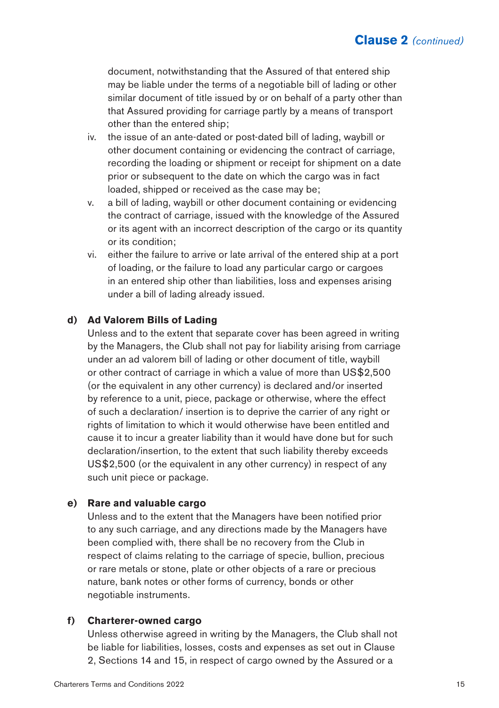document, notwithstanding that the Assured of that entered ship may be liable under the terms of a negotiable bill of lading or other similar document of title issued by or on behalf of a party other than that Assured providing for carriage partly by a means of transport other than the entered ship;

- iv. the issue of an ante-dated or post-dated bill of lading, waybill or other document containing or evidencing the contract of carriage, recording the loading or shipment or receipt for shipment on a date prior or subsequent to the date on which the cargo was in fact loaded, shipped or received as the case may be;
- v. a bill of lading, waybill or other document containing or evidencing the contract of carriage, issued with the knowledge of the Assured or its agent with an incorrect description of the cargo or its quantity or its condition;
- vi. either the failure to arrive or late arrival of the entered ship at a port of loading, or the failure to load any particular cargo or cargoes in an entered ship other than liabilities, loss and expenses arising under a bill of lading already issued.

#### **d) Ad Valorem Bills of Lading**

Unless and to the extent that separate cover has been agreed in writing by the Managers, the Club shall not pay for liability arising from carriage under an ad valorem bill of lading or other document of title, waybill or other contract of carriage in which a value of more than US\$2,500 (or the equivalent in any other currency) is declared and/or inserted by reference to a unit, piece, package or otherwise, where the effect of such a declaration/ insertion is to deprive the carrier of any right or rights of limitation to which it would otherwise have been entitled and cause it to incur a greater liability than it would have done but for such declaration/insertion, to the extent that such liability thereby exceeds US\$2,500 (or the equivalent in any other currency) in respect of any such unit piece or package.

#### **e) Rare and valuable cargo**

Unless and to the extent that the Managers have been notified prior to any such carriage, and any directions made by the Managers have been complied with, there shall be no recovery from the Club in respect of claims relating to the carriage of specie, bullion, precious or rare metals or stone, plate or other objects of a rare or precious nature, bank notes or other forms of currency, bonds or other negotiable instruments.

#### **f) Charterer-owned cargo**

Unless otherwise agreed in writing by the Managers, the Club shall not be liable for liabilities, losses, costs and expenses as set out in Clause 2, Sections 14 and 15, in respect of cargo owned by the Assured or a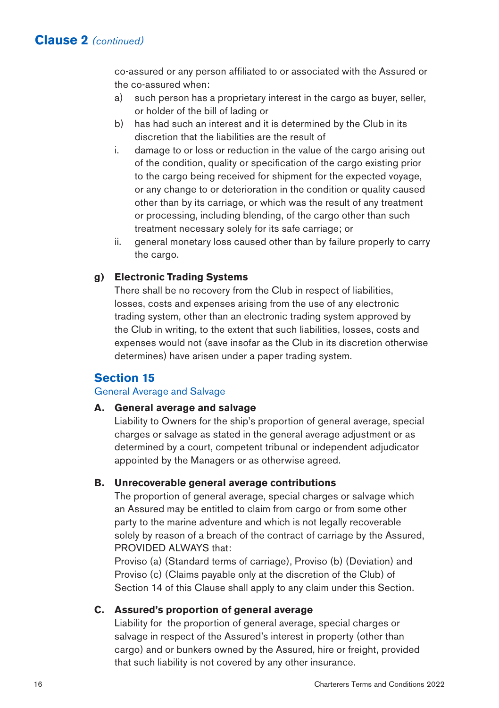co-assured or any person affiliated to or associated with the Assured or the co-assured when:

- a) such person has a proprietary interest in the cargo as buyer, seller, or holder of the bill of lading or
- b) has had such an interest and it is determined by the Club in its discretion that the liabilities are the result of
- i. damage to or loss or reduction in the value of the cargo arising out of the condition, quality or specification of the cargo existing prior to the cargo being received for shipment for the expected voyage, or any change to or deterioration in the condition or quality caused other than by its carriage, or which was the result of any treatment or processing, including blending, of the cargo other than such treatment necessary solely for its safe carriage; or
- ii. general monetary loss caused other than by failure properly to carry the cargo.

#### **g) Electronic Trading Systems**

There shall be no recovery from the Club in respect of liabilities, losses, costs and expenses arising from the use of any electronic trading system, other than an electronic trading system approved by the Club in writing, to the extent that such liabilities, losses, costs and expenses would not (save insofar as the Club in its discretion otherwise determines) have arisen under a paper trading system.

## **Section 15**

#### General Average and Salvage

#### **A. General average and salvage**

Liability to Owners for the ship's proportion of general average, special charges or salvage as stated in the general average adjustment or as determined by a court, competent tribunal or independent adjudicator appointed by the Managers or as otherwise agreed.

#### **B. Unrecoverable general average contributions**

The proportion of general average, special charges or salvage which an Assured may be entitled to claim from cargo or from some other party to the marine adventure and which is not legally recoverable solely by reason of a breach of the contract of carriage by the Assured, PROVIDED ALWAYS that:

Proviso (a) (Standard terms of carriage), Proviso (b) (Deviation) and Proviso (c) (Claims payable only at the discretion of the Club) of Section 14 of this Clause shall apply to any claim under this Section.

#### **C. Assured's proportion of general average**

Liability for the proportion of general average, special charges or salvage in respect of the Assured's interest in property (other than cargo) and or bunkers owned by the Assured, hire or freight, provided that such liability is not covered by any other insurance.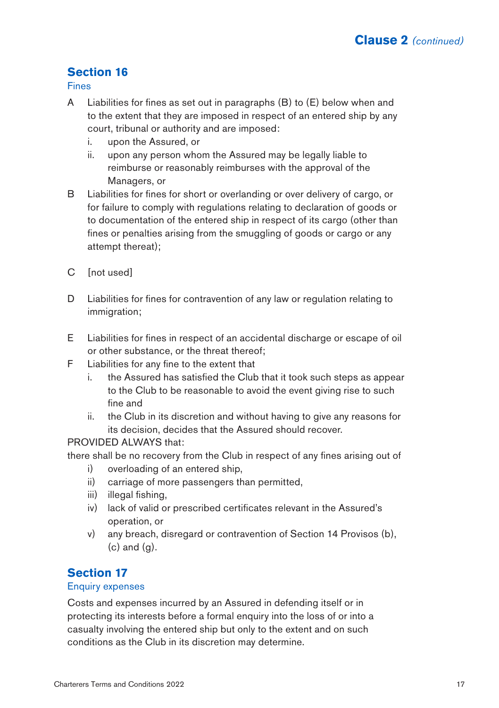# **Section 16**

Fines

- A Liabilities for fines as set out in paragraphs (B) to (E) below when and to the extent that they are imposed in respect of an entered ship by any court, tribunal or authority and are imposed:
	- i. upon the Assured, or
	- ii. upon any person whom the Assured may be legally liable to reimburse or reasonably reimburses with the approval of the Managers, or
- B Liabilities for fines for short or overlanding or over delivery of cargo, or for failure to comply with regulations relating to declaration of goods or to documentation of the entered ship in respect of its cargo (other than fines or penalties arising from the smuggling of goods or cargo or any attempt thereat);
- C [not used]
- D Liabilities for fines for contravention of any law or regulation relating to immigration;
- E Liabilities for fines in respect of an accidental discharge or escape of oil or other substance, or the threat thereof;
- F Liabilities for any fine to the extent that
	- i. the Assured has satisfied the Club that it took such steps as appear to the Club to be reasonable to avoid the event giving rise to such fine and
	- ii. the Club in its discretion and without having to give any reasons for its decision, decides that the Assured should recover.

# PROVIDED ALWAYS that:

there shall be no recovery from the Club in respect of any fines arising out of

- i) overloading of an entered ship,
- ii) carriage of more passengers than permitted,
- iii) illegal fishing,
- iv) lack of valid or prescribed certificates relevant in the Assured's operation, or
- v) any breach, disregard or contravention of Section 14 Provisos (b),  $(c)$  and  $(g)$ .

# **Section 17**

#### Enquiry expenses

Costs and expenses incurred by an Assured in defending itself or in protecting its interests before a formal enquiry into the loss of or into a casualty involving the entered ship but only to the extent and on such conditions as the Club in its discretion may determine.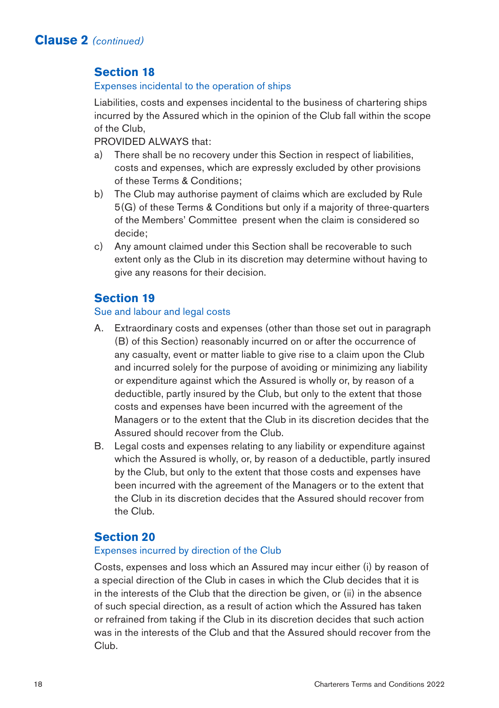# **Section 18**

#### Expenses incidental to the operation of ships

Liabilities, costs and expenses incidental to the business of chartering ships incurred by the Assured which in the opinion of the Club fall within the scope of the Club,

PROVIDED ALWAYS that:

- a) There shall be no recovery under this Section in respect of liabilities, costs and expenses, which are expressly excluded by other provisions of these Terms & Conditions;
- b) The Club may authorise payment of claims which are excluded by Rule 5(G) of these Terms & Conditions but only if a majority of three-quarters of the Members' Committee present when the claim is considered so decide;
- c) Any amount claimed under this Section shall be recoverable to such extent only as the Club in its discretion may determine without having to give any reasons for their decision.

# **Section 19**

# Sue and labour and legal costs

- A. Extraordinary costs and expenses (other than those set out in paragraph (B) of this Section) reasonably incurred on or after the occurrence of any casualty, event or matter liable to give rise to a claim upon the Club and incurred solely for the purpose of avoiding or minimizing any liability or expenditure against which the Assured is wholly or, by reason of a deductible, partly insured by the Club, but only to the extent that those costs and expenses have been incurred with the agreement of the Managers or to the extent that the Club in its discretion decides that the Assured should recover from the Club.
- B. Legal costs and expenses relating to any liability or expenditure against which the Assured is wholly, or, by reason of a deductible, partly insured by the Club, but only to the extent that those costs and expenses have been incurred with the agreement of the Managers or to the extent that the Club in its discretion decides that the Assured should recover from the Club.

# **Section 20**

#### Expenses incurred by direction of the Club

Costs, expenses and loss which an Assured may incur either (i) by reason of a special direction of the Club in cases in which the Club decides that it is in the interests of the Club that the direction be given, or (ii) in the absence of such special direction, as a result of action which the Assured has taken or refrained from taking if the Club in its discretion decides that such action was in the interests of the Club and that the Assured should recover from the Club.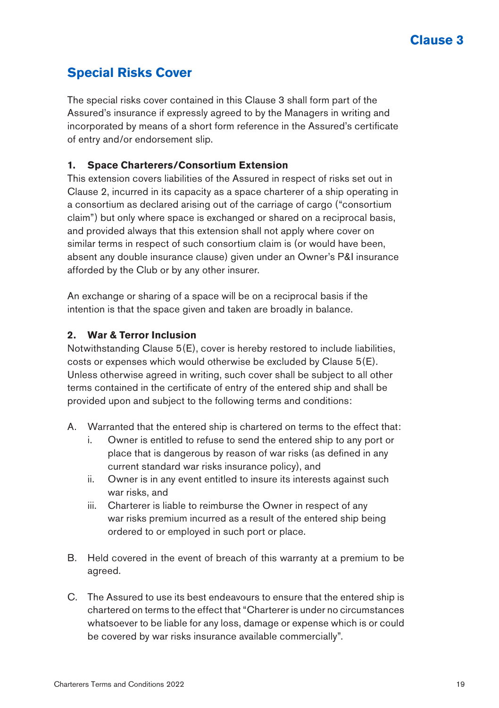# **Special Risks Cover**

The special risks cover contained in this Clause 3 shall form part of the Assured's insurance if expressly agreed to by the Managers in writing and incorporated by means of a short form reference in the Assured's certificate of entry and/or endorsement slip.

# **1. Space Charterers/Consortium Extension**

This extension covers liabilities of the Assured in respect of risks set out in Clause 2, incurred in its capacity as a space charterer of a ship operating in a consortium as declared arising out of the carriage of cargo ("consortium claim") but only where space is exchanged or shared on a reciprocal basis, and provided always that this extension shall not apply where cover on similar terms in respect of such consortium claim is (or would have been, absent any double insurance clause) given under an Owner's P&I insurance afforded by the Club or by any other insurer.

An exchange or sharing of a space will be on a reciprocal basis if the intention is that the space given and taken are broadly in balance.

### **2. War & Terror Inclusion**

Notwithstanding Clause 5(E), cover is hereby restored to include liabilities, costs or expenses which would otherwise be excluded by Clause 5(E). Unless otherwise agreed in writing, such cover shall be subject to all other terms contained in the certificate of entry of the entered ship and shall be provided upon and subject to the following terms and conditions:

- A. Warranted that the entered ship is chartered on terms to the effect that:
	- i. Owner is entitled to refuse to send the entered ship to any port or place that is dangerous by reason of war risks (as defined in any current standard war risks insurance policy), and
	- ii. Owner is in any event entitled to insure its interests against such war risks, and
	- iii. Charterer is liable to reimburse the Owner in respect of any war risks premium incurred as a result of the entered ship being ordered to or employed in such port or place.
- B. Held covered in the event of breach of this warranty at a premium to be agreed.
- C. The Assured to use its best endeavours to ensure that the entered ship is chartered on terms to the effect that "Charterer is under no circumstances whatsoever to be liable for any loss, damage or expense which is or could be covered by war risks insurance available commercially".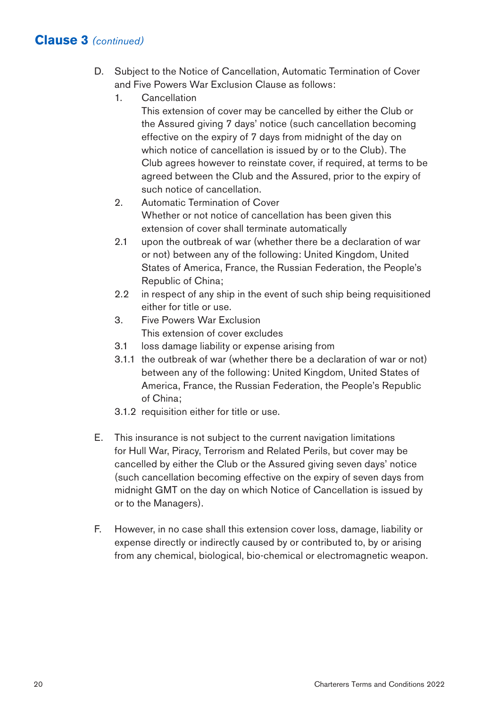- D. Subject to the Notice of Cancellation, Automatic Termination of Cover and Five Powers War Exclusion Clause as follows:
	- 1. Cancellation

This extension of cover may be cancelled by either the Club or the Assured giving 7 days' notice (such cancellation becoming effective on the expiry of 7 days from midnight of the day on which notice of cancellation is issued by or to the Club). The Club agrees however to reinstate cover, if required, at terms to be agreed between the Club and the Assured, prior to the expiry of such notice of cancellation.

- 2. Automatic Termination of Cover Whether or not notice of cancellation has been given this extension of cover shall terminate automatically
- 2.1 upon the outbreak of war (whether there be a declaration of war or not) between any of the following: United Kingdom, United States of America, France, the Russian Federation, the People's Republic of China;
- 2.2 in respect of any ship in the event of such ship being requisitioned either for title or use.
- 3. Five Powers War Exclusion This extension of cover excludes
- 3.1 loss damage liability or expense arising from
- 3.1.1 the outbreak of war (whether there be a declaration of war or not) between any of the following: United Kingdom, United States of America, France, the Russian Federation, the People's Republic of China;
- 3.1.2 requisition either for title or use.
- E. This insurance is not subject to the current navigation limitations for Hull War, Piracy, Terrorism and Related Perils, but cover may be cancelled by either the Club or the Assured giving seven days' notice (such cancellation becoming effective on the expiry of seven days from midnight GMT on the day on which Notice of Cancellation is issued by or to the Managers).
- F. However, in no case shall this extension cover loss, damage, liability or expense directly or indirectly caused by or contributed to, by or arising from any chemical, biological, bio-chemical or electromagnetic weapon.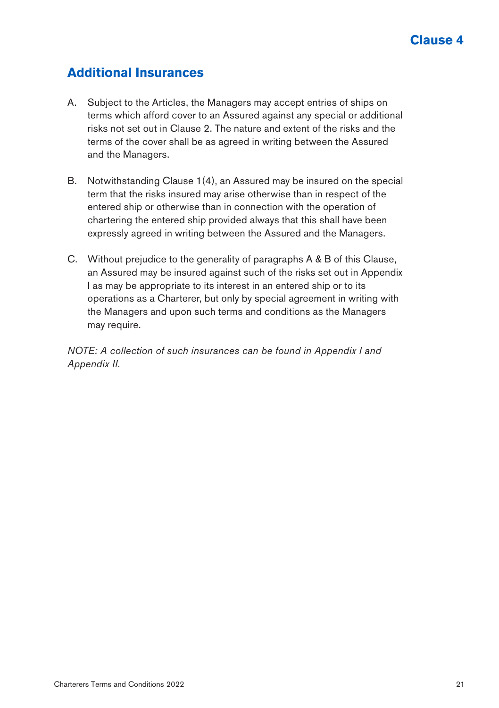# **Additional Insurances**

- A. Subject to the Articles, the Managers may accept entries of ships on terms which afford cover to an Assured against any special or additional risks not set out in Clause 2. The nature and extent of the risks and the terms of the cover shall be as agreed in writing between the Assured and the Managers.
- B. Notwithstanding Clause 1(4), an Assured may be insured on the special term that the risks insured may arise otherwise than in respect of the entered ship or otherwise than in connection with the operation of chartering the entered ship provided always that this shall have been expressly agreed in writing between the Assured and the Managers.
- C. Without prejudice to the generality of paragraphs A & B of this Clause, an Assured may be insured against such of the risks set out in Appendix I as may be appropriate to its interest in an entered ship or to its operations as a Charterer, but only by special agreement in writing with the Managers and upon such terms and conditions as the Managers may require.

*NOTE: A collection of such insurances can be found in Appendix I and Appendix II.*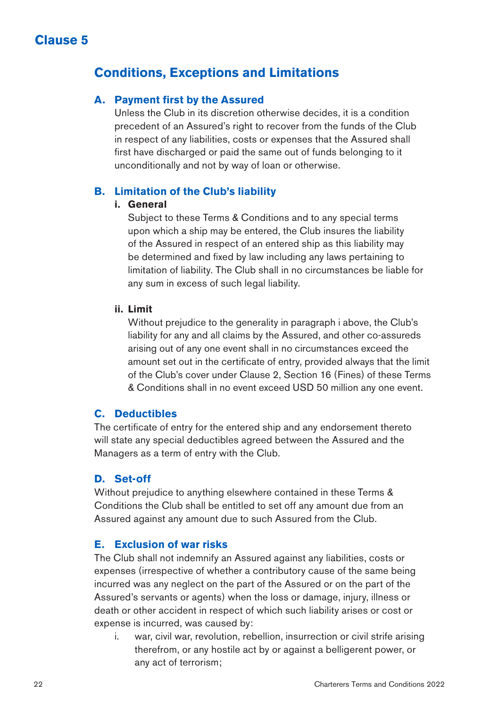# **Conditions, Exceptions and Limitations**

# **A. Payment first by the Assured**

Unless the Club in its discretion otherwise decides, it is a condition precedent of an Assured's right to recover from the funds of the Club in respect of any liabilities, costs or expenses that the Assured shall first have discharged or paid the same out of funds belonging to it unconditionally and not by way of loan or otherwise.

# **B. Limitation of the Club's liability**

#### **i. General**

Subject to these Terms & Conditions and to any special terms upon which a ship may be entered, the Club insures the liability of the Assured in respect of an entered ship as this liability may be determined and fixed by law including any laws pertaining to limitation of liability. The Club shall in no circumstances be liable for any sum in excess of such legal liability.

#### **ii. Limit**

Without prejudice to the generality in paragraph i above, the Club's liability for any and all claims by the Assured, and other co-assureds arising out of any one event shall in no circumstances exceed the amount set out in the certificate of entry, provided always that the limit of the Club's cover under Clause 2, Section 16 (Fines) of these Terms & Conditions shall in no event exceed USD 50 million any one event.

# **C. Deductibles**

The certificate of entry for the entered ship and any endorsement thereto will state any special deductibles agreed between the Assured and the Managers as a term of entry with the Club.

### **D. Set-off**

Without prejudice to anything elsewhere contained in these Terms & Conditions the Club shall be entitled to set off any amount due from an Assured against any amount due to such Assured from the Club.

# **E. Exclusion of war risks**

The Club shall not indemnify an Assured against any liabilities, costs or expenses (irrespective of whether a contributory cause of the same being incurred was any neglect on the part of the Assured or on the part of the Assured's servants or agents) when the loss or damage, injury, illness or death or other accident in respect of which such liability arises or cost or expense is incurred, was caused by:

i. war, civil war, revolution, rebellion, insurrection or civil strife arising therefrom, or any hostile act by or against a belligerent power, or any act of terrorism;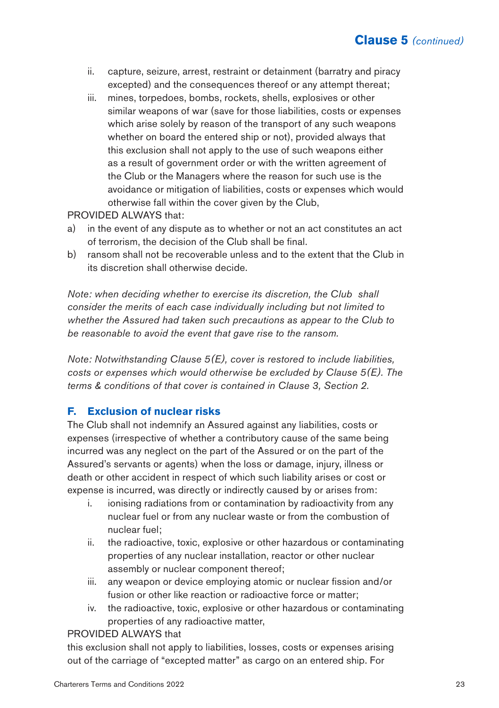- ii. capture, seizure, arrest, restraint or detainment (barratry and piracy excepted) and the consequences thereof or any attempt thereat;
- iii. mines, torpedoes, bombs, rockets, shells, explosives or other similar weapons of war (save for those liabilities, costs or expenses which arise solely by reason of the transport of any such weapons whether on board the entered ship or not), provided always that this exclusion shall not apply to the use of such weapons either as a result of government order or with the written agreement of the Club or the Managers where the reason for such use is the avoidance or mitigation of liabilities, costs or expenses which would otherwise fall within the cover given by the Club,

#### PROVIDED ALWAYS that:

- a) in the event of any dispute as to whether or not an act constitutes an act of terrorism, the decision of the Club shall be final.
- b) ransom shall not be recoverable unless and to the extent that the Club in its discretion shall otherwise decide.

*Note: when deciding whether to exercise its discretion, the Club shall consider the merits of each case individually including but not limited to whether the Assured had taken such precautions as appear to the Club to be reasonable to avoid the event that gave rise to the ransom.*

*Note: Notwithstanding Clause 5(E), cover is restored to include liabilities, costs or expenses which would otherwise be excluded by Clause 5(E). The terms & conditions of that cover is contained in Clause 3, Section 2.*

## **F. Exclusion of nuclear risks**

The Club shall not indemnify an Assured against any liabilities, costs or expenses (irrespective of whether a contributory cause of the same being incurred was any neglect on the part of the Assured or on the part of the Assured's servants or agents) when the loss or damage, injury, illness or death or other accident in respect of which such liability arises or cost or expense is incurred, was directly or indirectly caused by or arises from:

- i. ionising radiations from or contamination by radioactivity from any nuclear fuel or from any nuclear waste or from the combustion of nuclear fuel;
- ii. the radioactive, toxic, explosive or other hazardous or contaminating properties of any nuclear installation, reactor or other nuclear assembly or nuclear component thereof;
- iii. any weapon or device employing atomic or nuclear fission and/or fusion or other like reaction or radioactive force or matter;
- iv. the radioactive, toxic, explosive or other hazardous or contaminating properties of any radioactive matter,

#### PROVIDED ALWAYS that

this exclusion shall not apply to liabilities, losses, costs or expenses arising out of the carriage of "excepted matter" as cargo on an entered ship. For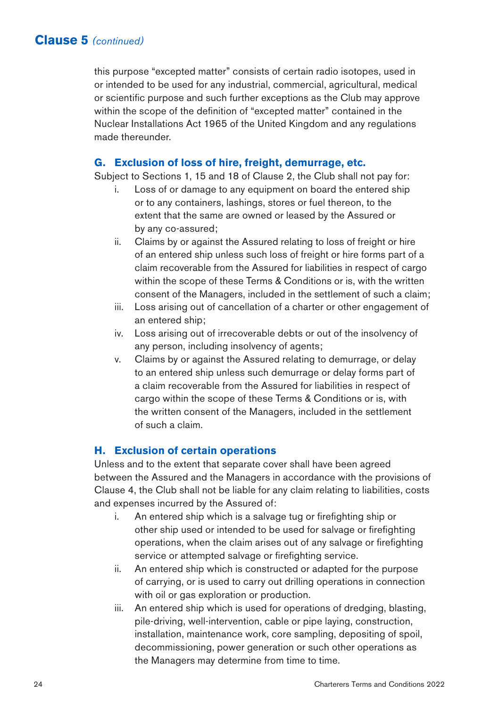this purpose "excepted matter" consists of certain radio isotopes, used in or intended to be used for any industrial, commercial, agricultural, medical or scientific purpose and such further exceptions as the Club may approve within the scope of the definition of "excepted matter" contained in the Nuclear Installations Act 1965 of the United Kingdom and any regulations made thereunder.

#### **G. Exclusion of loss of hire, freight, demurrage, etc.**

Subject to Sections 1, 15 and 18 of Clause 2, the Club shall not pay for:

- i. Loss of or damage to any equipment on board the entered ship or to any containers, lashings, stores or fuel thereon, to the extent that the same are owned or leased by the Assured or by any co-assured;
- ii. Claims by or against the Assured relating to loss of freight or hire of an entered ship unless such loss of freight or hire forms part of a claim recoverable from the Assured for liabilities in respect of cargo within the scope of these Terms & Conditions or is, with the written consent of the Managers, included in the settlement of such a claim;
- iii. Loss arising out of cancellation of a charter or other engagement of an entered ship;
- iv. Loss arising out of irrecoverable debts or out of the insolvency of any person, including insolvency of agents;
- v. Claims by or against the Assured relating to demurrage, or delay to an entered ship unless such demurrage or delay forms part of a claim recoverable from the Assured for liabilities in respect of cargo within the scope of these Terms & Conditions or is, with the written consent of the Managers, included in the settlement of such a claim.

### **H. Exclusion of certain operations**

Unless and to the extent that separate cover shall have been agreed between the Assured and the Managers in accordance with the provisions of Clause 4, the Club shall not be liable for any claim relating to liabilities, costs and expenses incurred by the Assured of:

- i. An entered ship which is a salvage tug or firefighting ship or other ship used or intended to be used for salvage or firefighting operations, when the claim arises out of any salvage or firefighting service or attempted salvage or firefighting service.
- ii. An entered ship which is constructed or adapted for the purpose of carrying, or is used to carry out drilling operations in connection with oil or gas exploration or production.
- iii. An entered ship which is used for operations of dredging, blasting, pile-driving, well-intervention, cable or pipe laying, construction, installation, maintenance work, core sampling, depositing of spoil, decommissioning, power generation or such other operations as the Managers may determine from time to time.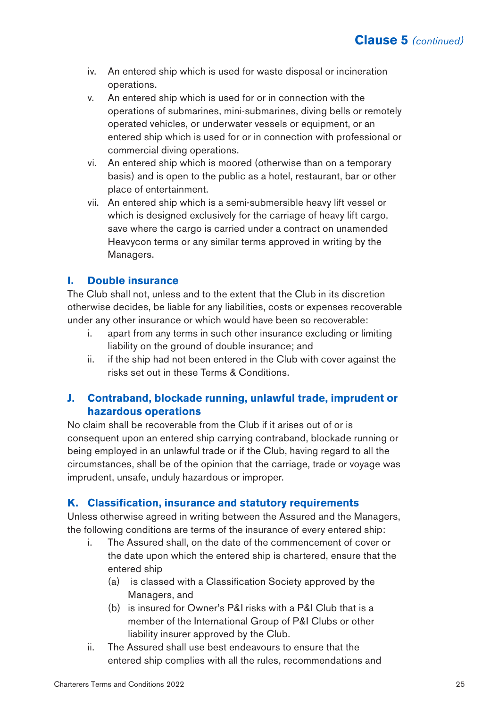- iv. An entered ship which is used for waste disposal or incineration operations.
- v. An entered ship which is used for or in connection with the operations of submarines, mini-submarines, diving bells or remotely operated vehicles, or underwater vessels or equipment, or an entered ship which is used for or in connection with professional or commercial diving operations.
- vi. An entered ship which is moored (otherwise than on a temporary basis) and is open to the public as a hotel, restaurant, bar or other place of entertainment.
- vii. An entered ship which is a semi-submersible heavy lift vessel or which is designed exclusively for the carriage of heavy lift cargo, save where the cargo is carried under a contract on unamended Heavycon terms or any similar terms approved in writing by the Managers.

#### **I. Double insurance**

The Club shall not, unless and to the extent that the Club in its discretion otherwise decides, be liable for any liabilities, costs or expenses recoverable under any other insurance or which would have been so recoverable:

- i. apart from any terms in such other insurance excluding or limiting liability on the ground of double insurance; and
- ii. if the ship had not been entered in the Club with cover against the risks set out in these Terms & Conditions.

### **J. Contraband, blockade running, unlawful trade, imprudent or hazardous operations**

No claim shall be recoverable from the Club if it arises out of or is consequent upon an entered ship carrying contraband, blockade running or being employed in an unlawful trade or if the Club, having regard to all the circumstances, shall be of the opinion that the carriage, trade or voyage was imprudent, unsafe, unduly hazardous or improper.

### **K. Classification, insurance and statutory requirements**

Unless otherwise agreed in writing between the Assured and the Managers, the following conditions are terms of the insurance of every entered ship:

- i. The Assured shall, on the date of the commencement of cover or the date upon which the entered ship is chartered, ensure that the entered ship
	- (a) is classed with a Classification Society approved by the Managers, and
	- (b) is insured for Owner's P&I risks with a P&I Club that is a member of the International Group of P&I Clubs or other liability insurer approved by the Club.
- ii. The Assured shall use best endeavours to ensure that the entered ship complies with all the rules, recommendations and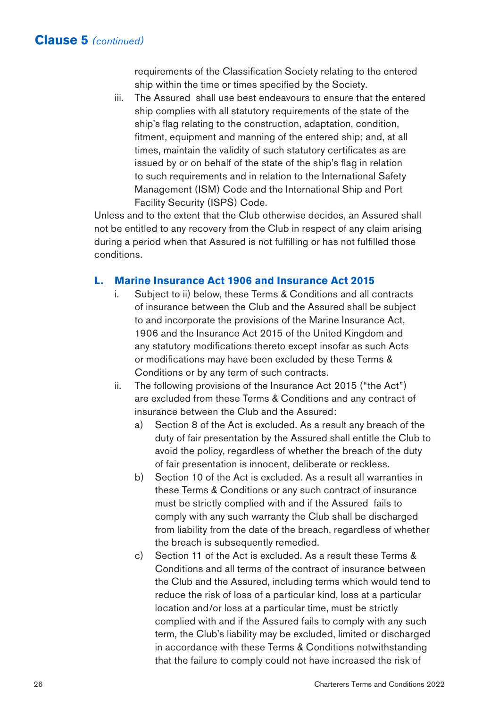requirements of the Classification Society relating to the entered ship within the time or times specified by the Society.

iii. The Assured shall use best endeavours to ensure that the entered ship complies with all statutory requirements of the state of the ship's flag relating to the construction, adaptation, condition, fitment, equipment and manning of the entered ship; and, at all times, maintain the validity of such statutory certificates as are issued by or on behalf of the state of the ship's flag in relation to such requirements and in relation to the International Safety Management (ISM) Code and the International Ship and Port Facility Security (ISPS) Code.

Unless and to the extent that the Club otherwise decides, an Assured shall not be entitled to any recovery from the Club in respect of any claim arising during a period when that Assured is not fulfilling or has not fulfilled those conditions.

#### **L. Marine Insurance Act 1906 and Insurance Act 2015**

- i. Subject to ii) below, these Terms & Conditions and all contracts of insurance between the Club and the Assured shall be subject to and incorporate the provisions of the Marine Insurance Act, 1906 and the Insurance Act 2015 of the United Kingdom and any statutory modifications thereto except insofar as such Acts or modifications may have been excluded by these Terms & Conditions or by any term of such contracts.
- ii. The following provisions of the Insurance Act 2015 ("the Act") are excluded from these Terms & Conditions and any contract of insurance between the Club and the Assured:
	- a) Section 8 of the Act is excluded. As a result any breach of the duty of fair presentation by the Assured shall entitle the Club to avoid the policy, regardless of whether the breach of the duty of fair presentation is innocent, deliberate or reckless.
	- b) Section 10 of the Act is excluded. As a result all warranties in these Terms & Conditions or any such contract of insurance must be strictly complied with and if the Assured fails to comply with any such warranty the Club shall be discharged from liability from the date of the breach, regardless of whether the breach is subsequently remedied.
	- c) Section 11 of the Act is excluded. As a result these Terms & Conditions and all terms of the contract of insurance between the Club and the Assured, including terms which would tend to reduce the risk of loss of a particular kind, loss at a particular location and/or loss at a particular time, must be strictly complied with and if the Assured fails to comply with any such term, the Club's liability may be excluded, limited or discharged in accordance with these Terms & Conditions notwithstanding that the failure to comply could not have increased the risk of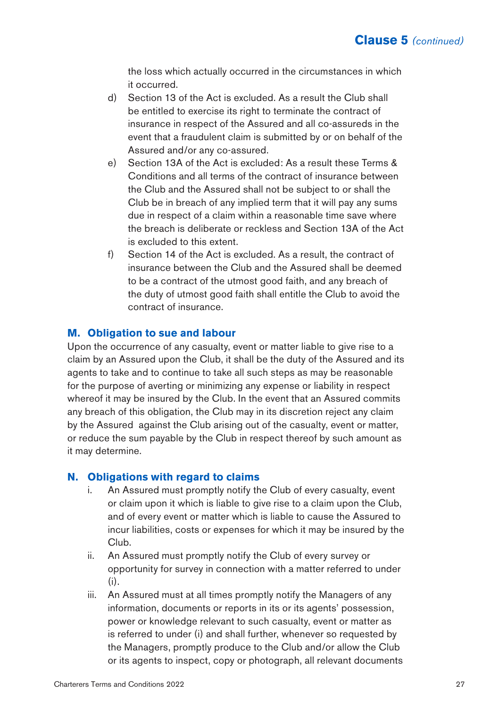the loss which actually occurred in the circumstances in which it occurred.

- d) Section 13 of the Act is excluded. As a result the Club shall be entitled to exercise its right to terminate the contract of insurance in respect of the Assured and all co-assureds in the event that a fraudulent claim is submitted by or on behalf of the Assured and/or any co-assured.
- e) Section 13A of the Act is excluded: As a result these Terms & Conditions and all terms of the contract of insurance between the Club and the Assured shall not be subject to or shall the Club be in breach of any implied term that it will pay any sums due in respect of a claim within a reasonable time save where the breach is deliberate or reckless and Section 13A of the Act is excluded to this extent.
- f) Section 14 of the Act is excluded. As a result, the contract of insurance between the Club and the Assured shall be deemed to be a contract of the utmost good faith, and any breach of the duty of utmost good faith shall entitle the Club to avoid the contract of insurance.

### **M. Obligation to sue and labour**

Upon the occurrence of any casualty, event or matter liable to give rise to a claim by an Assured upon the Club, it shall be the duty of the Assured and its agents to take and to continue to take all such steps as may be reasonable for the purpose of averting or minimizing any expense or liability in respect whereof it may be insured by the Club. In the event that an Assured commits any breach of this obligation, the Club may in its discretion reject any claim by the Assured against the Club arising out of the casualty, event or matter, or reduce the sum payable by the Club in respect thereof by such amount as it may determine.

### **N. Obligations with regard to claims**

- i. An Assured must promptly notify the Club of every casualty, event or claim upon it which is liable to give rise to a claim upon the Club, and of every event or matter which is liable to cause the Assured to incur liabilities, costs or expenses for which it may be insured by the Club.
- ii. An Assured must promptly notify the Club of every survey or opportunity for survey in connection with a matter referred to under (i).
- iii. An Assured must at all times promptly notify the Managers of any information, documents or reports in its or its agents' possession, power or knowledge relevant to such casualty, event or matter as is referred to under (i) and shall further, whenever so requested by the Managers, promptly produce to the Club and/or allow the Club or its agents to inspect, copy or photograph, all relevant documents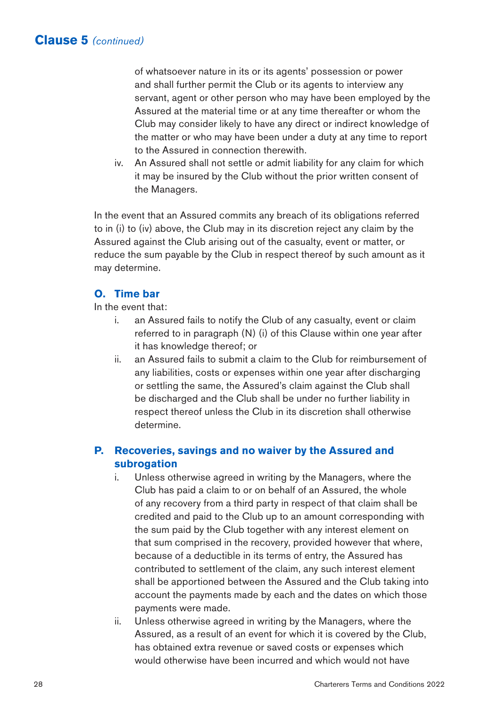of whatsoever nature in its or its agents' possession or power and shall further permit the Club or its agents to interview any servant, agent or other person who may have been employed by the Assured at the material time or at any time thereafter or whom the Club may consider likely to have any direct or indirect knowledge of the matter or who may have been under a duty at any time to report to the Assured in connection therewith.

iv. An Assured shall not settle or admit liability for any claim for which it may be insured by the Club without the prior written consent of the Managers.

In the event that an Assured commits any breach of its obligations referred to in (i) to (iv) above, the Club may in its discretion reject any claim by the Assured against the Club arising out of the casualty, event or matter, or reduce the sum payable by the Club in respect thereof by such amount as it may determine.

# **O. Time bar**

#### In the event that:

- i. an Assured fails to notify the Club of any casualty, event or claim referred to in paragraph (N) (i) of this Clause within one year after it has knowledge thereof; or
- ii. an Assured fails to submit a claim to the Club for reimbursement of any liabilities, costs or expenses within one year after discharging or settling the same, the Assured's claim against the Club shall be discharged and the Club shall be under no further liability in respect thereof unless the Club in its discretion shall otherwise determine.

# **P. Recoveries, savings and no waiver by the Assured and subrogation**

- i. Unless otherwise agreed in writing by the Managers, where the Club has paid a claim to or on behalf of an Assured, the whole of any recovery from a third party in respect of that claim shall be credited and paid to the Club up to an amount corresponding with the sum paid by the Club together with any interest element on that sum comprised in the recovery, provided however that where, because of a deductible in its terms of entry, the Assured has contributed to settlement of the claim, any such interest element shall be apportioned between the Assured and the Club taking into account the payments made by each and the dates on which those payments were made.
- ii. Unless otherwise agreed in writing by the Managers, where the Assured, as a result of an event for which it is covered by the Club, has obtained extra revenue or saved costs or expenses which would otherwise have been incurred and which would not have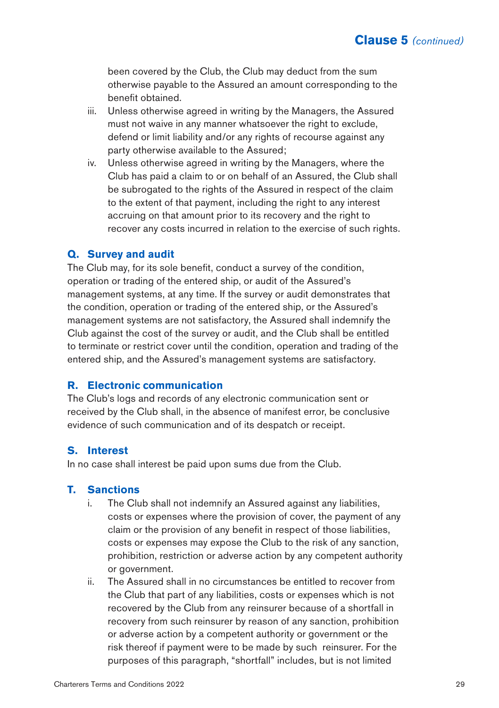been covered by the Club, the Club may deduct from the sum otherwise payable to the Assured an amount corresponding to the benefit obtained.

- iii. Unless otherwise agreed in writing by the Managers, the Assured must not waive in any manner whatsoever the right to exclude, defend or limit liability and/or any rights of recourse against any party otherwise available to the Assured;
- iv. Unless otherwise agreed in writing by the Managers, where the Club has paid a claim to or on behalf of an Assured, the Club shall be subrogated to the rights of the Assured in respect of the claim to the extent of that payment, including the right to any interest accruing on that amount prior to its recovery and the right to recover any costs incurred in relation to the exercise of such rights.

#### **Q. Survey and audit**

The Club may, for its sole benefit, conduct a survey of the condition, operation or trading of the entered ship, or audit of the Assured's management systems, at any time. If the survey or audit demonstrates that the condition, operation or trading of the entered ship, or the Assured's management systems are not satisfactory, the Assured shall indemnify the Club against the cost of the survey or audit, and the Club shall be entitled to terminate or restrict cover until the condition, operation and trading of the entered ship, and the Assured's management systems are satisfactory.

#### **R. Electronic communication**

The Club's logs and records of any electronic communication sent or received by the Club shall, in the absence of manifest error, be conclusive evidence of such communication and of its despatch or receipt.

#### **S. Interest**

In no case shall interest be paid upon sums due from the Club.

#### **T. Sanctions**

- i. The Club shall not indemnify an Assured against any liabilities, costs or expenses where the provision of cover, the payment of any claim or the provision of any benefit in respect of those liabilities, costs or expenses may expose the Club to the risk of any sanction, prohibition, restriction or adverse action by any competent authority or government.
- ii. The Assured shall in no circumstances be entitled to recover from the Club that part of any liabilities, costs or expenses which is not recovered by the Club from any reinsurer because of a shortfall in recovery from such reinsurer by reason of any sanction, prohibition or adverse action by a competent authority or government or the risk thereof if payment were to be made by such reinsurer. For the purposes of this paragraph, "shortfall" includes, but is not limited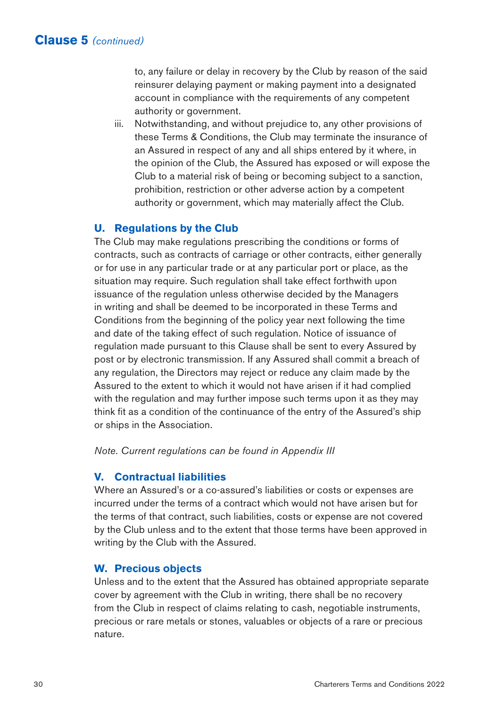to, any failure or delay in recovery by the Club by reason of the said reinsurer delaying payment or making payment into a designated account in compliance with the requirements of any competent authority or government.

iii. Notwithstanding, and without prejudice to, any other provisions of these Terms & Conditions, the Club may terminate the insurance of an Assured in respect of any and all ships entered by it where, in the opinion of the Club, the Assured has exposed or will expose the Club to a material risk of being or becoming subject to a sanction, prohibition, restriction or other adverse action by a competent authority or government, which may materially affect the Club.

### **U. Regulations by the Club**

The Club may make regulations prescribing the conditions or forms of contracts, such as contracts of carriage or other contracts, either generally or for use in any particular trade or at any particular port or place, as the situation may require. Such regulation shall take effect forthwith upon issuance of the regulation unless otherwise decided by the Managers in writing and shall be deemed to be incorporated in these Terms and Conditions from the beginning of the policy year next following the time and date of the taking effect of such regulation. Notice of issuance of regulation made pursuant to this Clause shall be sent to every Assured by post or by electronic transmission. If any Assured shall commit a breach of any regulation, the Directors may reject or reduce any claim made by the Assured to the extent to which it would not have arisen if it had complied with the regulation and may further impose such terms upon it as they may think fit as a condition of the continuance of the entry of the Assured's ship or ships in the Association.

*Note. Current regulations can be found in Appendix III*

### **V. Contractual liabilities**

Where an Assured's or a co-assured's liabilities or costs or expenses are incurred under the terms of a contract which would not have arisen but for the terms of that contract, such liabilities, costs or expense are not covered by the Club unless and to the extent that those terms have been approved in writing by the Club with the Assured.

### **W. Precious objects**

Unless and to the extent that the Assured has obtained appropriate separate cover by agreement with the Club in writing, there shall be no recovery from the Club in respect of claims relating to cash, negotiable instruments, precious or rare metals or stones, valuables or objects of a rare or precious nature.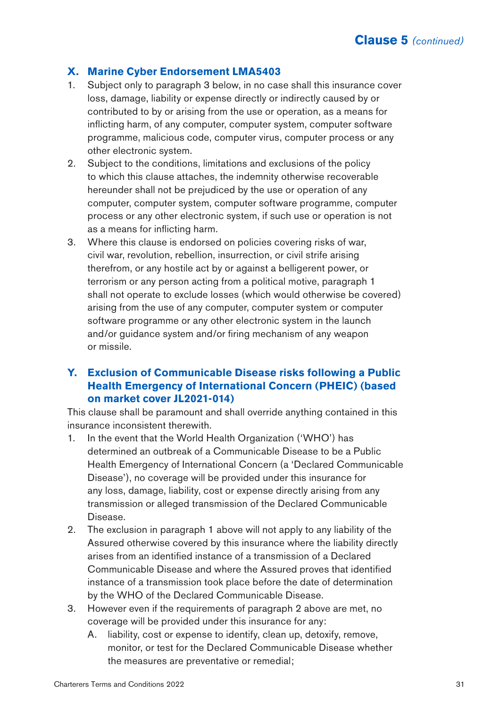### **X. Marine Cyber Endorsement LMA5403**

- 1. Subject only to paragraph 3 below, in no case shall this insurance cover loss, damage, liability or expense directly or indirectly caused by or contributed to by or arising from the use or operation, as a means for inflicting harm, of any computer, computer system, computer software programme, malicious code, computer virus, computer process or any other electronic system.
- 2. Subject to the conditions, limitations and exclusions of the policy to which this clause attaches, the indemnity otherwise recoverable hereunder shall not be prejudiced by the use or operation of any computer, computer system, computer software programme, computer process or any other electronic system, if such use or operation is not as a means for inflicting harm.
- 3. Where this clause is endorsed on policies covering risks of war, civil war, revolution, rebellion, insurrection, or civil strife arising therefrom, or any hostile act by or against a belligerent power, or terrorism or any person acting from a political motive, paragraph 1 shall not operate to exclude losses (which would otherwise be covered) arising from the use of any computer, computer system or computer software programme or any other electronic system in the launch and/or guidance system and/or firing mechanism of any weapon or missile.

# **Y. Exclusion of Communicable Disease risks following a Public Health Emergency of International Concern (PHEIC) (based on market cover JL2021-014)**

This clause shall be paramount and shall override anything contained in this insurance inconsistent therewith.

- 1. In the event that the World Health Organization ('WHO') has determined an outbreak of a Communicable Disease to be a Public Health Emergency of International Concern (a 'Declared Communicable Disease'), no coverage will be provided under this insurance for any loss, damage, liability, cost or expense directly arising from any transmission or alleged transmission of the Declared Communicable Disease.
- 2. The exclusion in paragraph 1 above will not apply to any liability of the Assured otherwise covered by this insurance where the liability directly arises from an identified instance of a transmission of a Declared Communicable Disease and where the Assured proves that identified instance of a transmission took place before the date of determination by the WHO of the Declared Communicable Disease.
- 3. However even if the requirements of paragraph 2 above are met, no coverage will be provided under this insurance for any:
	- A. liability, cost or expense to identify, clean up, detoxify, remove, monitor, or test for the Declared Communicable Disease whether the measures are preventative or remedial;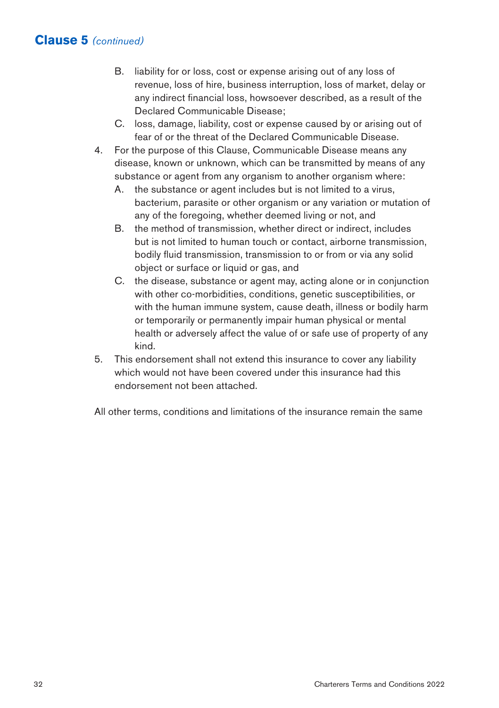- B. liability for or loss, cost or expense arising out of any loss of revenue, loss of hire, business interruption, loss of market, delay or any indirect financial loss, howsoever described, as a result of the Declared Communicable Disease;
- C. loss, damage, liability, cost or expense caused by or arising out of fear of or the threat of the Declared Communicable Disease.
- 4. For the purpose of this Clause, Communicable Disease means any disease, known or unknown, which can be transmitted by means of any substance or agent from any organism to another organism where:
	- A. the substance or agent includes but is not limited to a virus, bacterium, parasite or other organism or any variation or mutation of any of the foregoing, whether deemed living or not, and
	- B. the method of transmission, whether direct or indirect, includes but is not limited to human touch or contact, airborne transmission, bodily fluid transmission, transmission to or from or via any solid object or surface or liquid or gas, and
	- C. the disease, substance or agent may, acting alone or in conjunction with other co-morbidities, conditions, genetic susceptibilities, or with the human immune system, cause death, illness or bodily harm or temporarily or permanently impair human physical or mental health or adversely affect the value of or safe use of property of any kind.
- 5. This endorsement shall not extend this insurance to cover any liability which would not have been covered under this insurance had this endorsement not been attached.

All other terms, conditions and limitations of the insurance remain the same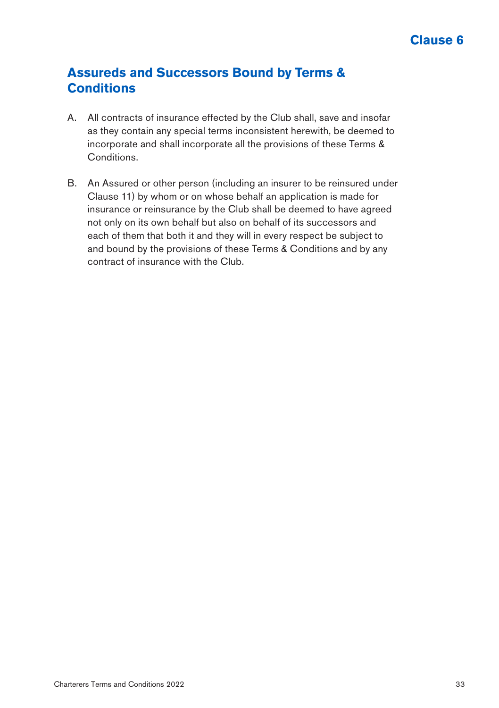# **Assureds and Successors Bound by Terms & Conditions**

- A. All contracts of insurance effected by the Club shall, save and insofar as they contain any special terms inconsistent herewith, be deemed to incorporate and shall incorporate all the provisions of these Terms & Conditions.
- B. An Assured or other person (including an insurer to be reinsured under Clause 11) by whom or on whose behalf an application is made for insurance or reinsurance by the Club shall be deemed to have agreed not only on its own behalf but also on behalf of its successors and each of them that both it and they will in every respect be subject to and bound by the provisions of these Terms & Conditions and by any contract of insurance with the Club.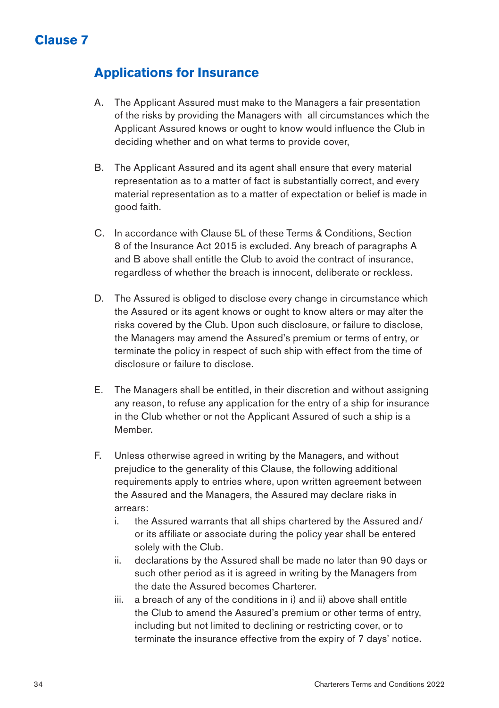# **Clause 7**

# **Applications for Insurance**

- A. The Applicant Assured must make to the Managers a fair presentation of the risks by providing the Managers with all circumstances which the Applicant Assured knows or ought to know would influence the Club in deciding whether and on what terms to provide cover,
- B. The Applicant Assured and its agent shall ensure that every material representation as to a matter of fact is substantially correct, and every material representation as to a matter of expectation or belief is made in good faith.
- C. In accordance with Clause 5L of these Terms & Conditions, Section 8 of the Insurance Act 2015 is excluded. Any breach of paragraphs A and B above shall entitle the Club to avoid the contract of insurance, regardless of whether the breach is innocent, deliberate or reckless.
- D. The Assured is obliged to disclose every change in circumstance which the Assured or its agent knows or ought to know alters or may alter the risks covered by the Club. Upon such disclosure, or failure to disclose, the Managers may amend the Assured's premium or terms of entry, or terminate the policy in respect of such ship with effect from the time of disclosure or failure to disclose.
- E. The Managers shall be entitled, in their discretion and without assigning any reason, to refuse any application for the entry of a ship for insurance in the Club whether or not the Applicant Assured of such a ship is a Member.
- F. Unless otherwise agreed in writing by the Managers, and without prejudice to the generality of this Clause, the following additional requirements apply to entries where, upon written agreement between the Assured and the Managers, the Assured may declare risks in arrears:
	- i. the Assured warrants that all ships chartered by the Assured and/ or its affiliate or associate during the policy year shall be entered solely with the Club.
	- ii. declarations by the Assured shall be made no later than 90 days or such other period as it is agreed in writing by the Managers from the date the Assured becomes Charterer.
	- iii. a breach of any of the conditions in i) and ii) above shall entitle the Club to amend the Assured's premium or other terms of entry, including but not limited to declining or restricting cover, or to terminate the insurance effective from the expiry of 7 days' notice.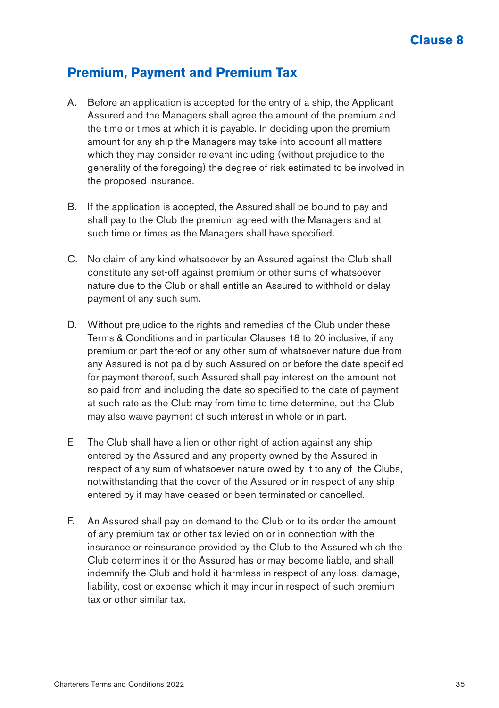### **Premium, Payment and Premium Tax**

- A. Before an application is accepted for the entry of a ship, the Applicant Assured and the Managers shall agree the amount of the premium and the time or times at which it is payable. In deciding upon the premium amount for any ship the Managers may take into account all matters which they may consider relevant including (without prejudice to the generality of the foregoing) the degree of risk estimated to be involved in the proposed insurance.
- B. If the application is accepted, the Assured shall be bound to pay and shall pay to the Club the premium agreed with the Managers and at such time or times as the Managers shall have specified.
- C. No claim of any kind whatsoever by an Assured against the Club shall constitute any set-off against premium or other sums of whatsoever nature due to the Club or shall entitle an Assured to withhold or delay payment of any such sum.
- D. Without prejudice to the rights and remedies of the Club under these Terms & Conditions and in particular Clauses 18 to 20 inclusive, if any premium or part thereof or any other sum of whatsoever nature due from any Assured is not paid by such Assured on or before the date specified for payment thereof, such Assured shall pay interest on the amount not so paid from and including the date so specified to the date of payment at such rate as the Club may from time to time determine, but the Club may also waive payment of such interest in whole or in part.
- E. The Club shall have a lien or other right of action against any ship entered by the Assured and any property owned by the Assured in respect of any sum of whatsoever nature owed by it to any of the Clubs, notwithstanding that the cover of the Assured or in respect of any ship entered by it may have ceased or been terminated or cancelled.
- F. An Assured shall pay on demand to the Club or to its order the amount of any premium tax or other tax levied on or in connection with the insurance or reinsurance provided by the Club to the Assured which the Club determines it or the Assured has or may become liable, and shall indemnify the Club and hold it harmless in respect of any loss, damage, liability, cost or expense which it may incur in respect of such premium tax or other similar tax.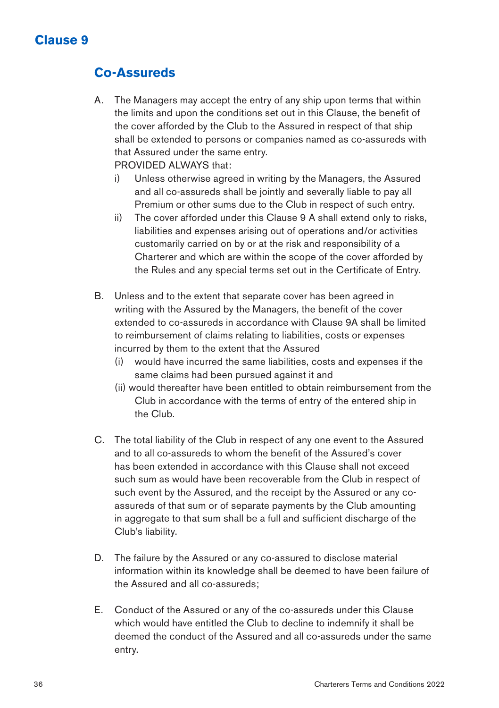# **Co-Assureds**

- A. The Managers may accept the entry of any ship upon terms that within the limits and upon the conditions set out in this Clause, the benefit of the cover afforded by the Club to the Assured in respect of that ship shall be extended to persons or companies named as co-assureds with that Assured under the same entry. PROVIDED ALWAYS that:
	- i) Unless otherwise agreed in writing by the Managers, the Assured and all co-assureds shall be jointly and severally liable to pay all Premium or other sums due to the Club in respect of such entry.
	- ii) The cover afforded under this Clause 9 A shall extend only to risks, liabilities and expenses arising out of operations and/or activities customarily carried on by or at the risk and responsibility of a Charterer and which are within the scope of the cover afforded by the Rules and any special terms set out in the Certificate of Entry.
- B. Unless and to the extent that separate cover has been agreed in writing with the Assured by the Managers, the benefit of the cover extended to co-assureds in accordance with Clause 9A shall be limited to reimbursement of claims relating to liabilities, costs or expenses incurred by them to the extent that the Assured
	- (i) would have incurred the same liabilities, costs and expenses if the same claims had been pursued against it and
	- (ii) would thereafter have been entitled to obtain reimbursement from the Club in accordance with the terms of entry of the entered ship in the Club.
- C. The total liability of the Club in respect of any one event to the Assured and to all co-assureds to whom the benefit of the Assured's cover has been extended in accordance with this Clause shall not exceed such sum as would have been recoverable from the Club in respect of such event by the Assured, and the receipt by the Assured or any coassureds of that sum or of separate payments by the Club amounting in aggregate to that sum shall be a full and sufficient discharge of the Club's liability.
- D. The failure by the Assured or any co-assured to disclose material information within its knowledge shall be deemed to have been failure of the Assured and all co-assureds;
- E. Conduct of the Assured or any of the co-assureds under this Clause which would have entitled the Club to decline to indemnify it shall be deemed the conduct of the Assured and all co-assureds under the same entry.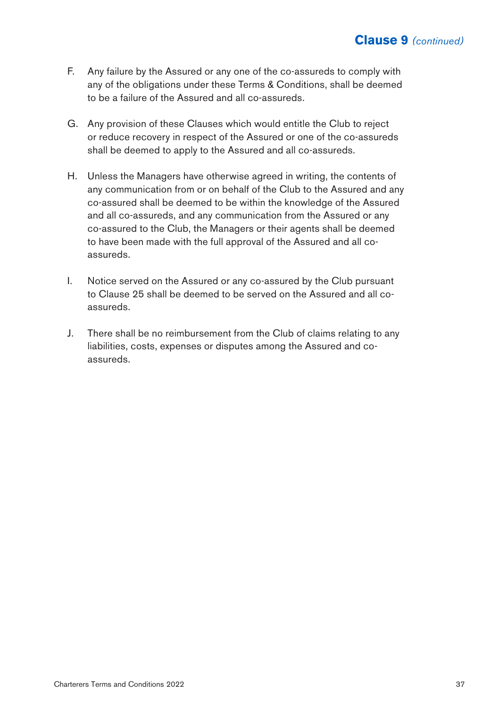- F. Any failure by the Assured or any one of the co-assureds to comply with any of the obligations under these Terms & Conditions, shall be deemed to be a failure of the Assured and all co-assureds.
- G. Any provision of these Clauses which would entitle the Club to reject or reduce recovery in respect of the Assured or one of the co-assureds shall be deemed to apply to the Assured and all co-assureds.
- H. Unless the Managers have otherwise agreed in writing, the contents of any communication from or on behalf of the Club to the Assured and any co-assured shall be deemed to be within the knowledge of the Assured and all co-assureds, and any communication from the Assured or any co-assured to the Club, the Managers or their agents shall be deemed to have been made with the full approval of the Assured and all coassureds.
- I. Notice served on the Assured or any co-assured by the Club pursuant to Clause 25 shall be deemed to be served on the Assured and all coassureds.
- J. There shall be no reimbursement from the Club of claims relating to any liabilities, costs, expenses or disputes among the Assured and coassureds.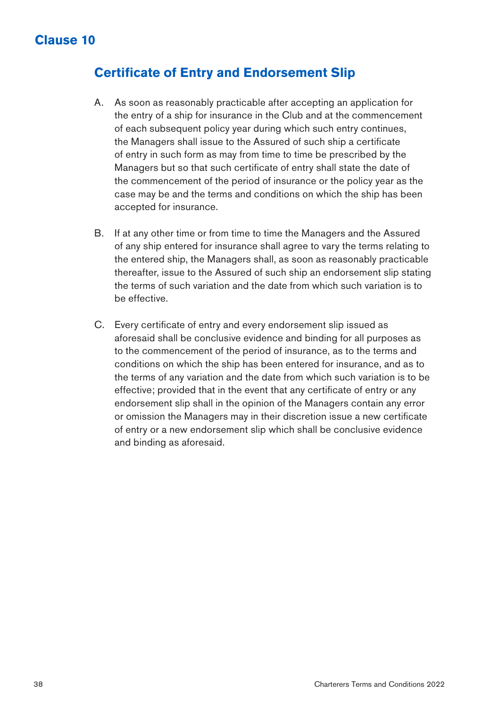### **Certificate of Entry and Endorsement Slip**

- A. As soon as reasonably practicable after accepting an application for the entry of a ship for insurance in the Club and at the commencement of each subsequent policy year during which such entry continues, the Managers shall issue to the Assured of such ship a certificate of entry in such form as may from time to time be prescribed by the Managers but so that such certificate of entry shall state the date of the commencement of the period of insurance or the policy year as the case may be and the terms and conditions on which the ship has been accepted for insurance.
- B. If at any other time or from time to time the Managers and the Assured of any ship entered for insurance shall agree to vary the terms relating to the entered ship, the Managers shall, as soon as reasonably practicable thereafter, issue to the Assured of such ship an endorsement slip stating the terms of such variation and the date from which such variation is to be effective.
- C. Every certificate of entry and every endorsement slip issued as aforesaid shall be conclusive evidence and binding for all purposes as to the commencement of the period of insurance, as to the terms and conditions on which the ship has been entered for insurance, and as to the terms of any variation and the date from which such variation is to be effective; provided that in the event that any certificate of entry or any endorsement slip shall in the opinion of the Managers contain any error or omission the Managers may in their discretion issue a new certificate of entry or a new endorsement slip which shall be conclusive evidence and binding as aforesaid.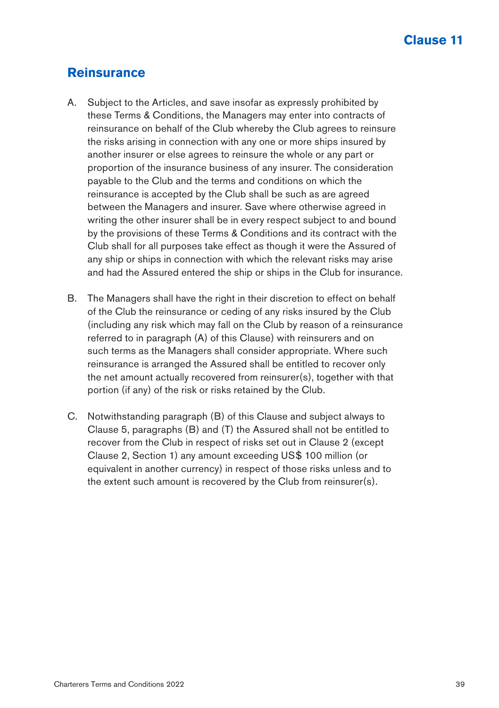### **Reinsurance**

- A. Subject to the Articles, and save insofar as expressly prohibited by these Terms & Conditions, the Managers may enter into contracts of reinsurance on behalf of the Club whereby the Club agrees to reinsure the risks arising in connection with any one or more ships insured by another insurer or else agrees to reinsure the whole or any part or proportion of the insurance business of any insurer. The consideration payable to the Club and the terms and conditions on which the reinsurance is accepted by the Club shall be such as are agreed between the Managers and insurer. Save where otherwise agreed in writing the other insurer shall be in every respect subject to and bound by the provisions of these Terms & Conditions and its contract with the Club shall for all purposes take effect as though it were the Assured of any ship or ships in connection with which the relevant risks may arise and had the Assured entered the ship or ships in the Club for insurance.
- B. The Managers shall have the right in their discretion to effect on behalf of the Club the reinsurance or ceding of any risks insured by the Club (including any risk which may fall on the Club by reason of a reinsurance referred to in paragraph (A) of this Clause) with reinsurers and on such terms as the Managers shall consider appropriate. Where such reinsurance is arranged the Assured shall be entitled to recover only the net amount actually recovered from reinsurer(s), together with that portion (if any) of the risk or risks retained by the Club.
- C. Notwithstanding paragraph (B) of this Clause and subject always to Clause 5, paragraphs (B) and (T) the Assured shall not be entitled to recover from the Club in respect of risks set out in Clause 2 (except Clause 2, Section 1) any amount exceeding US\$ 100 million (or equivalent in another currency) in respect of those risks unless and to the extent such amount is recovered by the Club from reinsurer(s).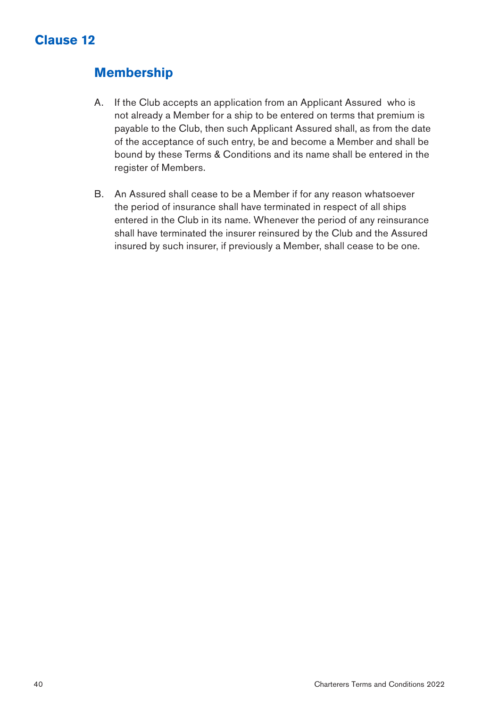# **Membership**

- A. If the Club accepts an application from an Applicant Assured who is not already a Member for a ship to be entered on terms that premium is payable to the Club, then such Applicant Assured shall, as from the date of the acceptance of such entry, be and become a Member and shall be bound by these Terms & Conditions and its name shall be entered in the register of Members.
- B. An Assured shall cease to be a Member if for any reason whatsoever the period of insurance shall have terminated in respect of all ships entered in the Club in its name. Whenever the period of any reinsurance shall have terminated the insurer reinsured by the Club and the Assured insured by such insurer, if previously a Member, shall cease to be one.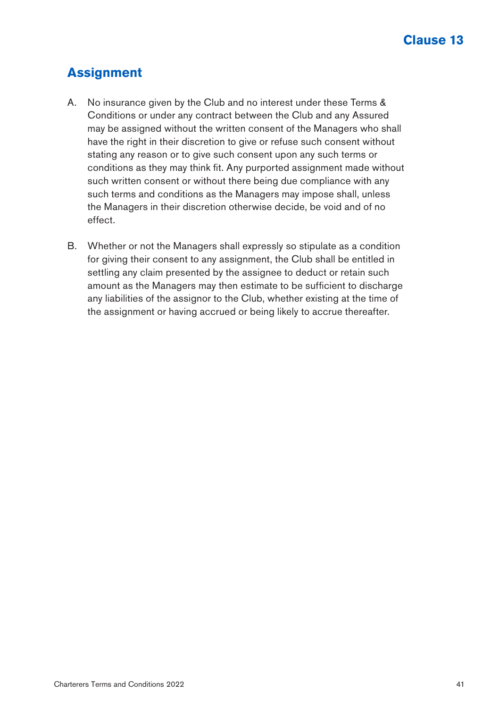# **Assignment**

- A. No insurance given by the Club and no interest under these Terms & Conditions or under any contract between the Club and any Assured may be assigned without the written consent of the Managers who shall have the right in their discretion to give or refuse such consent without stating any reason or to give such consent upon any such terms or conditions as they may think fit. Any purported assignment made without such written consent or without there being due compliance with any such terms and conditions as the Managers may impose shall, unless the Managers in their discretion otherwise decide, be void and of no effect.
- B. Whether or not the Managers shall expressly so stipulate as a condition for giving their consent to any assignment, the Club shall be entitled in settling any claim presented by the assignee to deduct or retain such amount as the Managers may then estimate to be sufficient to discharge any liabilities of the assignor to the Club, whether existing at the time of the assignment or having accrued or being likely to accrue thereafter.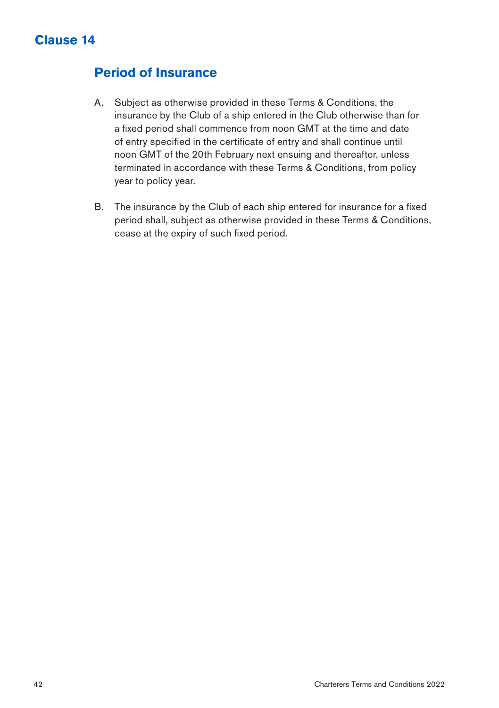#### **Period of Insurance**

- A. Subject as otherwise provided in these Terms & Conditions, the insurance by the Club of a ship entered in the Club otherwise than for a fixed period shall commence from noon GMT at the time and date of entry specified in the certificate of entry and shall continue until noon GMT of the 20th February next ensuing and thereafter, unless terminated in accordance with these Terms & Conditions, from policy year to policy year.
- B. The insurance by the Club of each ship entered for insurance for a fixed period shall, subject as otherwise provided in these Terms & Conditions, cease at the expiry of such fixed period.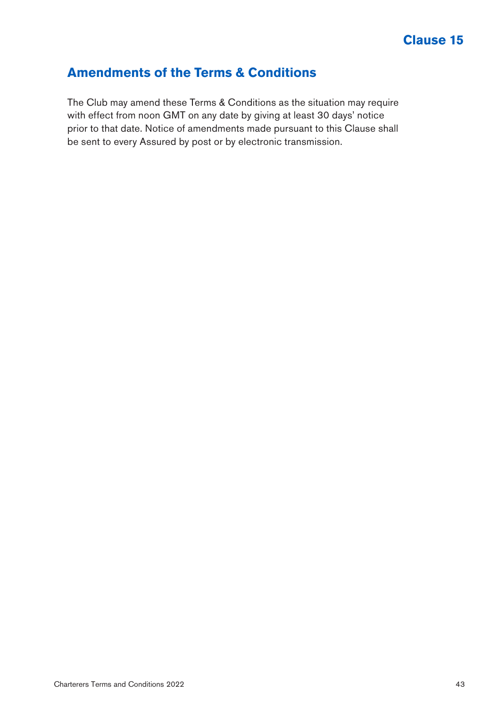### **Amendments of the Terms & Conditions**

The Club may amend these Terms & Conditions as the situation may require with effect from noon GMT on any date by giving at least 30 days' notice prior to that date. Notice of amendments made pursuant to this Clause shall be sent to every Assured by post or by electronic transmission.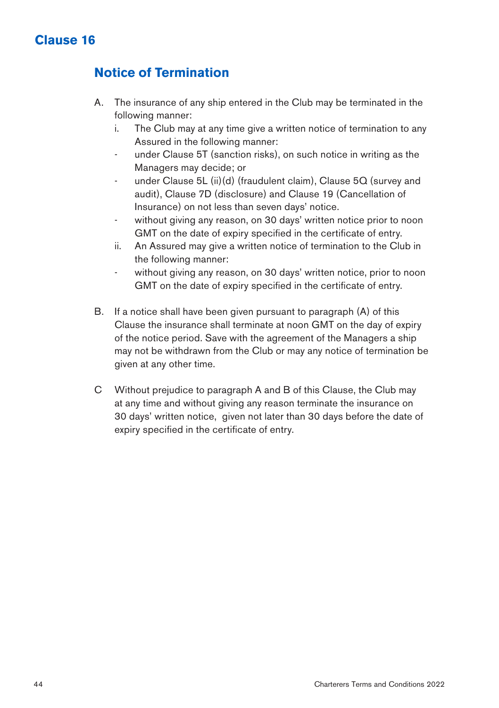# **Notice of Termination**

- A. The insurance of any ship entered in the Club may be terminated in the following manner:
	- i. The Club may at any time give a written notice of termination to any Assured in the following manner:
	- under Clause 5T (sanction risks), on such notice in writing as the Managers may decide; or
	- under Clause 5L (ii)(d) (fraudulent claim), Clause 5Q (survey and audit), Clause 7D (disclosure) and Clause 19 (Cancellation of Insurance) on not less than seven days' notice.
	- without giving any reason, on 30 days' written notice prior to noon GMT on the date of expiry specified in the certificate of entry.
	- ii. An Assured may give a written notice of termination to the Club in the following manner:
	- without giving any reason, on 30 days' written notice, prior to noon GMT on the date of expiry specified in the certificate of entry.
- B. If a notice shall have been given pursuant to paragraph (A) of this Clause the insurance shall terminate at noon GMT on the day of expiry of the notice period. Save with the agreement of the Managers a ship may not be withdrawn from the Club or may any notice of termination be given at any other time.
- C Without prejudice to paragraph A and B of this Clause, the Club may at any time and without giving any reason terminate the insurance on 30 days' written notice, given not later than 30 days before the date of expiry specified in the certificate of entry.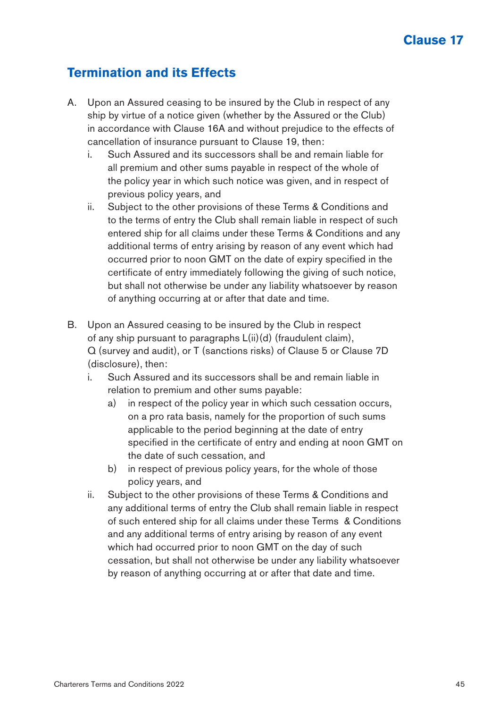#### **Termination and its Effects**

- A. Upon an Assured ceasing to be insured by the Club in respect of any ship by virtue of a notice given (whether by the Assured or the Club) in accordance with Clause 16A and without prejudice to the effects of cancellation of insurance pursuant to Clause 19, then:
	- i. Such Assured and its successors shall be and remain liable for all premium and other sums payable in respect of the whole of the policy year in which such notice was given, and in respect of previous policy years, and
	- ii. Subject to the other provisions of these Terms & Conditions and to the terms of entry the Club shall remain liable in respect of such entered ship for all claims under these Terms & Conditions and any additional terms of entry arising by reason of any event which had occurred prior to noon GMT on the date of expiry specified in the certificate of entry immediately following the giving of such notice, but shall not otherwise be under any liability whatsoever by reason of anything occurring at or after that date and time.
- B. Upon an Assured ceasing to be insured by the Club in respect of any ship pursuant to paragraphs L(ii)(d) (fraudulent claim), Q (survey and audit), or T (sanctions risks) of Clause 5 or Clause 7D (disclosure), then:
	- i. Such Assured and its successors shall be and remain liable in relation to premium and other sums payable:
		- a) in respect of the policy year in which such cessation occurs, on a pro rata basis, namely for the proportion of such sums applicable to the period beginning at the date of entry specified in the certificate of entry and ending at noon GMT on the date of such cessation, and
		- b) in respect of previous policy years, for the whole of those policy years, and
	- ii. Subject to the other provisions of these Terms & Conditions and any additional terms of entry the Club shall remain liable in respect of such entered ship for all claims under these Terms & Conditions and any additional terms of entry arising by reason of any event which had occurred prior to noon GMT on the day of such cessation, but shall not otherwise be under any liability whatsoever by reason of anything occurring at or after that date and time.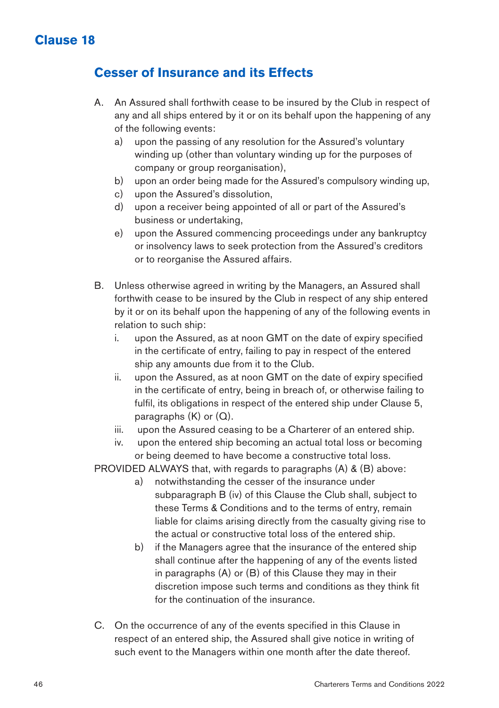#### **Cesser of Insurance and its Effects**

- A. An Assured shall forthwith cease to be insured by the Club in respect of any and all ships entered by it or on its behalf upon the happening of any of the following events:
	- a) upon the passing of any resolution for the Assured's voluntary winding up (other than voluntary winding up for the purposes of company or group reorganisation),
	- b) upon an order being made for the Assured's compulsory winding up,
	- c) upon the Assured's dissolution,
	- d) upon a receiver being appointed of all or part of the Assured's business or undertaking,
	- e) upon the Assured commencing proceedings under any bankruptcy or insolvency laws to seek protection from the Assured's creditors or to reorganise the Assured affairs.
- B. Unless otherwise agreed in writing by the Managers, an Assured shall forthwith cease to be insured by the Club in respect of any ship entered by it or on its behalf upon the happening of any of the following events in relation to such ship:
	- i. upon the Assured, as at noon GMT on the date of expiry specified in the certificate of entry, failing to pay in respect of the entered ship any amounts due from it to the Club.
	- ii. upon the Assured, as at noon GMT on the date of expiry specified in the certificate of entry, being in breach of, or otherwise failing to fulfil, its obligations in respect of the entered ship under Clause 5, paragraphs (K) or (Q).
	- iii. upon the Assured ceasing to be a Charterer of an entered ship.
	- iv. upon the entered ship becoming an actual total loss or becoming or being deemed to have become a constructive total loss.

PROVIDED ALWAYS that, with regards to paragraphs (A) & (B) above:

- a) notwithstanding the cesser of the insurance under subparagraph B (iv) of this Clause the Club shall, subject to these Terms & Conditions and to the terms of entry, remain liable for claims arising directly from the casualty giving rise to the actual or constructive total loss of the entered ship.
- b) if the Managers agree that the insurance of the entered ship shall continue after the happening of any of the events listed in paragraphs (A) or (B) of this Clause they may in their discretion impose such terms and conditions as they think fit for the continuation of the insurance.
- C. On the occurrence of any of the events specified in this Clause in respect of an entered ship, the Assured shall give notice in writing of such event to the Managers within one month after the date thereof.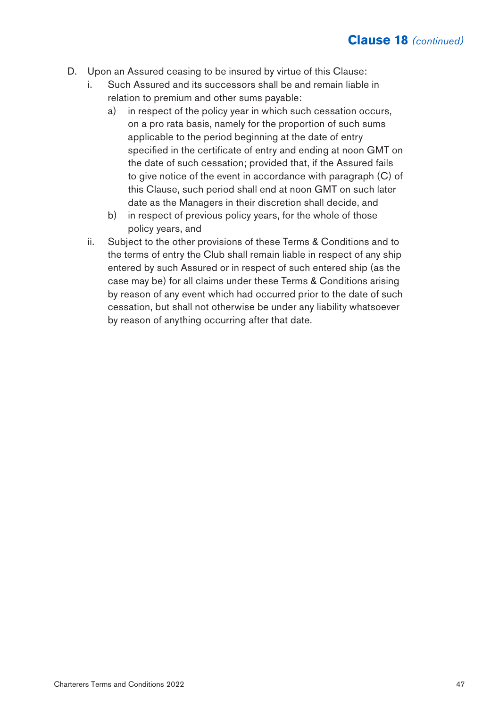- D. Upon an Assured ceasing to be insured by virtue of this Clause:
	- Such Assured and its successors shall be and remain liable in relation to premium and other sums payable:
		- a) in respect of the policy year in which such cessation occurs, on a pro rata basis, namely for the proportion of such sums applicable to the period beginning at the date of entry specified in the certificate of entry and ending at noon GMT on the date of such cessation; provided that, if the Assured fails to give notice of the event in accordance with paragraph (C) of this Clause, such period shall end at noon GMT on such later date as the Managers in their discretion shall decide, and
		- b) in respect of previous policy years, for the whole of those policy years, and
	- ii. Subject to the other provisions of these Terms & Conditions and to the terms of entry the Club shall remain liable in respect of any ship entered by such Assured or in respect of such entered ship (as the case may be) for all claims under these Terms & Conditions arising by reason of any event which had occurred prior to the date of such cessation, but shall not otherwise be under any liability whatsoever by reason of anything occurring after that date.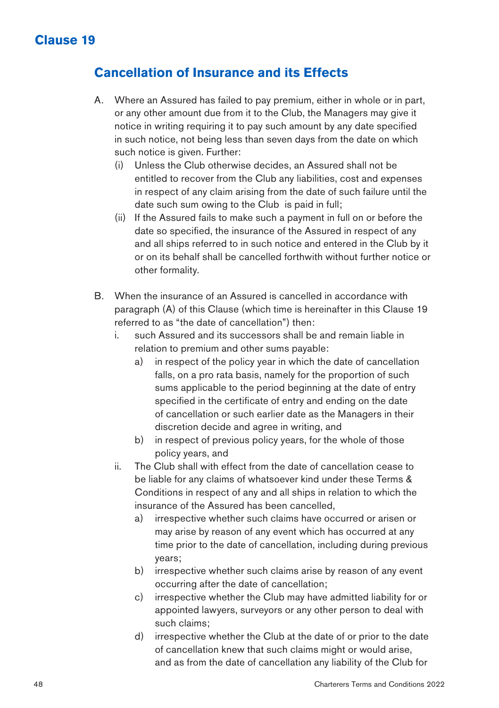### **Cancellation of Insurance and its Effects**

- A. Where an Assured has failed to pay premium, either in whole or in part, or any other amount due from it to the Club, the Managers may give it notice in writing requiring it to pay such amount by any date specified in such notice, not being less than seven days from the date on which such notice is given. Further:
	- (i) Unless the Club otherwise decides, an Assured shall not be entitled to recover from the Club any liabilities, cost and expenses in respect of any claim arising from the date of such failure until the date such sum owing to the Club is paid in full;
	- (ii) If the Assured fails to make such a payment in full on or before the date so specified, the insurance of the Assured in respect of any and all ships referred to in such notice and entered in the Club by it or on its behalf shall be cancelled forthwith without further notice or other formality.
- B. When the insurance of an Assured is cancelled in accordance with paragraph (A) of this Clause (which time is hereinafter in this Clause 19 referred to as "the date of cancellation") then:
	- i. such Assured and its successors shall be and remain liable in relation to premium and other sums payable:
		- a) in respect of the policy year in which the date of cancellation falls, on a pro rata basis, namely for the proportion of such sums applicable to the period beginning at the date of entry specified in the certificate of entry and ending on the date of cancellation or such earlier date as the Managers in their discretion decide and agree in writing, and
		- b) in respect of previous policy years, for the whole of those policy years, and
	- ii. The Club shall with effect from the date of cancellation cease to be liable for any claims of whatsoever kind under these Terms & Conditions in respect of any and all ships in relation to which the insurance of the Assured has been cancelled,
		- a) irrespective whether such claims have occurred or arisen or may arise by reason of any event which has occurred at any time prior to the date of cancellation, including during previous years;
		- b) irrespective whether such claims arise by reason of any event occurring after the date of cancellation;
		- c) irrespective whether the Club may have admitted liability for or appointed lawyers, surveyors or any other person to deal with such claims;
		- d) irrespective whether the Club at the date of or prior to the date of cancellation knew that such claims might or would arise, and as from the date of cancellation any liability of the Club for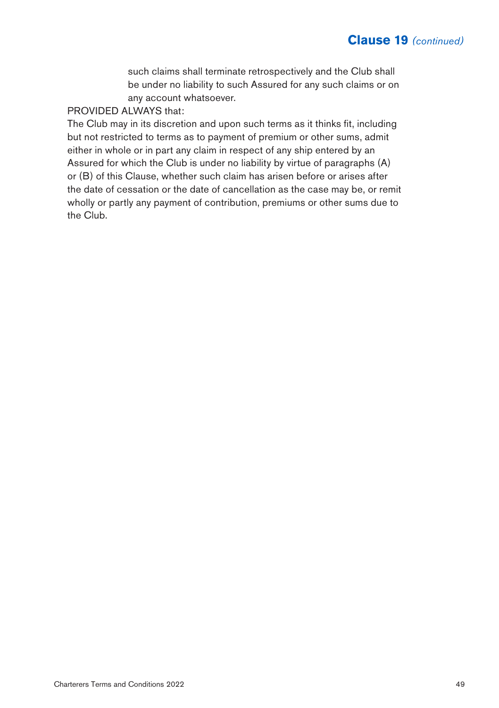such claims shall terminate retrospectively and the Club shall be under no liability to such Assured for any such claims or on any account whatsoever.

#### PROVIDED ALWAYS that:

The Club may in its discretion and upon such terms as it thinks fit, including but not restricted to terms as to payment of premium or other sums, admit either in whole or in part any claim in respect of any ship entered by an Assured for which the Club is under no liability by virtue of paragraphs (A) or (B) of this Clause, whether such claim has arisen before or arises after the date of cessation or the date of cancellation as the case may be, or remit wholly or partly any payment of contribution, premiums or other sums due to the Club.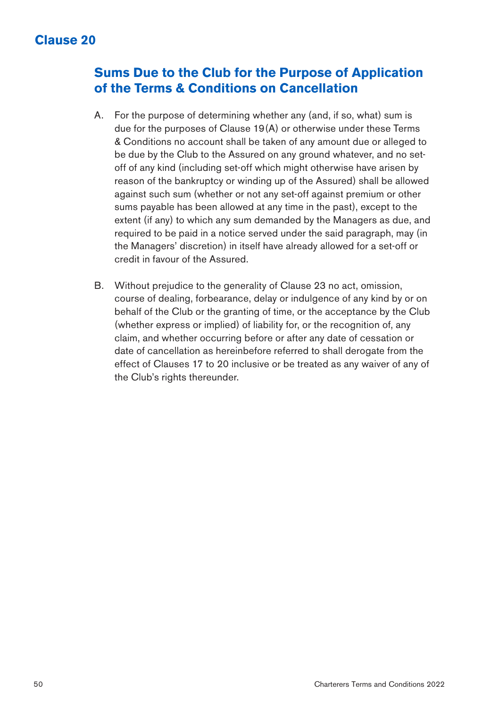### **Sums Due to the Club for the Purpose of Application of the Terms & Conditions on Cancellation**

- A. For the purpose of determining whether any (and, if so, what) sum is due for the purposes of Clause 19(A) or otherwise under these Terms & Conditions no account shall be taken of any amount due or alleged to be due by the Club to the Assured on any ground whatever, and no setoff of any kind (including set-off which might otherwise have arisen by reason of the bankruptcy or winding up of the Assured) shall be allowed against such sum (whether or not any set-off against premium or other sums payable has been allowed at any time in the past), except to the extent (if any) to which any sum demanded by the Managers as due, and required to be paid in a notice served under the said paragraph, may (in the Managers' discretion) in itself have already allowed for a set-off or credit in favour of the Assured.
- B. Without prejudice to the generality of Clause 23 no act, omission, course of dealing, forbearance, delay or indulgence of any kind by or on behalf of the Club or the granting of time, or the acceptance by the Club (whether express or implied) of liability for, or the recognition of, any claim, and whether occurring before or after any date of cessation or date of cancellation as hereinbefore referred to shall derogate from the effect of Clauses 17 to 20 inclusive or be treated as any waiver of any of the Club's rights thereunder.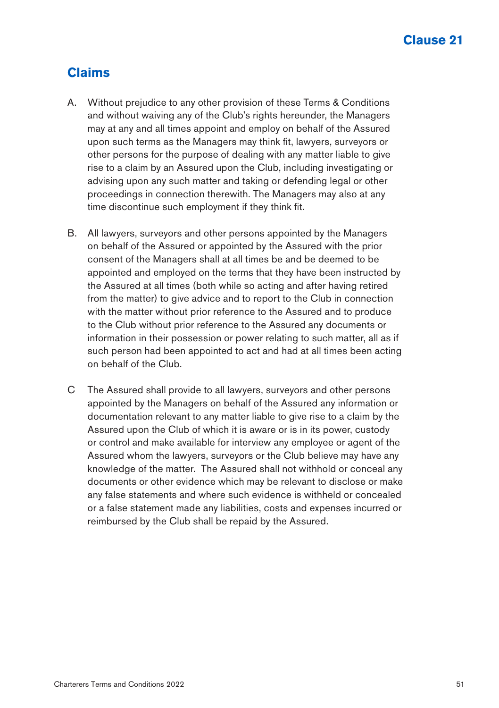### **Claims**

- A. Without prejudice to any other provision of these Terms & Conditions and without waiving any of the Club's rights hereunder, the Managers may at any and all times appoint and employ on behalf of the Assured upon such terms as the Managers may think fit, lawyers, surveyors or other persons for the purpose of dealing with any matter liable to give rise to a claim by an Assured upon the Club, including investigating or advising upon any such matter and taking or defending legal or other proceedings in connection therewith. The Managers may also at any time discontinue such employment if they think fit.
- B. All lawyers, surveyors and other persons appointed by the Managers on behalf of the Assured or appointed by the Assured with the prior consent of the Managers shall at all times be and be deemed to be appointed and employed on the terms that they have been instructed by the Assured at all times (both while so acting and after having retired from the matter) to give advice and to report to the Club in connection with the matter without prior reference to the Assured and to produce to the Club without prior reference to the Assured any documents or information in their possession or power relating to such matter, all as if such person had been appointed to act and had at all times been acting on behalf of the Club.
- C The Assured shall provide to all lawyers, surveyors and other persons appointed by the Managers on behalf of the Assured any information or documentation relevant to any matter liable to give rise to a claim by the Assured upon the Club of which it is aware or is in its power, custody or control and make available for interview any employee or agent of the Assured whom the lawyers, surveyors or the Club believe may have any knowledge of the matter. The Assured shall not withhold or conceal any documents or other evidence which may be relevant to disclose or make any false statements and where such evidence is withheld or concealed or a false statement made any liabilities, costs and expenses incurred or reimbursed by the Club shall be repaid by the Assured.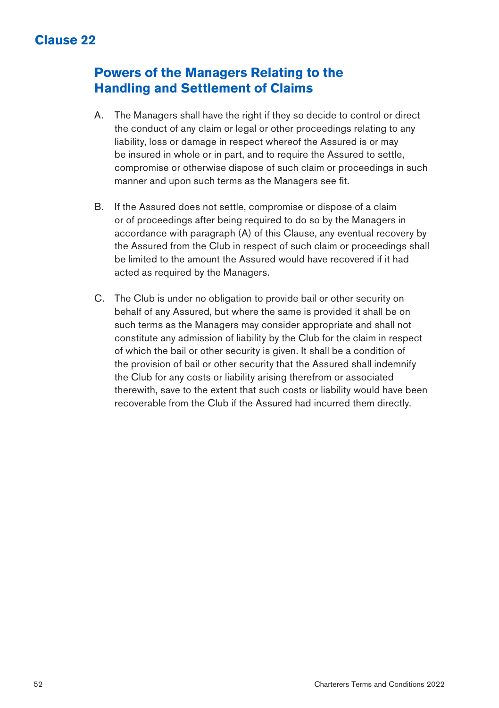#### **Powers of the Managers Relating to the Handling and Settlement of Claims**

- A. The Managers shall have the right if they so decide to control or direct the conduct of any claim or legal or other proceedings relating to any liability, loss or damage in respect whereof the Assured is or may be insured in whole or in part, and to require the Assured to settle. compromise or otherwise dispose of such claim or proceedings in such manner and upon such terms as the Managers see fit.
- B. If the Assured does not settle, compromise or dispose of a claim or of proceedings after being required to do so by the Managers in accordance with paragraph (A) of this Clause, any eventual recovery by the Assured from the Club in respect of such claim or proceedings shall be limited to the amount the Assured would have recovered if it had acted as required by the Managers.
- C. The Club is under no obligation to provide bail or other security on behalf of any Assured, but where the same is provided it shall be on such terms as the Managers may consider appropriate and shall not constitute any admission of liability by the Club for the claim in respect of which the bail or other security is given. It shall be a condition of the provision of bail or other security that the Assured shall indemnify the Club for any costs or liability arising therefrom or associated therewith, save to the extent that such costs or liability would have been recoverable from the Club if the Assured had incurred them directly.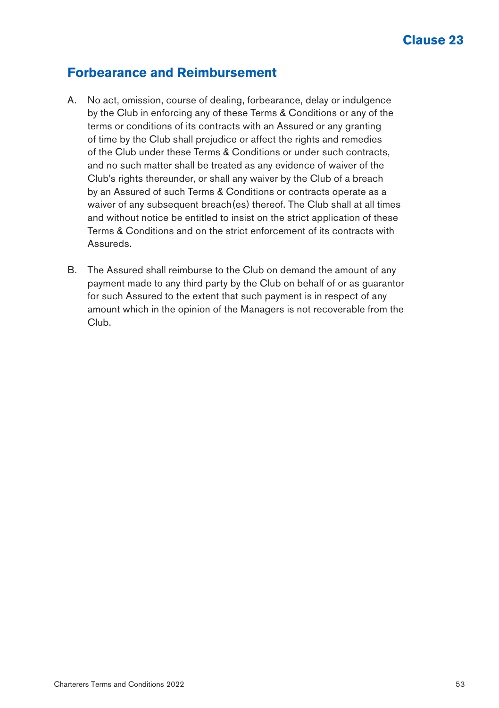#### **Forbearance and Reimbursement**

- A. No act, omission, course of dealing, forbearance, delay or indulgence by the Club in enforcing any of these Terms & Conditions or any of the terms or conditions of its contracts with an Assured or any granting of time by the Club shall prejudice or affect the rights and remedies of the Club under these Terms & Conditions or under such contracts, and no such matter shall be treated as any evidence of waiver of the Club's rights thereunder, or shall any waiver by the Club of a breach by an Assured of such Terms & Conditions or contracts operate as a waiver of any subsequent breach(es) thereof. The Club shall at all times and without notice be entitled to insist on the strict application of these Terms & Conditions and on the strict enforcement of its contracts with Assureds.
- B. The Assured shall reimburse to the Club on demand the amount of any payment made to any third party by the Club on behalf of or as guarantor for such Assured to the extent that such payment is in respect of any amount which in the opinion of the Managers is not recoverable from the Club.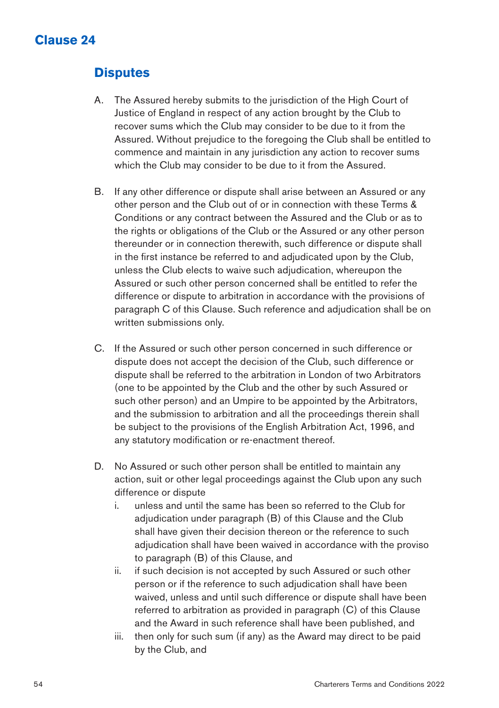# **Disputes**

- A. The Assured hereby submits to the jurisdiction of the High Court of Justice of England in respect of any action brought by the Club to recover sums which the Club may consider to be due to it from the Assured. Without prejudice to the foregoing the Club shall be entitled to commence and maintain in any jurisdiction any action to recover sums which the Club may consider to be due to it from the Assured.
- B. If any other difference or dispute shall arise between an Assured or any other person and the Club out of or in connection with these Terms & Conditions or any contract between the Assured and the Club or as to the rights or obligations of the Club or the Assured or any other person thereunder or in connection therewith, such difference or dispute shall in the first instance be referred to and adjudicated upon by the Club, unless the Club elects to waive such adjudication, whereupon the Assured or such other person concerned shall be entitled to refer the difference or dispute to arbitration in accordance with the provisions of paragraph C of this Clause. Such reference and adjudication shall be on written submissions only.
- C. If the Assured or such other person concerned in such difference or dispute does not accept the decision of the Club, such difference or dispute shall be referred to the arbitration in London of two Arbitrators (one to be appointed by the Club and the other by such Assured or such other person) and an Umpire to be appointed by the Arbitrators, and the submission to arbitration and all the proceedings therein shall be subject to the provisions of the English Arbitration Act, 1996, and any statutory modification or re-enactment thereof.
- D. No Assured or such other person shall be entitled to maintain any action, suit or other legal proceedings against the Club upon any such difference or dispute
	- i. unless and until the same has been so referred to the Club for adjudication under paragraph (B) of this Clause and the Club shall have given their decision thereon or the reference to such adjudication shall have been waived in accordance with the proviso to paragraph (B) of this Clause, and
	- ii. if such decision is not accepted by such Assured or such other person or if the reference to such adjudication shall have been waived, unless and until such difference or dispute shall have been referred to arbitration as provided in paragraph (C) of this Clause and the Award in such reference shall have been published, and
	- iii. then only for such sum (if any) as the Award may direct to be paid by the Club, and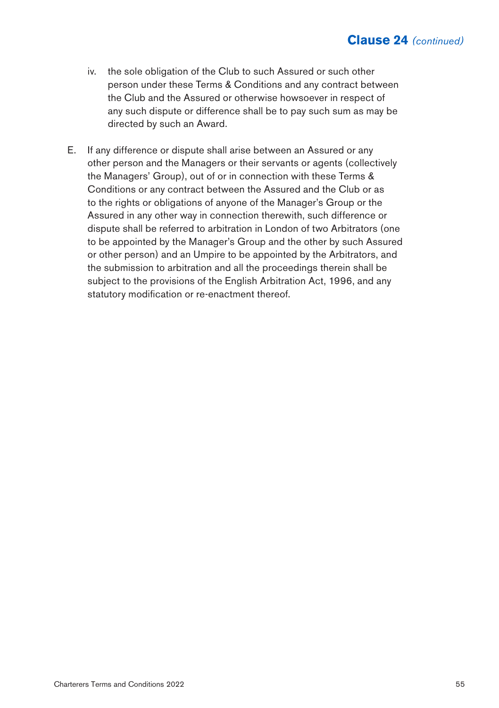- iv. the sole obligation of the Club to such Assured or such other person under these Terms & Conditions and any contract between the Club and the Assured or otherwise howsoever in respect of any such dispute or difference shall be to pay such sum as may be directed by such an Award.
- E. If any difference or dispute shall arise between an Assured or any other person and the Managers or their servants or agents (collectively the Managers' Group), out of or in connection with these Terms & Conditions or any contract between the Assured and the Club or as to the rights or obligations of anyone of the Manager's Group or the Assured in any other way in connection therewith, such difference or dispute shall be referred to arbitration in London of two Arbitrators (one to be appointed by the Manager's Group and the other by such Assured or other person) and an Umpire to be appointed by the Arbitrators, and the submission to arbitration and all the proceedings therein shall be subject to the provisions of the English Arbitration Act, 1996, and any statutory modification or re-enactment thereof.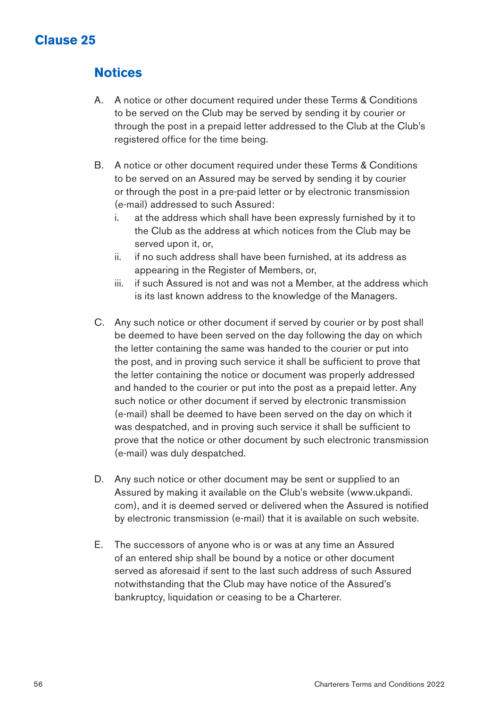### **Notices**

- A. A notice or other document required under these Terms & Conditions to be served on the Club may be served by sending it by courier or through the post in a prepaid letter addressed to the Club at the Club's registered office for the time being.
- B. A notice or other document required under these Terms & Conditions to be served on an Assured may be served by sending it by courier or through the post in a pre-paid letter or by electronic transmission (e-mail) addressed to such Assured:
	- i. at the address which shall have been expressly furnished by it to the Club as the address at which notices from the Club may be served upon it, or,
	- ii. if no such address shall have been furnished, at its address as appearing in the Register of Members, or,
	- iii. if such Assured is not and was not a Member, at the address which is its last known address to the knowledge of the Managers.
- C. Any such notice or other document if served by courier or by post shall be deemed to have been served on the day following the day on which the letter containing the same was handed to the courier or put into the post, and in proving such service it shall be sufficient to prove that the letter containing the notice or document was properly addressed and handed to the courier or put into the post as a prepaid letter. Any such notice or other document if served by electronic transmission (e-mail) shall be deemed to have been served on the day on which it was despatched, and in proving such service it shall be sufficient to prove that the notice or other document by such electronic transmission (e-mail) was duly despatched.
- D. Any such notice or other document may be sent or supplied to an Assured by making it available on the Club's website (www.ukpandi. com), and it is deemed served or delivered when the Assured is notified by electronic transmission (e-mail) that it is available on such website.
- E. The successors of anyone who is or was at any time an Assured of an entered ship shall be bound by a notice or other document served as aforesaid if sent to the last such address of such Assured notwithstanding that the Club may have notice of the Assured's bankruptcy, liquidation or ceasing to be a Charterer.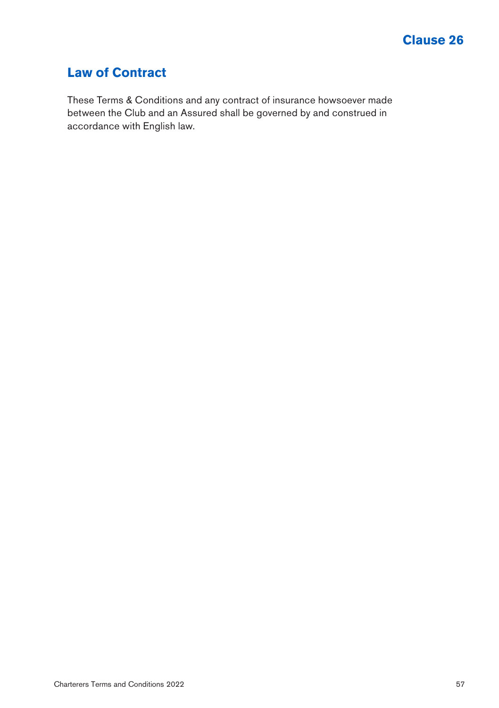# **Law of Contract**

These Terms & Conditions and any contract of insurance howsoever made between the Club and an Assured shall be governed by and construed in accordance with English law.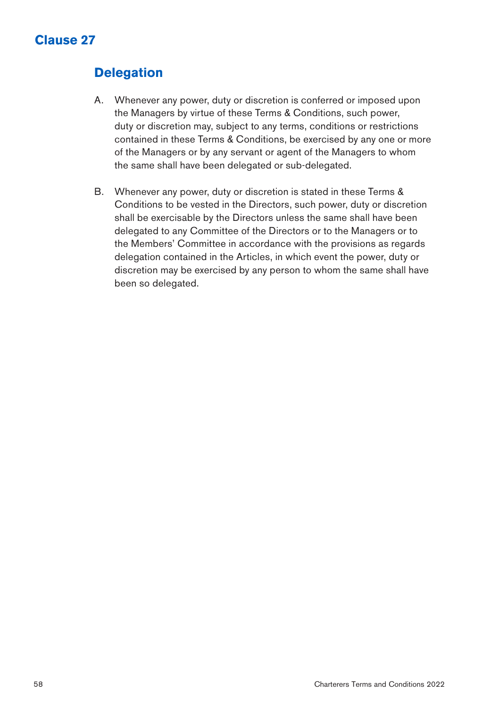# **Delegation**

- A. Whenever any power, duty or discretion is conferred or imposed upon the Managers by virtue of these Terms & Conditions, such power, duty or discretion may, subject to any terms, conditions or restrictions contained in these Terms & Conditions, be exercised by any one or more of the Managers or by any servant or agent of the Managers to whom the same shall have been delegated or sub-delegated.
- B. Whenever any power, duty or discretion is stated in these Terms & Conditions to be vested in the Directors, such power, duty or discretion shall be exercisable by the Directors unless the same shall have been delegated to any Committee of the Directors or to the Managers or to the Members' Committee in accordance with the provisions as regards delegation contained in the Articles, in which event the power, duty or discretion may be exercised by any person to whom the same shall have been so delegated.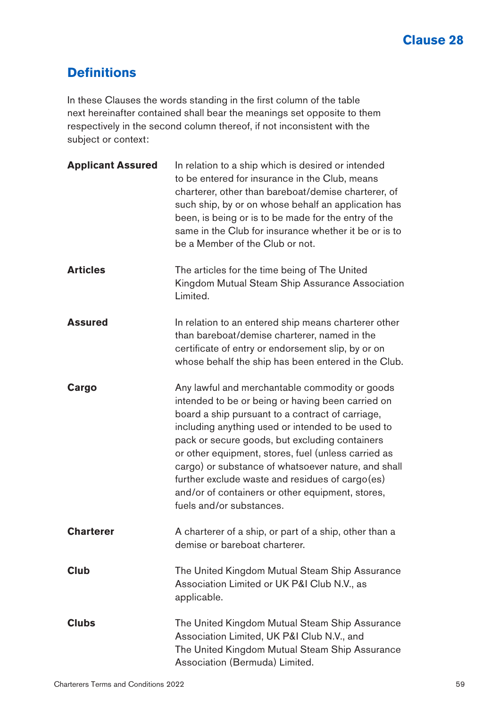# **Definitions**

In these Clauses the words standing in the first column of the table next hereinafter contained shall bear the meanings set opposite to them respectively in the second column thereof, if not inconsistent with the subject or context:

| <b>Applicant Assured</b> | In relation to a ship which is desired or intended<br>to be entered for insurance in the Club, means<br>charterer, other than bareboat/demise charterer, of<br>such ship, by or on whose behalf an application has<br>been, is being or is to be made for the entry of the<br>same in the Club for insurance whether it be or is to<br>be a Member of the Club or not.                                                                                                                                          |
|--------------------------|-----------------------------------------------------------------------------------------------------------------------------------------------------------------------------------------------------------------------------------------------------------------------------------------------------------------------------------------------------------------------------------------------------------------------------------------------------------------------------------------------------------------|
| <b>Articles</b>          | The articles for the time being of The United<br>Kingdom Mutual Steam Ship Assurance Association<br>Limited.                                                                                                                                                                                                                                                                                                                                                                                                    |
| <b>Assured</b>           | In relation to an entered ship means charterer other<br>than bareboat/demise charterer, named in the<br>certificate of entry or endorsement slip, by or on<br>whose behalf the ship has been entered in the Club.                                                                                                                                                                                                                                                                                               |
| Cargo                    | Any lawful and merchantable commodity or goods<br>intended to be or being or having been carried on<br>board a ship pursuant to a contract of carriage,<br>including anything used or intended to be used to<br>pack or secure goods, but excluding containers<br>or other equipment, stores, fuel (unless carried as<br>cargo) or substance of whatsoever nature, and shall<br>further exclude waste and residues of cargo(es)<br>and/or of containers or other equipment, stores,<br>fuels and/or substances. |
| <b>Charterer</b>         | A charterer of a ship, or part of a ship, other than a<br>demise or bareboat charterer.                                                                                                                                                                                                                                                                                                                                                                                                                         |
| <b>Club</b>              | The United Kingdom Mutual Steam Ship Assurance<br>Association Limited or UK P&I Club N.V., as<br>applicable.                                                                                                                                                                                                                                                                                                                                                                                                    |
| Clubs                    | The United Kingdom Mutual Steam Ship Assurance<br>Association Limited, UK P&I Club N.V., and<br>The United Kingdom Mutual Steam Ship Assurance<br>Association (Bermuda) Limited.                                                                                                                                                                                                                                                                                                                                |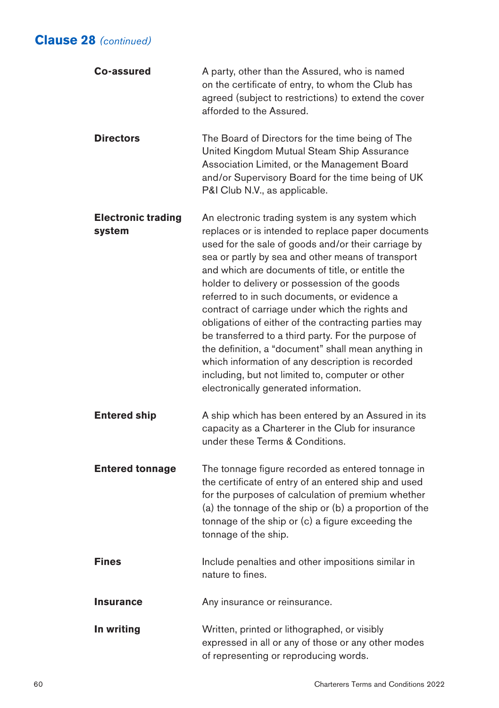| Co-assured                          | A party, other than the Assured, who is named<br>on the certificate of entry, to whom the Club has<br>agreed (subject to restrictions) to extend the cover<br>afforded to the Assured.                                                                                                                                                                                                                                                                                                                                                                                                                                                                                                                                                            |
|-------------------------------------|---------------------------------------------------------------------------------------------------------------------------------------------------------------------------------------------------------------------------------------------------------------------------------------------------------------------------------------------------------------------------------------------------------------------------------------------------------------------------------------------------------------------------------------------------------------------------------------------------------------------------------------------------------------------------------------------------------------------------------------------------|
| <b>Directors</b>                    | The Board of Directors for the time being of The<br>United Kingdom Mutual Steam Ship Assurance<br>Association Limited, or the Management Board<br>and/or Supervisory Board for the time being of UK<br>P&I Club N.V., as applicable.                                                                                                                                                                                                                                                                                                                                                                                                                                                                                                              |
| <b>Electronic trading</b><br>system | An electronic trading system is any system which<br>replaces or is intended to replace paper documents<br>used for the sale of goods and/or their carriage by<br>sea or partly by sea and other means of transport<br>and which are documents of title, or entitle the<br>holder to delivery or possession of the goods<br>referred to in such documents, or evidence a<br>contract of carriage under which the rights and<br>obligations of either of the contracting parties may<br>be transferred to a third party. For the purpose of<br>the definition, a "document" shall mean anything in<br>which information of any description is recorded<br>including, but not limited to, computer or other<br>electronically generated information. |
| <b>Entered ship</b>                 | A ship which has been entered by an Assured in its<br>capacity as a Charterer in the Club for insurance<br>under these Terms & Conditions.                                                                                                                                                                                                                                                                                                                                                                                                                                                                                                                                                                                                        |
| <b>Entered tonnage</b>              | The tonnage figure recorded as entered tonnage in<br>the certificate of entry of an entered ship and used<br>for the purposes of calculation of premium whether<br>(a) the tonnage of the ship or (b) a proportion of the<br>tonnage of the ship or (c) a figure exceeding the<br>tonnage of the ship.                                                                                                                                                                                                                                                                                                                                                                                                                                            |
| <b>Fines</b>                        | Include penalties and other impositions similar in<br>nature to fines.                                                                                                                                                                                                                                                                                                                                                                                                                                                                                                                                                                                                                                                                            |
| <b>Insurance</b>                    | Any insurance or reinsurance.                                                                                                                                                                                                                                                                                                                                                                                                                                                                                                                                                                                                                                                                                                                     |
| In writing                          | Written, printed or lithographed, or visibly<br>expressed in all or any of those or any other modes<br>of representing or reproducing words.                                                                                                                                                                                                                                                                                                                                                                                                                                                                                                                                                                                                      |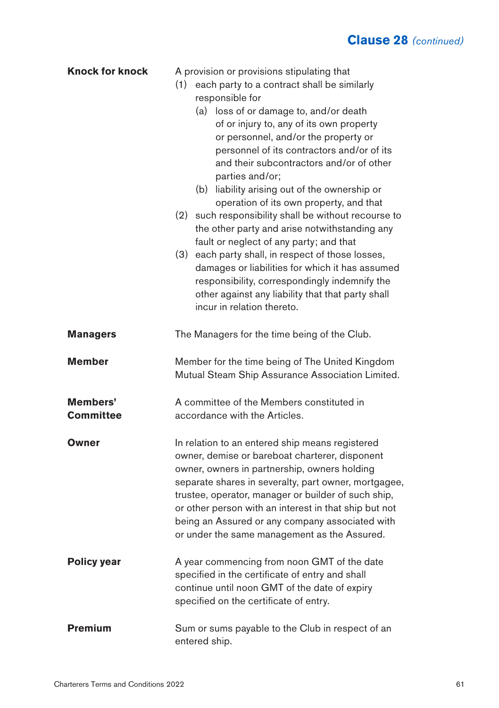| <b>Knock for knock</b>       | A provision or provisions stipulating that<br>each party to a contract shall be similarly<br>(1)<br>responsible for<br>(a) loss of or damage to, and/or death<br>of or injury to, any of its own property<br>or personnel, and/or the property or<br>personnel of its contractors and/or of its<br>and their subcontractors and/or of other<br>parties and/or;<br>(b) liability arising out of the ownership or<br>operation of its own property, and that<br>such responsibility shall be without recourse to<br>(2)<br>the other party and arise notwithstanding any<br>fault or neglect of any party; and that<br>(3) each party shall, in respect of those losses,<br>damages or liabilities for which it has assumed<br>responsibility, correspondingly indemnify the<br>other against any liability that that party shall<br>incur in relation thereto. |  |
|------------------------------|---------------------------------------------------------------------------------------------------------------------------------------------------------------------------------------------------------------------------------------------------------------------------------------------------------------------------------------------------------------------------------------------------------------------------------------------------------------------------------------------------------------------------------------------------------------------------------------------------------------------------------------------------------------------------------------------------------------------------------------------------------------------------------------------------------------------------------------------------------------|--|
| <b>Managers</b>              | The Managers for the time being of the Club.                                                                                                                                                                                                                                                                                                                                                                                                                                                                                                                                                                                                                                                                                                                                                                                                                  |  |
| <b>Member</b>                | Member for the time being of The United Kingdom<br>Mutual Steam Ship Assurance Association Limited.                                                                                                                                                                                                                                                                                                                                                                                                                                                                                                                                                                                                                                                                                                                                                           |  |
| Members'<br><b>Committee</b> | A committee of the Members constituted in<br>accordance with the Articles.                                                                                                                                                                                                                                                                                                                                                                                                                                                                                                                                                                                                                                                                                                                                                                                    |  |
| Owner                        | In relation to an entered ship means registered<br>owner, demise or bareboat charterer, disponent<br>owner, owners in partnership, owners holding<br>separate shares in severalty, part owner, mortgagee,<br>trustee, operator, manager or builder of such ship,<br>or other person with an interest in that ship but not<br>being an Assured or any company associated with<br>or under the same management as the Assured.                                                                                                                                                                                                                                                                                                                                                                                                                                  |  |
| Policy year                  | A year commencing from noon GMT of the date<br>specified in the certificate of entry and shall<br>continue until noon GMT of the date of expiry<br>specified on the certificate of entry.                                                                                                                                                                                                                                                                                                                                                                                                                                                                                                                                                                                                                                                                     |  |
| <b>Premium</b>               | Sum or sums payable to the Club in respect of an<br>entered ship.                                                                                                                                                                                                                                                                                                                                                                                                                                                                                                                                                                                                                                                                                                                                                                                             |  |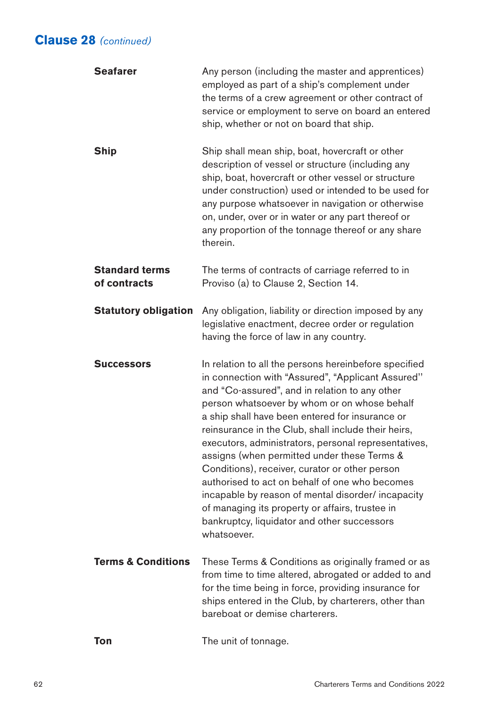| <b>Seafarer</b>                       | Any person (including the master and apprentices)<br>employed as part of a ship's complement under<br>the terms of a crew agreement or other contract of<br>service or employment to serve on board an entered<br>ship, whether or not on board that ship.                                                                                                                                                                                                                                                                                                                                                                                                                                               |
|---------------------------------------|----------------------------------------------------------------------------------------------------------------------------------------------------------------------------------------------------------------------------------------------------------------------------------------------------------------------------------------------------------------------------------------------------------------------------------------------------------------------------------------------------------------------------------------------------------------------------------------------------------------------------------------------------------------------------------------------------------|
| <b>Ship</b>                           | Ship shall mean ship, boat, hovercraft or other<br>description of vessel or structure (including any<br>ship, boat, hovercraft or other vessel or structure<br>under construction) used or intended to be used for<br>any purpose whatsoever in navigation or otherwise<br>on, under, over or in water or any part thereof or<br>any proportion of the tonnage thereof or any share<br>therein.                                                                                                                                                                                                                                                                                                          |
| <b>Standard terms</b><br>of contracts | The terms of contracts of carriage referred to in<br>Proviso (a) to Clause 2, Section 14.                                                                                                                                                                                                                                                                                                                                                                                                                                                                                                                                                                                                                |
| <b>Statutory obligation</b>           | Any obligation, liability or direction imposed by any<br>legislative enactment, decree order or regulation<br>having the force of law in any country.                                                                                                                                                                                                                                                                                                                                                                                                                                                                                                                                                    |
| <b>Successors</b>                     | In relation to all the persons hereinbefore specified<br>in connection with "Assured", "Applicant Assured"<br>and "Co-assured", and in relation to any other<br>person whatsoever by whom or on whose behalf<br>a ship shall have been entered for insurance or<br>reinsurance in the Club, shall include their heirs,<br>executors, administrators, personal representatives,<br>assigns (when permitted under these Terms &<br>Conditions), receiver, curator or other person<br>authorised to act on behalf of one who becomes<br>incapable by reason of mental disorder/ incapacity<br>of managing its property or affairs, trustee in<br>bankruptcy, liquidator and other successors<br>whatsoever. |
| <b>Terms &amp; Conditions</b>         | These Terms & Conditions as originally framed or as<br>from time to time altered, abrogated or added to and<br>for the time being in force, providing insurance for<br>ships entered in the Club, by charterers, other than<br>bareboat or demise charterers.                                                                                                                                                                                                                                                                                                                                                                                                                                            |
| Ton                                   | The unit of tonnage.                                                                                                                                                                                                                                                                                                                                                                                                                                                                                                                                                                                                                                                                                     |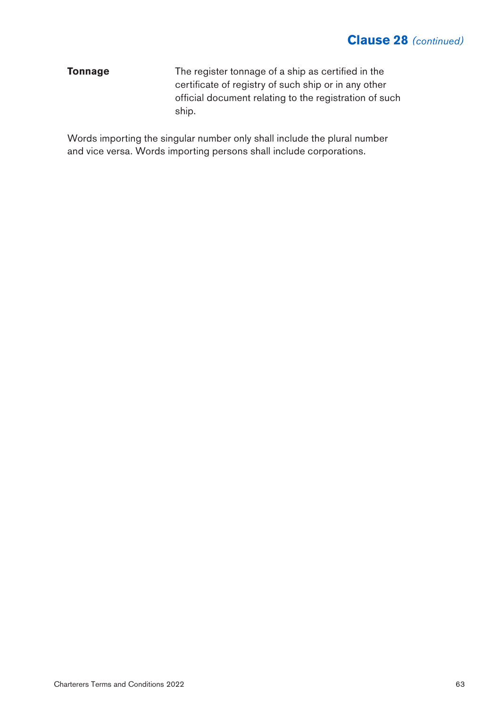**Tonnage** The register tonnage of a ship as certified in the certificate of registry of such ship or in any other official document relating to the registration of such ship.

Words importing the singular number only shall include the plural number and vice versa. Words importing persons shall include corporations.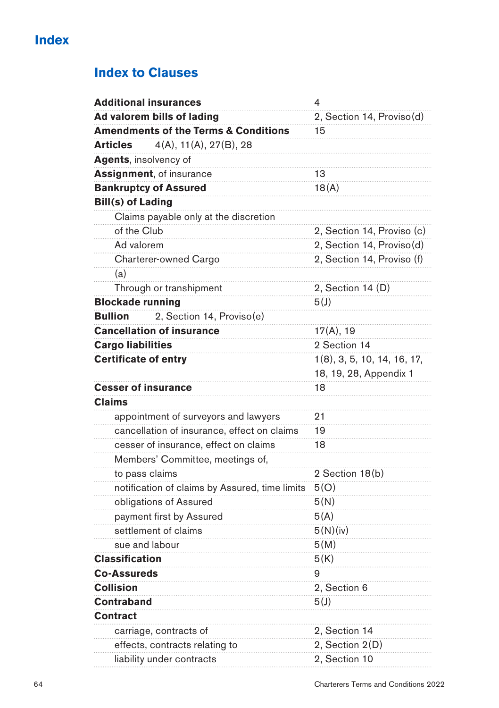# **Index to Clauses**

|                              | <b>Additional insurances</b>                    | 4                           |
|------------------------------|-------------------------------------------------|-----------------------------|
|                              | Ad valorem bills of lading                      | 2, Section 14, Proviso(d)   |
|                              | <b>Amendments of the Terms &amp; Conditions</b> | 15                          |
| <b>Articles</b>              | 4(A), 11(A), 27(B), 28                          |                             |
| <b>Agents, insolvency of</b> |                                                 |                             |
|                              | <b>Assignment, of insurance</b>                 | 13                          |
|                              | <b>Bankruptcy of Assured</b>                    | 18(A)                       |
| <b>Bill(s) of Lading</b>     |                                                 |                             |
|                              | Claims payable only at the discretion           |                             |
| of the Club                  |                                                 | 2, Section 14, Proviso (c)  |
| Ad valorem                   |                                                 | 2, Section 14, Proviso(d)   |
|                              | Charterer-owned Cargo                           | 2, Section 14, Proviso (f)  |
| (a)                          |                                                 |                             |
|                              | Through or transhipment                         | 2, Section 14 (D)           |
| <b>Blockade running</b>      |                                                 | 5(J)                        |
| <b>Bullion</b>               | 2, Section 14, Proviso(e)                       |                             |
|                              | <b>Cancellation of insurance</b>                | 17(A), 19                   |
| <b>Cargo liabilities</b>     |                                                 | 2 Section 14                |
| <b>Certificate of entry</b>  |                                                 | 1(8), 3, 5, 10, 14, 16, 17, |
|                              |                                                 | 18, 19, 28, Appendix 1      |
| <b>Cesser of insurance</b>   |                                                 | 18                          |
| <b>Claims</b>                |                                                 |                             |
|                              | appointment of surveyors and lawyers            | 21                          |
|                              | cancellation of insurance, effect on claims     | 19                          |
|                              | cesser of insurance, effect on claims           | 18                          |
|                              | Members' Committee, meetings of,                |                             |
|                              | to pass claims                                  | 2 Section 18(b)             |
|                              | notification of claims by Assured, time limits  | 5(0)                        |
|                              | obligations of Assured                          | 5(N)                        |
|                              | payment first by Assured                        | 5(A)                        |
|                              | settlement of claims                            | 5(N)(iv)                    |
|                              | sue and labour                                  | 5(M)                        |
| <b>Classification</b>        |                                                 | 5(K)                        |
| <b>Co-Assureds</b>           |                                                 | 9                           |
| <b>Collision</b>             |                                                 | 2, Section 6                |
| Contraband                   |                                                 | 5(J)                        |
| Contract                     |                                                 |                             |
|                              | carriage, contracts of                          | 2, Section 14               |
|                              | effects, contracts relating to                  | 2, Section 2(D)             |
|                              | liability under contracts                       | 2, Section 10               |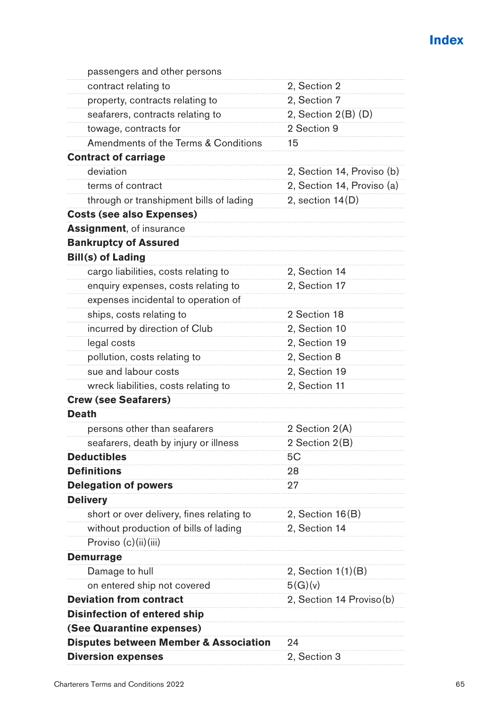| passengers and other persons                     |                            |
|--------------------------------------------------|----------------------------|
| contract relating to                             | 2, Section 2               |
| property, contracts relating to                  | 2. Section 7               |
| seafarers, contracts relating to                 | 2, Section $2(B)$ (D)      |
| towage, contracts for                            | 2 Section 9                |
| Amendments of the Terms & Conditions             | 15                         |
| <b>Contract of carriage</b>                      |                            |
| deviation                                        | 2, Section 14, Proviso (b) |
| terms of contract                                | 2, Section 14, Proviso (a) |
| through or transhipment bills of lading          | 2, section 14(D)           |
| <b>Costs (see also Expenses)</b>                 |                            |
| <b>Assignment, of insurance</b>                  |                            |
| <b>Bankruptcy of Assured</b>                     |                            |
| <b>Bill(s) of Lading</b>                         |                            |
| cargo liabilities, costs relating to             | 2, Section 14              |
| enquiry expenses, costs relating to              | 2, Section 17              |
| expenses incidental to operation of              |                            |
| ships, costs relating to                         | 2 Section 18               |
| incurred by direction of Club                    | 2. Section 10              |
| legal costs                                      | 2, Section 19              |
| pollution, costs relating to                     | 2, Section 8               |
| sue and labour costs                             | 2, Section 19              |
| wreck liabilities, costs relating to             | 2, Section 11              |
| <b>Crew (see Seafarers)</b>                      |                            |
| Death                                            |                            |
| persons other than seafarers                     | 2 Section 2(A)             |
| seafarers, death by injury or illness            | 2 Section 2(B)             |
| <b>Deductibles</b>                               | 5C                         |
| <b>Definitions</b>                               | 28                         |
| <b>Delegation of powers</b>                      | 27                         |
| <b>Delivery</b>                                  |                            |
| short or over delivery, fines relating to        | 2, Section 16(B)           |
| without production of bills of lading            | 2, Section 14              |
| Proviso (c)(ii)(iii)                             |                            |
| Demurrage                                        |                            |
| Damage to hull                                   | 2, Section 1(1)(B)         |
| on entered ship not covered                      | 5(G)(v)                    |
| <b>Deviation from contract</b>                   | 2, Section 14 Proviso(b)   |
| <b>Disinfection of entered ship</b>              |                            |
| (See Quarantine expenses)                        |                            |
| <b>Disputes between Member &amp; Association</b> | 24                         |
| <b>Diversion expenses</b>                        | 2, Section 3               |
|                                                  |                            |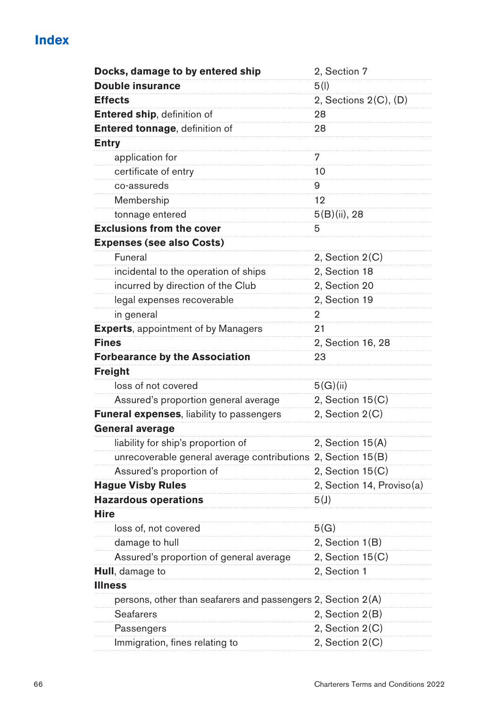| Docks, damage to by entered ship                             | 2, Section 7              |
|--------------------------------------------------------------|---------------------------|
| <b>Double insurance</b>                                      | 5(1)                      |
| <b>Effects</b>                                               | 2, Sections 2(C), (D)     |
| Entered ship, definition of                                  | 28                        |
| Entered tonnage, definition of                               | 28                        |
| <b>Entry</b>                                                 |                           |
| application for                                              | 7                         |
| certificate of entry                                         | 10                        |
| co-assureds                                                  | 9                         |
| Membership                                                   | 12                        |
| tonnage entered                                              | $5(B)(ii)$ , 28           |
| <b>Exclusions from the cover</b>                             | 5                         |
| <b>Expenses (see also Costs)</b>                             |                           |
| Funeral                                                      | 2, Section 2(C)           |
| incidental to the operation of ships                         | 2, Section 18             |
| incurred by direction of the Club                            | 2, Section 20             |
| legal expenses recoverable                                   | 2, Section 19             |
| in general                                                   | 2                         |
| <b>Experts</b> , appointment of by Managers                  | 21                        |
| Fines                                                        | 2, Section 16, 28         |
| <b>Forbearance by the Association</b>                        | 23                        |
| <b>Freight</b>                                               |                           |
| loss of not covered                                          | 5(G)(ii)                  |
| Assured's proportion general average                         | 2, Section 15(C)          |
| Funeral expenses, liability to passengers                    | 2, Section 2(C)           |
| <b>General average</b>                                       |                           |
| liability for ship's proportion of                           | 2, Section 15(A)          |
| unrecoverable general average contributions 2, Section 15(B) |                           |
| Assured's proportion of                                      | 2, Section 15(C)          |
| <b>Hague Visby Rules</b>                                     | 2, Section 14, Proviso(a) |
| <b>Hazardous operations</b>                                  | 5(J)                      |
| <b>Hire</b>                                                  |                           |
| loss of, not covered                                         | 5(G)                      |
| damage to hull                                               | 2, Section 1(B)           |
| Assured's proportion of general average                      | 2, Section $15(C)$        |
| <b>Hull</b> , damage to                                      | 2, Section 1              |
| Illness                                                      |                           |
| persons, other than seafarers and passengers 2, Section 2(A) |                           |
| <b>Seafarers</b>                                             | 2, Section 2(B)           |
| Passengers                                                   | 2, Section 2(C)           |
| Immigration, fines relating to                               | 2, Section 2(C)           |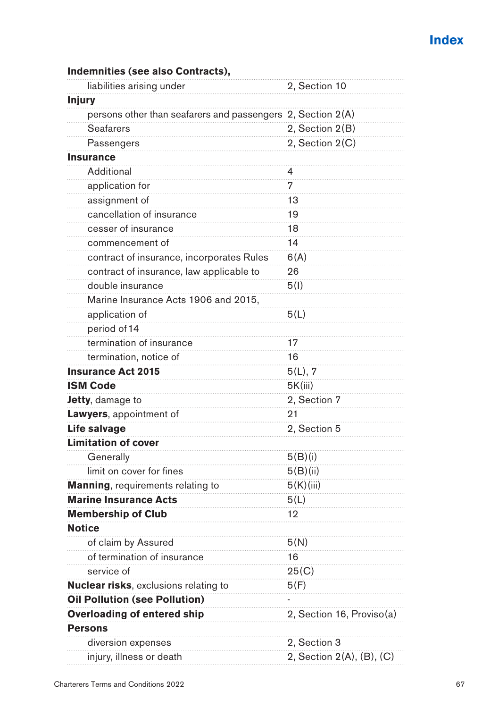| liabilities arising under                                   | 2, Section 10             |
|-------------------------------------------------------------|---------------------------|
| <b>Injury</b>                                               |                           |
| persons other than seafarers and passengers 2, Section 2(A) |                           |
| <b>Seafarers</b>                                            | 2, Section 2(B)           |
| Passengers                                                  | 2, Section 2(C)           |
| <b>Insurance</b>                                            |                           |
| Additional                                                  | 4                         |
| application for                                             | 7                         |
| assignment of                                               | 13                        |
| cancellation of insurance                                   | 19                        |
| cesser of insurance                                         | 18                        |
| commencement of                                             | 14                        |
| contract of insurance, incorporates Rules                   | 6(A)                      |
| contract of insurance, law applicable to                    | 26                        |
| double insurance                                            | 5(1)                      |
| Marine Insurance Acts 1906 and 2015,                        |                           |
| application of                                              | 5(L)                      |
| period of 14                                                |                           |
| termination of insurance                                    | 17                        |
| termination, notice of                                      | 16                        |
| <b>Insurance Act 2015</b>                                   | 5(L), 7                   |
| <b>ISM Code</b>                                             | 5K(iii)                   |
| Jetty, damage to                                            | 2, Section 7              |
| Lawyers, appointment of                                     | 21                        |
| Life salvage                                                | 2. Section 5              |
| <b>Limitation of cover</b>                                  |                           |
| Generally                                                   | 5(B)(i)                   |
| limit on cover for fines                                    | 5(B)(ii)                  |
| Manning, requirements relating to                           | 5(K)(iii)                 |
| <b>Marine Insurance Acts</b>                                | 5(L)                      |
| <b>Membership of Club</b>                                   | 12                        |
| <b>Notice</b>                                               |                           |
| of claim by Assured                                         | 5(N)                      |
| of termination of insurance                                 | 16                        |
| service of                                                  | 25(C)                     |
| <b>Nuclear risks</b> , exclusions relating to               | 5(F)                      |
| <b>Oil Pollution (see Pollution)</b>                        |                           |
| <b>Overloading of entered ship</b>                          | 2, Section 16, Proviso(a) |
| <b>Persons</b>                                              |                           |
| diversion expenses                                          | 2, Section 3              |
| injury, illness or death                                    | 2, Section 2(A), (B), (C) |

#### **Indemnities (see also Contracts),**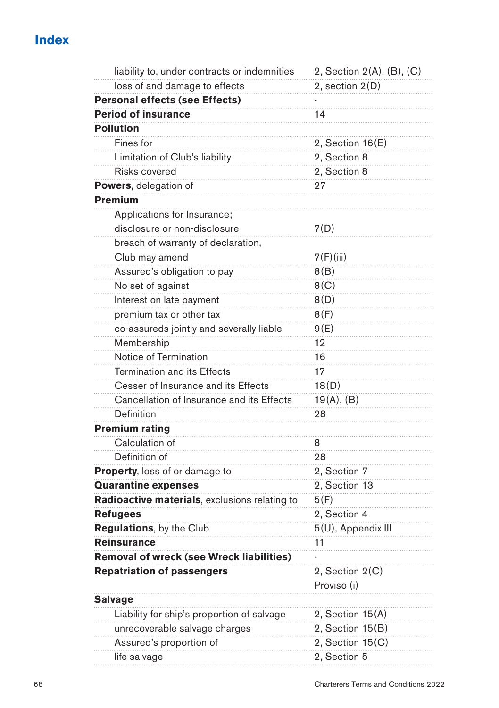| liability to, under contracts or indemnities  | 2, Section 2(A), (B), (C)      |
|-----------------------------------------------|--------------------------------|
| loss of and damage to effects                 | 2, section 2(D)                |
| <b>Personal effects (see Effects)</b>         |                                |
| <b>Period of insurance</b>                    | 14                             |
| <b>Pollution</b>                              |                                |
| Fines for                                     | $2,$ Section 16 $(E)$          |
| Limitation of Club's liability                | 2, Section 8                   |
| Risks covered                                 | 2, Section 8                   |
| Powers, delegation of                         | 27                             |
| Premium                                       |                                |
| Applications for Insurance;                   |                                |
| disclosure or non-disclosure                  | 7(D)                           |
| breach of warranty of declaration,            |                                |
| Club may amend                                | 7(F)(iii)                      |
| Assured's obligation to pay                   | 8(B)                           |
| No set of against                             | 8(C)                           |
| Interest on late payment                      | 8(D)                           |
| premium tax or other tax                      | 8(F)                           |
| co-assureds jointly and severally liable      | 9(E)                           |
| Membership                                    | 12                             |
| Notice of Termination                         | 16                             |
| Termination and its Effects                   | 17                             |
| Cesser of Insurance and its Effects           | 18(D)                          |
| Cancellation of Insurance and its Effects     | 19(A), (B)                     |
| Definition                                    | 28                             |
| <b>Premium rating</b>                         |                                |
| Calculation of                                | 8                              |
| Definition of                                 | 28                             |
| <b>Property, loss of or damage to</b>         | 2, Section 7                   |
| <b>Quarantine expenses</b>                    | 2, Section 13                  |
| Radioactive materials, exclusions relating to | 5(F)                           |
| Refugees                                      | 2, Section 4                   |
| Regulations, by the Club                      | 5(U), Appendix III             |
| <b>Reinsurance</b>                            | 11                             |
| Removal of wreck (see Wreck liabilities)      |                                |
| <b>Repatriation of passengers</b>             | 2, Section 2(C)<br>Proviso (i) |
| <b>Salvage</b>                                |                                |
| Liability for ship's proportion of salvage    | 2, Section 15(A)               |
| unrecoverable salvage charges                 | 2, Section 15(B)               |
| Assured's proportion of                       | 2, Section $15(C)$             |
| life salvage                                  | 2, Section 5                   |
|                                               |                                |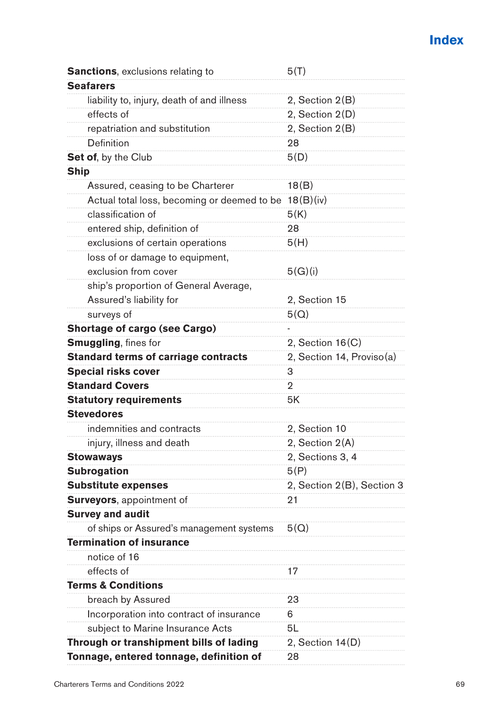| <b>Sanctions, exclusions relating to</b>    | 5(T)                       |
|---------------------------------------------|----------------------------|
| <b>Seafarers</b>                            |                            |
| liability to, injury, death of and illness  | 2, Section 2(B)            |
| effects of                                  | 2, Section 2(D)            |
| repatriation and substitution               | 2, Section 2(B)            |
| Definition                                  | 28                         |
| <b>Set of, by the Club</b>                  | 5(D)                       |
| Ship                                        |                            |
| Assured, ceasing to be Charterer            | 18(B)                      |
| Actual total loss, becoming or deemed to be | 18(B)(iv)                  |
| classification of                           | 5(K)                       |
| entered ship, definition of                 | 28                         |
| exclusions of certain operations            | 5(H)                       |
| loss of or damage to equipment,             |                            |
| exclusion from cover                        | 5(G)(i)                    |
| ship's proportion of General Average,       |                            |
| Assured's liability for                     | 2, Section 15              |
| surveys of                                  | 5(Q)                       |
| <b>Shortage of cargo (see Cargo)</b>        |                            |
| <b>Smuggling, fines for</b>                 | 2, Section $16(C)$         |
| <b>Standard terms of carriage contracts</b> | 2, Section 14, Proviso(a)  |
| <b>Special risks cover</b>                  | 3                          |
| <b>Standard Covers</b>                      | 2                          |
| <b>Statutory requirements</b>               | 5K                         |
| <b>Stevedores</b>                           |                            |
| indemnities and contracts                   | 2, Section 10              |
| injury, illness and death                   | 2, Section 2(A)            |
| Stowaways                                   | 2, Sections 3, 4           |
| <b>Subrogation</b>                          | 5(P)                       |
| <b>Substitute expenses</b>                  | 2, Section 2(B), Section 3 |
| <b>Surveyors</b> , appointment of           | 21                         |
| <b>Survey and audit</b>                     |                            |
| of ships or Assured's management systems    | 5(Q)                       |
| <b>Termination of insurance</b>             |                            |
| notice of 16                                |                            |
| effects of                                  | 17                         |
| <b>Terms &amp; Conditions</b>               |                            |
| breach by Assured                           | 23                         |
| Incorporation into contract of insurance    | 6                          |
| subject to Marine Insurance Acts            | 5L                         |
| Through or transhipment bills of lading     | 2, Section 14(D)           |
| Tonnage, entered tonnage, definition of     | 28                         |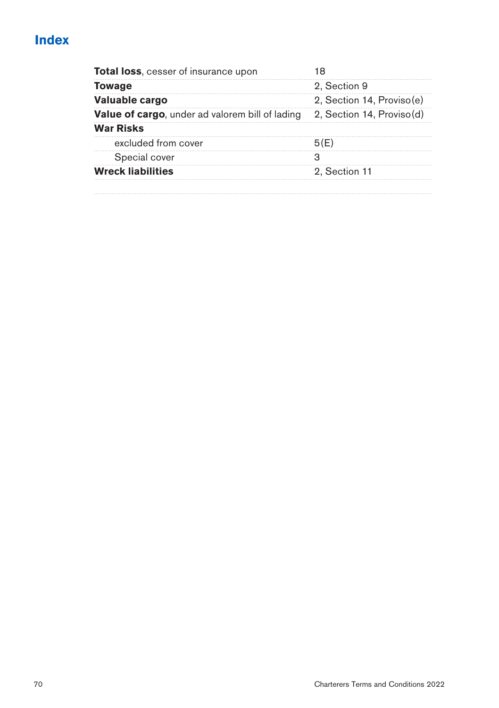| Total loss, cesser of insurance upon                   | 18                        |
|--------------------------------------------------------|---------------------------|
| <b>Towage</b>                                          | 2. Section 9              |
| Valuable cargo                                         | 2, Section 14, Proviso(e) |
| <b>Value of cargo, under ad valorem bill of lading</b> | 2, Section 14, Proviso(d) |
| <b>War Risks</b>                                       |                           |
| excluded from cover                                    | 5(E)                      |
| Special cover                                          | з                         |
| <b>Wreck liabilities</b>                               | 2. Section 11             |
|                                                        |                           |
|                                                        |                           |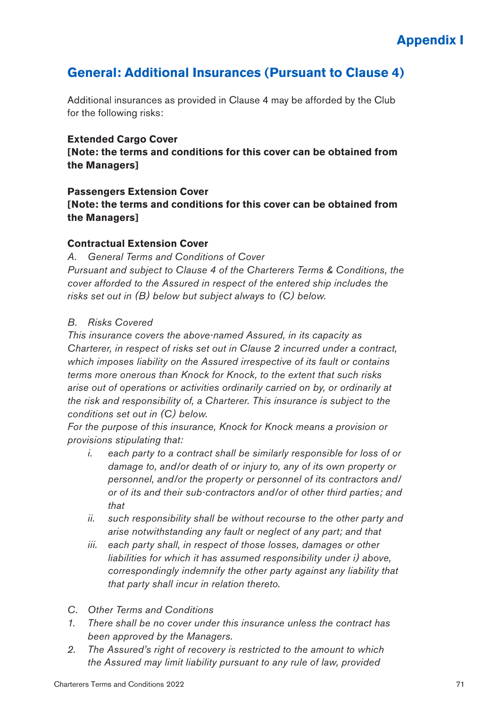# **General: Additional Insurances (Pursuant to Clause 4)**

Additional insurances as provided in Clause 4 may be afforded by the Club for the following risks:

#### **Extended Cargo Cover**

**[Note: the terms and conditions for this cover can be obtained from the Managers]**

### **Passengers Extension Cover [Note: the terms and conditions for this cover can be obtained from the Managers]**

## **Contractual Extension Cover**

*A. General Terms and Conditions of Cover*

*Pursuant and subject to Clause 4 of the Charterers Terms & Conditions, the cover afforded to the Assured in respect of the entered ship includes the risks set out in (B) below but subject always to (C) below.*

#### *B. Risks Covered*

*This insurance covers the above-named Assured, in its capacity as Charterer, in respect of risks set out in Clause 2 incurred under a contract, which imposes liability on the Assured irrespective of its fault or contains terms more onerous than Knock for Knock, to the extent that such risks arise out of operations or activities ordinarily carried on by, or ordinarily at the risk and responsibility of, a Charterer. This insurance is subject to the conditions set out in (C) below.*

*For the purpose of this insurance, Knock for Knock means a provision or provisions stipulating that:*

- *i. each party to a contract shall be similarly responsible for loss of or damage to, and/or death of or injury to, any of its own property or personnel, and/or the property or personnel of its contractors and/ or of its and their sub-contractors and/or of other third parties; and that*
- *ii. such responsibility shall be without recourse to the other party and arise notwithstanding any fault or neglect of any part; and that*
- *iii. each party shall, in respect of those losses, damages or other liabilities for which it has assumed responsibility under i) above, correspondingly indemnify the other party against any liability that that party shall incur in relation thereto.*
- *C. Other Terms and Conditions*
- *1. There shall be no cover under this insurance unless the contract has been approved by the Managers.*
- *2. The Assured's right of recovery is restricted to the amount to which the Assured may limit liability pursuant to any rule of law, provided*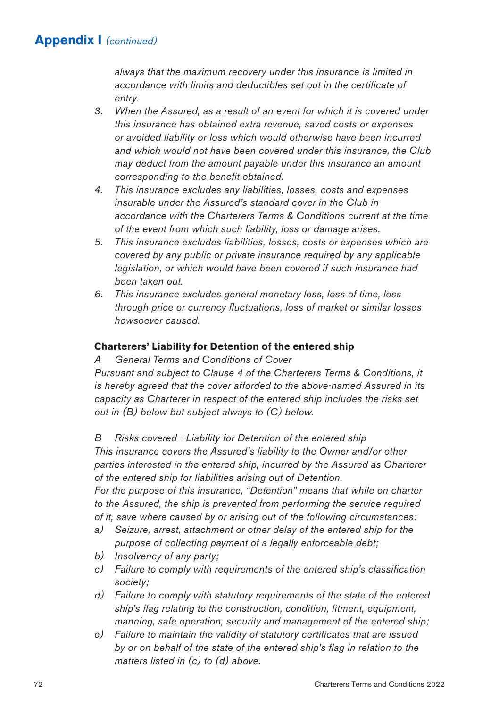*always that the maximum recovery under this insurance is limited in accordance with limits and deductibles set out in the certificate of entry.*

- *3. When the Assured, as a result of an event for which it is covered under this insurance has obtained extra revenue, saved costs or expenses or avoided liability or loss which would otherwise have been incurred and which would not have been covered under this insurance, the Club may deduct from the amount payable under this insurance an amount corresponding to the benefit obtained.*
- *4. This insurance excludes any liabilities, losses, costs and expenses insurable under the Assured's standard cover in the Club in accordance with the Charterers Terms & Conditions current at the time of the event from which such liability, loss or damage arises.*
- *5. This insurance excludes liabilities, losses, costs or expenses which are covered by any public or private insurance required by any applicable legislation, or which would have been covered if such insurance had been taken out.*
- *6. This insurance excludes general monetary loss, loss of time, loss through price or currency fluctuations, loss of market or similar losses howsoever caused.*

#### **Charterers' Liability for Detention of the entered ship**

*A General Terms and Conditions of Cover*

*Pursuant and subject to Clause 4 of the Charterers Terms & Conditions, it is hereby agreed that the cover afforded to the above-named Assured in its capacity as Charterer in respect of the entered ship includes the risks set out in (B) below but subject always to (C) below.*

*B Risks covered - Liability for Detention of the entered ship This insurance covers the Assured's liability to the Owner and/or other parties interested in the entered ship, incurred by the Assured as Charterer of the entered ship for liabilities arising out of Detention.*

*For the purpose of this insurance, "Detention" means that while on charter to the Assured, the ship is prevented from performing the service required of it, save where caused by or arising out of the following circumstances:*

- *a) Seizure, arrest, attachment or other delay of the entered ship for the purpose of collecting payment of a legally enforceable debt;*
- *b) Insolvency of any party;*
- *c) Failure to comply with requirements of the entered ship's classification society;*
- *d) Failure to comply with statutory requirements of the state of the entered ship's flag relating to the construction, condition, fitment, equipment, manning, safe operation, security and management of the entered ship;*
- *e) Failure to maintain the validity of statutory certificates that are issued by or on behalf of the state of the entered ship's flag in relation to the matters listed in (c) to (d) above.*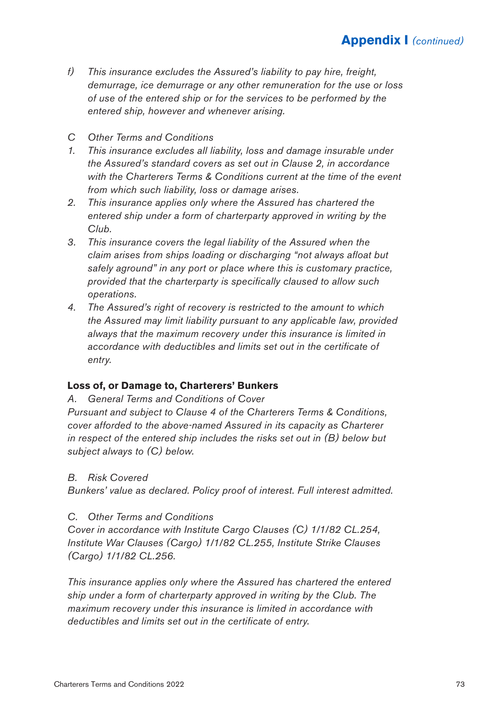- *f) This insurance excludes the Assured's liability to pay hire, freight, demurrage, ice demurrage or any other remuneration for the use or loss of use of the entered ship or for the services to be performed by the entered ship, however and whenever arising.*
- *C Other Terms and Conditions*
- *1. This insurance excludes all liability, loss and damage insurable under the Assured's standard covers as set out in Clause 2, in accordance with the Charterers Terms & Conditions current at the time of the event from which such liability, loss or damage arises.*
- *2. This insurance applies only where the Assured has chartered the entered ship under a form of charterparty approved in writing by the Club.*
- *3. This insurance covers the legal liability of the Assured when the claim arises from ships loading or discharging "not always afloat but safely aground" in any port or place where this is customary practice, provided that the charterparty is specifically claused to allow such operations.*
- *4. The Assured's right of recovery is restricted to the amount to which the Assured may limit liability pursuant to any applicable law, provided always that the maximum recovery under this insurance is limited in accordance with deductibles and limits set out in the certificate of entry.*

#### **Loss of, or Damage to, Charterers' Bunkers**

*A. General Terms and Conditions of Cover*

*Pursuant and subject to Clause 4 of the Charterers Terms & Conditions, cover afforded to the above-named Assured in its capacity as Charterer in respect of the entered ship includes the risks set out in (B) below but subject always to (C) below.*

#### *B. Risk Covered*

*Bunkers' value as declared. Policy proof of interest. Full interest admitted.*

#### *C. Other Terms and Conditions*

*Cover in accordance with Institute Cargo Clauses (C) 1/1/82 CL.254, Institute War Clauses (Cargo) 1/1/82 CL.255, Institute Strike Clauses (Cargo) 1/1/82 CL.256.*

*This insurance applies only where the Assured has chartered the entered ship under a form of charterparty approved in writing by the Club. The maximum recovery under this insurance is limited in accordance with deductibles and limits set out in the certificate of entry.*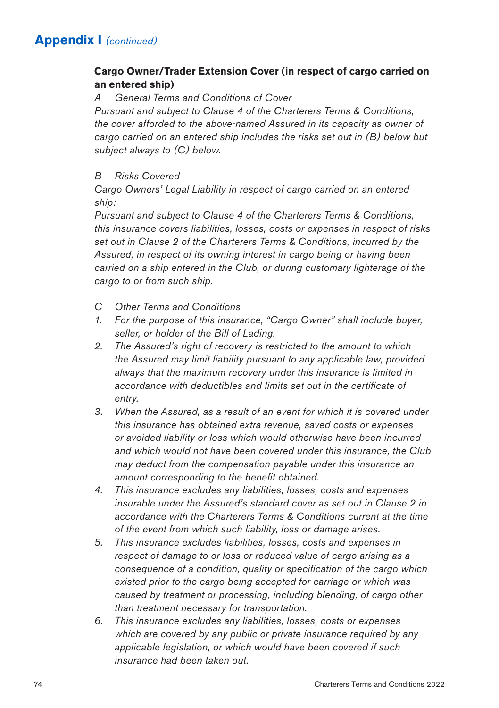## **Cargo Owner/Trader Extension Cover (in respect of cargo carried on an entered ship)**

*A General Terms and Conditions of Cover*

*Pursuant and subject to Clause 4 of the Charterers Terms & Conditions, the cover afforded to the above-named Assured in its capacity as owner of cargo carried on an entered ship includes the risks set out in (B) below but subject always to (C) below.*

## *B Risks Covered*

*Cargo Owners' Legal Liability in respect of cargo carried on an entered ship:*

*Pursuant and subject to Clause 4 of the Charterers Terms & Conditions, this insurance covers liabilities, losses, costs or expenses in respect of risks set out in Clause 2 of the Charterers Terms & Conditions, incurred by the Assured, in respect of its owning interest in cargo being or having been carried on a ship entered in the Club, or during customary lighterage of the cargo to or from such ship.*

- *C Other Terms and Conditions*
- *1. For the purpose of this insurance, "Cargo Owner" shall include buyer, seller, or holder of the Bill of Lading.*
- *2. The Assured's right of recovery is restricted to the amount to which the Assured may limit liability pursuant to any applicable law, provided always that the maximum recovery under this insurance is limited in accordance with deductibles and limits set out in the certificate of entry.*
- *3. When the Assured, as a result of an event for which it is covered under this insurance has obtained extra revenue, saved costs or expenses or avoided liability or loss which would otherwise have been incurred and which would not have been covered under this insurance, the Club may deduct from the compensation payable under this insurance an amount corresponding to the benefit obtained.*
- *4. This insurance excludes any liabilities, losses, costs and expenses insurable under the Assured's standard cover as set out in Clause 2 in accordance with the Charterers Terms & Conditions current at the time of the event from which such liability, loss or damage arises.*
- *5. This insurance excludes liabilities, losses, costs and expenses in respect of damage to or loss or reduced value of cargo arising as a consequence of a condition, quality or specification of the cargo which existed prior to the cargo being accepted for carriage or which was caused by treatment or processing, including blending, of cargo other than treatment necessary for transportation.*
- *6. This insurance excludes any liabilities, losses, costs or expenses which are covered by any public or private insurance required by any applicable legislation, or which would have been covered if such insurance had been taken out.*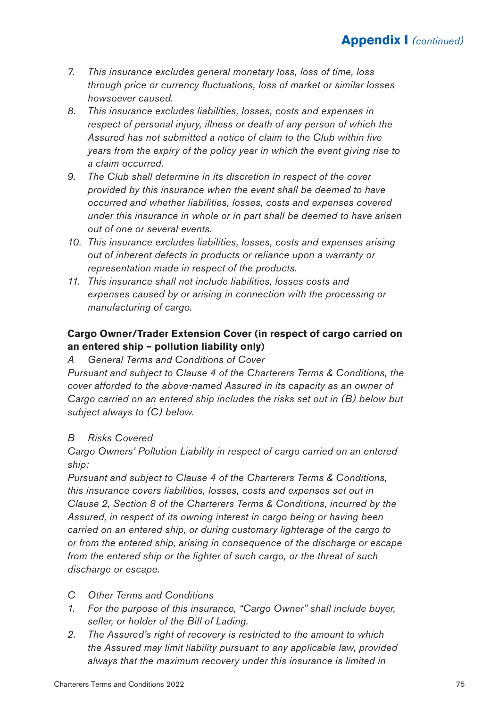- *7. This insurance excludes general monetary loss, loss of time, loss through price or currency fluctuations, loss of market or similar losses howsoever caused.*
- *8. This insurance excludes liabilities, losses, costs and expenses in respect of personal injury, illness or death of any person of which the Assured has not submitted a notice of claim to the Club within five years from the expiry of the policy year in which the event giving rise to a claim occurred.*
- *9. The Club shall determine in its discretion in respect of the cover provided by this insurance when the event shall be deemed to have occurred and whether liabilities, losses, costs and expenses covered under this insurance in whole or in part shall be deemed to have arisen out of one or several events.*
- *10. This insurance excludes liabilities, losses, costs and expenses arising out of inherent defects in products or reliance upon a warranty or representation made in respect of the products.*
- *11. This insurance shall not include liabilities, losses costs and expenses caused by or arising in connection with the processing or manufacturing of cargo.*

## **Cargo Owner/Trader Extension Cover (in respect of cargo carried on an entered ship – pollution liability only)**

*A General Terms and Conditions of Cover*

*Pursuant and subject to Clause 4 of the Charterers Terms & Conditions, the cover afforded to the above-named Assured in its capacity as an owner of Cargo carried on an entered ship includes the risks set out in (B) below but subject always to (C) below.*

## *B Risks Covered*

*Cargo Owners' Pollution Liability in respect of cargo carried on an entered ship:*

*Pursuant and subject to Clause 4 of the Charterers Terms & Conditions, this insurance covers liabilities, losses, costs and expenses set out in Clause 2, Section 8 of the Charterers Terms & Conditions, incurred by the Assured, in respect of its owning interest in cargo being or having been carried on an entered ship, or during customary lighterage of the cargo to or from the entered ship, arising in consequence of the discharge or escape from the entered ship or the lighter of such cargo, or the threat of such discharge or escape.*

- *C Other Terms and Conditions*
- *1. For the purpose of this insurance, "Cargo Owner" shall include buyer, seller, or holder of the Bill of Lading.*
- *2. The Assured's right of recovery is restricted to the amount to which the Assured may limit liability pursuant to any applicable law, provided always that the maximum recovery under this insurance is limited in*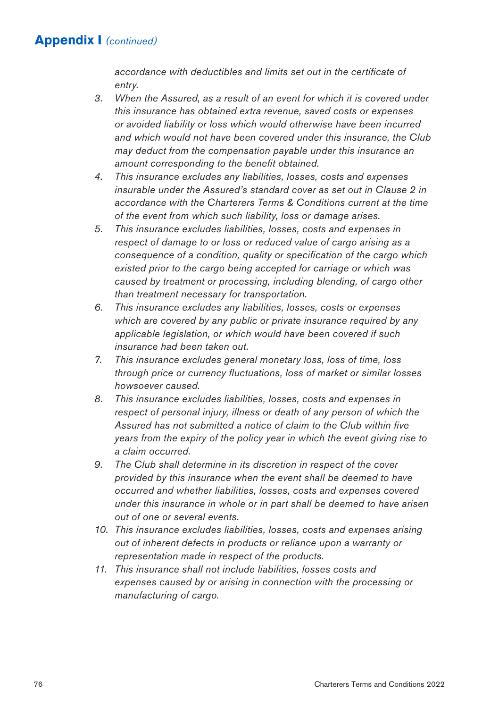*accordance with deductibles and limits set out in the certificate of entry.*

- *3. When the Assured, as a result of an event for which it is covered under this insurance has obtained extra revenue, saved costs or expenses or avoided liability or loss which would otherwise have been incurred and which would not have been covered under this insurance, the Club may deduct from the compensation payable under this insurance an amount corresponding to the benefit obtained.*
- *4. This insurance excludes any liabilities, losses, costs and expenses insurable under the Assured's standard cover as set out in Clause 2 in accordance with the Charterers Terms & Conditions current at the time of the event from which such liability, loss or damage arises.*
- *5. This insurance excludes liabilities, losses, costs and expenses in respect of damage to or loss or reduced value of cargo arising as a consequence of a condition, quality or specification of the cargo which existed prior to the cargo being accepted for carriage or which was caused by treatment or processing, including blending, of cargo other than treatment necessary for transportation.*
- *6. This insurance excludes any liabilities, losses, costs or expenses which are covered by any public or private insurance required by any applicable legislation, or which would have been covered if such insurance had been taken out.*
- *7. This insurance excludes general monetary loss, loss of time, loss through price or currency fluctuations, loss of market or similar losses howsoever caused.*
- *8. This insurance excludes liabilities, losses, costs and expenses in respect of personal injury, illness or death of any person of which the Assured has not submitted a notice of claim to the Club within five years from the expiry of the policy year in which the event giving rise to a claim occurred.*
- *9. The Club shall determine in its discretion in respect of the cover provided by this insurance when the event shall be deemed to have occurred and whether liabilities, losses, costs and expenses covered under this insurance in whole or in part shall be deemed to have arisen out of one or several events.*
- *10. This insurance excludes liabilities, losses, costs and expenses arising out of inherent defects in products or reliance upon a warranty or representation made in respect of the products.*
- *11. This insurance shall not include liabilities, losses costs and expenses caused by or arising in connection with the processing or manufacturing of cargo.*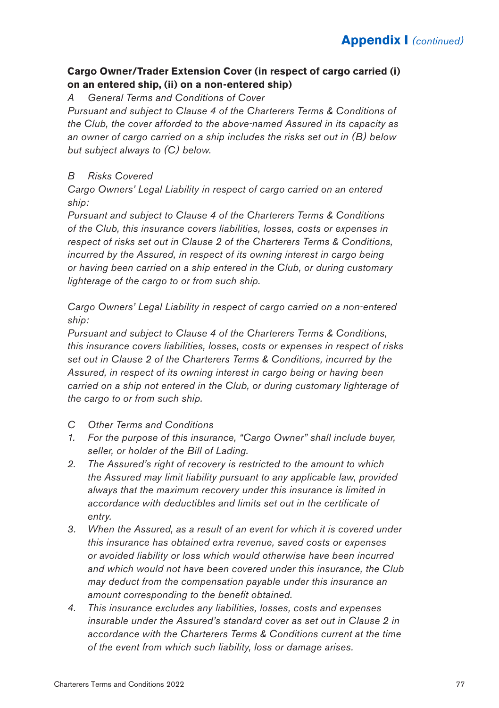## **Cargo Owner/Trader Extension Cover (in respect of cargo carried (i) on an entered ship, (ii) on a non-entered ship)**

*A General Terms and Conditions of Cover*

*Pursuant and subject to Clause 4 of the Charterers Terms & Conditions of the Club, the cover afforded to the above-named Assured in its capacity as an owner of cargo carried on a ship includes the risks set out in (B) below but subject always to (C) below.*

## *B Risks Covered*

*Cargo Owners' Legal Liability in respect of cargo carried on an entered ship:*

*Pursuant and subject to Clause 4 of the Charterers Terms & Conditions of the Club, this insurance covers liabilities, losses, costs or expenses in respect of risks set out in Clause 2 of the Charterers Terms & Conditions, incurred by the Assured, in respect of its owning interest in cargo being or having been carried on a ship entered in the Club, or during customary lighterage of the cargo to or from such ship.*

*Cargo Owners' Legal Liability in respect of cargo carried on a non-entered ship:*

*Pursuant and subject to Clause 4 of the Charterers Terms & Conditions, this insurance covers liabilities, losses, costs or expenses in respect of risks set out in Clause 2 of the Charterers Terms & Conditions, incurred by the Assured, in respect of its owning interest in cargo being or having been carried on a ship not entered in the Club, or during customary lighterage of the cargo to or from such ship.*

- *C Other Terms and Conditions*
- *1. For the purpose of this insurance, "Cargo Owner" shall include buyer, seller, or holder of the Bill of Lading.*
- *2. The Assured's right of recovery is restricted to the amount to which the Assured may limit liability pursuant to any applicable law, provided always that the maximum recovery under this insurance is limited in accordance with deductibles and limits set out in the certificate of entry.*
- *3. When the Assured, as a result of an event for which it is covered under this insurance has obtained extra revenue, saved costs or expenses or avoided liability or loss which would otherwise have been incurred and which would not have been covered under this insurance, the Club may deduct from the compensation payable under this insurance an amount corresponding to the benefit obtained.*
- *4. This insurance excludes any liabilities, losses, costs and expenses insurable under the Assured's standard cover as set out in Clause 2 in accordance with the Charterers Terms & Conditions current at the time of the event from which such liability, loss or damage arises.*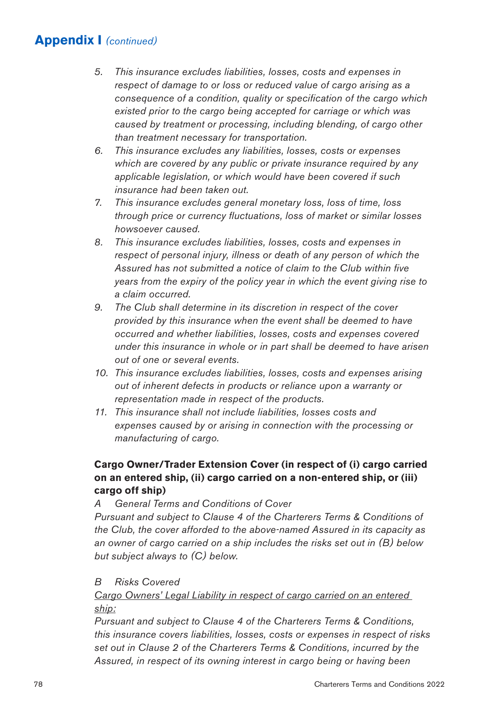- *5. This insurance excludes liabilities, losses, costs and expenses in respect of damage to or loss or reduced value of cargo arising as a consequence of a condition, quality or specification of the cargo which existed prior to the cargo being accepted for carriage or which was caused by treatment or processing, including blending, of cargo other than treatment necessary for transportation.*
- *6. This insurance excludes any liabilities, losses, costs or expenses which are covered by any public or private insurance required by any applicable legislation, or which would have been covered if such insurance had been taken out.*
- *7. This insurance excludes general monetary loss, loss of time, loss through price or currency fluctuations, loss of market or similar losses howsoever caused.*
- *8. This insurance excludes liabilities, losses, costs and expenses in respect of personal injury, illness or death of any person of which the Assured has not submitted a notice of claim to the Club within five years from the expiry of the policy year in which the event giving rise to a claim occurred.*
- *9. The Club shall determine in its discretion in respect of the cover provided by this insurance when the event shall be deemed to have occurred and whether liabilities, losses, costs and expenses covered under this insurance in whole or in part shall be deemed to have arisen out of one or several events.*
- *10. This insurance excludes liabilities, losses, costs and expenses arising out of inherent defects in products or reliance upon a warranty or representation made in respect of the products.*
- *11. This insurance shall not include liabilities, losses costs and expenses caused by or arising in connection with the processing or manufacturing of cargo.*

## **Cargo Owner/Trader Extension Cover (in respect of (i) cargo carried on an entered ship, (ii) cargo carried on a non-entered ship, or (iii) cargo off ship)**

*A General Terms and Conditions of Cover*

*Pursuant and subject to Clause 4 of the Charterers Terms & Conditions of the Club, the cover afforded to the above-named Assured in its capacity as an owner of cargo carried on a ship includes the risks set out in (B) below but subject always to (C) below.*

## *B Risks Covered*

*Cargo Owners' Legal Liability in respect of cargo carried on an entered ship:*

*Pursuant and subject to Clause 4 of the Charterers Terms & Conditions, this insurance covers liabilities, losses, costs or expenses in respect of risks set out in Clause 2 of the Charterers Terms & Conditions, incurred by the Assured, in respect of its owning interest in cargo being or having been*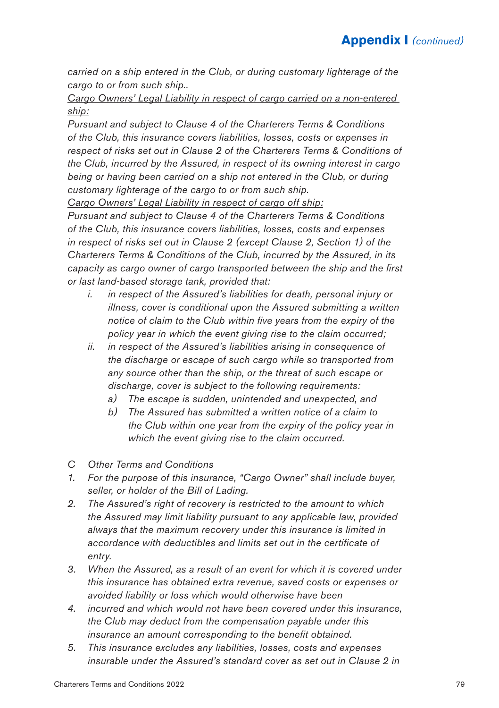*carried on a ship entered in the Club, or during customary lighterage of the cargo to or from such ship..*

*Cargo Owners' Legal Liability in respect of cargo carried on a non-entered ship:*

*Pursuant and subject to Clause 4 of the Charterers Terms & Conditions of the Club, this insurance covers liabilities, losses, costs or expenses in respect of risks set out in Clause 2 of the Charterers Terms & Conditions of the Club, incurred by the Assured, in respect of its owning interest in cargo being or having been carried on a ship not entered in the Club, or during customary lighterage of the cargo to or from such ship.*

*Cargo Owners' Legal Liability in respect of cargo off ship:*

*Pursuant and subject to Clause 4 of the Charterers Terms & Conditions of the Club, this insurance covers liabilities, losses, costs and expenses in respect of risks set out in Clause 2 (except Clause 2, Section 1) of the Charterers Terms & Conditions of the Club, incurred by the Assured, in its capacity as cargo owner of cargo transported between the ship and the first or last land-based storage tank, provided that:*

- *i. in respect of the Assured's liabilities for death, personal injury or illness, cover is conditional upon the Assured submitting a written notice of claim to the Club within five years from the expiry of the policy year in which the event giving rise to the claim occurred;*
- *ii. in respect of the Assured's liabilities arising in consequence of the discharge or escape of such cargo while so transported from any source other than the ship, or the threat of such escape or discharge, cover is subject to the following requirements:*
	- *a) The escape is sudden, unintended and unexpected, and*
	- *b) The Assured has submitted a written notice of a claim to the Club within one year from the expiry of the policy year in which the event giving rise to the claim occurred.*
- *C Other Terms and Conditions*
- *1. For the purpose of this insurance, "Cargo Owner" shall include buyer, seller, or holder of the Bill of Lading.*
- *2. The Assured's right of recovery is restricted to the amount to which the Assured may limit liability pursuant to any applicable law, provided always that the maximum recovery under this insurance is limited in accordance with deductibles and limits set out in the certificate of entry.*
- *3. When the Assured, as a result of an event for which it is covered under this insurance has obtained extra revenue, saved costs or expenses or avoided liability or loss which would otherwise have been*
- *4. incurred and which would not have been covered under this insurance, the Club may deduct from the compensation payable under this insurance an amount corresponding to the benefit obtained.*
- *5. This insurance excludes any liabilities, losses, costs and expenses insurable under the Assured's standard cover as set out in Clause 2 in*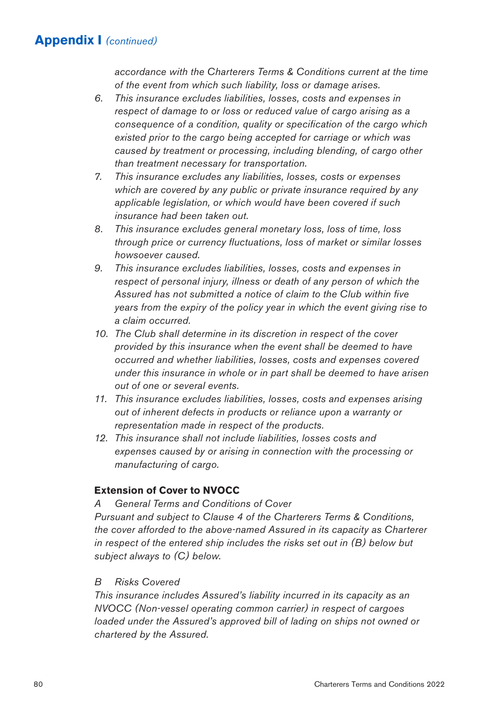*accordance with the Charterers Terms & Conditions current at the time of the event from which such liability, loss or damage arises.*

- *6. This insurance excludes liabilities, losses, costs and expenses in respect of damage to or loss or reduced value of cargo arising as a consequence of a condition, quality or specification of the cargo which existed prior to the cargo being accepted for carriage or which was caused by treatment or processing, including blending, of cargo other than treatment necessary for transportation.*
- *7. This insurance excludes any liabilities, losses, costs or expenses which are covered by any public or private insurance required by any applicable legislation, or which would have been covered if such insurance had been taken out.*
- *8. This insurance excludes general monetary loss, loss of time, loss through price or currency fluctuations, loss of market or similar losses howsoever caused.*
- *9. This insurance excludes liabilities, losses, costs and expenses in respect of personal injury, illness or death of any person of which the Assured has not submitted a notice of claim to the Club within five years from the expiry of the policy year in which the event giving rise to a claim occurred.*
- *10. The Club shall determine in its discretion in respect of the cover provided by this insurance when the event shall be deemed to have occurred and whether liabilities, losses, costs and expenses covered under this insurance in whole or in part shall be deemed to have arisen out of one or several events.*
- *11. This insurance excludes liabilities, losses, costs and expenses arising out of inherent defects in products or reliance upon a warranty or representation made in respect of the products.*
- *12. This insurance shall not include liabilities, losses costs and expenses caused by or arising in connection with the processing or manufacturing of cargo.*

## **Extension of Cover to NVOCC**

#### *A General Terms and Conditions of Cover*

*Pursuant and subject to Clause 4 of the Charterers Terms & Conditions, the cover afforded to the above-named Assured in its capacity as Charterer in respect of the entered ship includes the risks set out in (B) below but subject always to (C) below.*

## *B Risks Covered*

*This insurance includes Assured's liability incurred in its capacity as an NVOCC (Non-vessel operating common carrier) in respect of cargoes loaded under the Assured's approved bill of lading on ships not owned or chartered by the Assured.*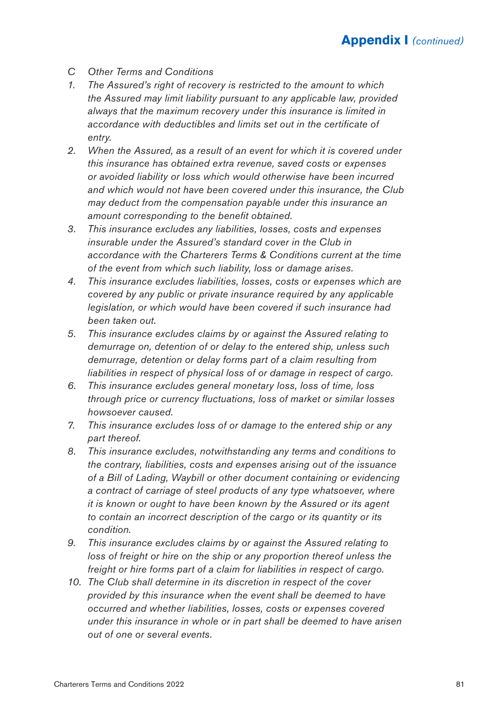- *C Other Terms and Conditions*
- *1. The Assured's right of recovery is restricted to the amount to which the Assured may limit liability pursuant to any applicable law, provided always that the maximum recovery under this insurance is limited in accordance with deductibles and limits set out in the certificate of entry.*
- *2. When the Assured, as a result of an event for which it is covered under this insurance has obtained extra revenue, saved costs or expenses or avoided liability or loss which would otherwise have been incurred and which would not have been covered under this insurance, the Club may deduct from the compensation payable under this insurance an amount corresponding to the benefit obtained.*
- *3. This insurance excludes any liabilities, losses, costs and expenses insurable under the Assured's standard cover in the Club in accordance with the Charterers Terms & Conditions current at the time of the event from which such liability, loss or damage arises.*
- *4. This insurance excludes liabilities, losses, costs or expenses which are covered by any public or private insurance required by any applicable legislation, or which would have been covered if such insurance had been taken out.*
- *5. This insurance excludes claims by or against the Assured relating to demurrage on, detention of or delay to the entered ship, unless such demurrage, detention or delay forms part of a claim resulting from liabilities in respect of physical loss of or damage in respect of cargo.*
- *6. This insurance excludes general monetary loss, loss of time, loss through price or currency fluctuations, loss of market or similar losses howsoever caused.*
- *7. This insurance excludes loss of or damage to the entered ship or any part thereof.*
- *8. This insurance excludes, notwithstanding any terms and conditions to the contrary, liabilities, costs and expenses arising out of the issuance of a Bill of Lading, Waybill or other document containing or evidencing a contract of carriage of steel products of any type whatsoever, where it is known or ought to have been known by the Assured or its agent to contain an incorrect description of the cargo or its quantity or its condition.*
- *9. This insurance excludes claims by or against the Assured relating to loss of freight or hire on the ship or any proportion thereof unless the freight or hire forms part of a claim for liabilities in respect of cargo.*
- *10. The Club shall determine in its discretion in respect of the cover provided by this insurance when the event shall be deemed to have occurred and whether liabilities, losses, costs or expenses covered under this insurance in whole or in part shall be deemed to have arisen out of one or several events.*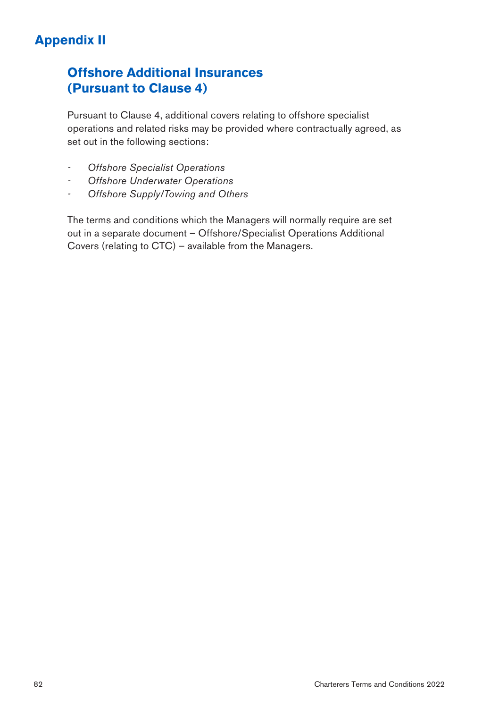# **Appendix II**

# **Offshore Additional Insurances (Pursuant to Clause 4)**

Pursuant to Clause 4, additional covers relating to offshore specialist operations and related risks may be provided where contractually agreed, as set out in the following sections:

- *- Offshore Specialist Operations*
- *- Offshore Underwater Operations*
- *- Offshore Supply/Towing and Others*

The terms and conditions which the Managers will normally require are set out in a separate document – Offshore/Specialist Operations Additional Covers (relating to CTC) – available from the Managers.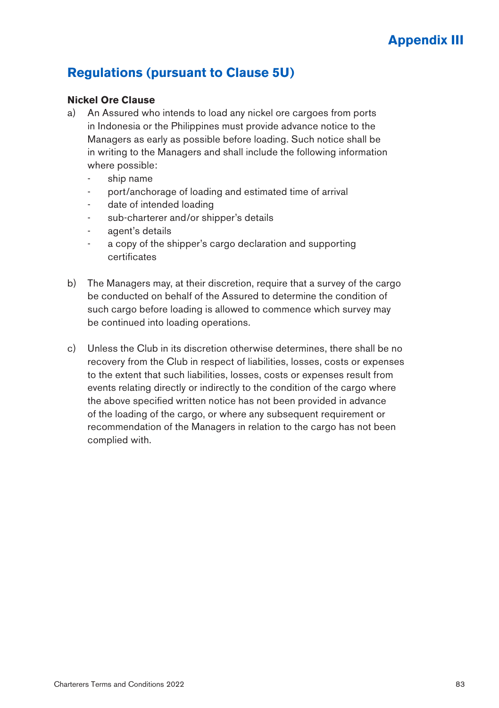# **Regulations (pursuant to Clause 5U)**

#### **Nickel Ore Clause**

- a) An Assured who intends to load any nickel ore cargoes from ports in Indonesia or the Philippines must provide advance notice to the Managers as early as possible before loading. Such notice shall be in writing to the Managers and shall include the following information where possible:
	- ship name
	- port/anchorage of loading and estimated time of arrival
	- date of intended loading
	- sub-charterer and/or shipper's details
	- agent's details
	- a copy of the shipper's cargo declaration and supporting certificates
- b) The Managers may, at their discretion, require that a survey of the cargo be conducted on behalf of the Assured to determine the condition of such cargo before loading is allowed to commence which survey may be continued into loading operations.
- c) Unless the Club in its discretion otherwise determines, there shall be no recovery from the Club in respect of liabilities, losses, costs or expenses to the extent that such liabilities, losses, costs or expenses result from events relating directly or indirectly to the condition of the cargo where the above specified written notice has not been provided in advance of the loading of the cargo, or where any subsequent requirement or recommendation of the Managers in relation to the cargo has not been complied with.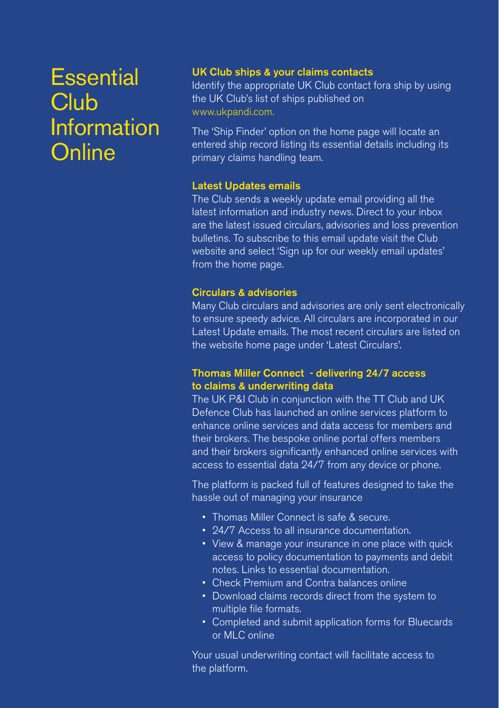# **Essential Club** Information **Online**

## UK Club ships & your claims contacts

Identify the appropriate UK Club contact fora ship by using the UK Club's list of ships published on www.ukpandi.com.

The 'Ship Finder' option on the home page will locate an entered ship record listing its essential details including its primary claims handling team.

## Latest Updates emails

The Club sends a weekly update email providing all the latest information and industry news. Direct to your inbox are the latest issued circulars, advisories and loss prevention bulletins. To subscribe to this email update visit the Club website and select 'Sign up for our weekly email updates' from the home page.

#### Circulars & advisories

Many Club circulars and advisories are only sent electronically to ensure speedy advice. All circulars are incorporated in our Latest Update emails. The most recent circulars are listed on the website home page under 'Latest Circulars'.

#### Thomas Miller Connect - delivering 24/7 access to claims & underwriting data

The UK P&I Club in conjunction with the TT Club and UK Defence Club has launched an online services platform to enhance online services and data access for members and their brokers. The bespoke online portal offers members and their brokers significantly enhanced online services with access to essential data 24/7 from any device or phone.

The platform is packed full of features designed to take the hassle out of managing your insurance

- Thomas Miller Connect is safe & secure.
- 24/7 Access to all insurance documentation.
- View & manage your insurance in one place with quick access to policy documentation to payments and debit notes. Links to essential documentation.
- Check Premium and Contra balances online
- Download claims records direct from the system to multiple file formats.
- Completed and submit application forms for Bluecards or MLC online

Your usual underwriting contact will facilitate access to the platform.